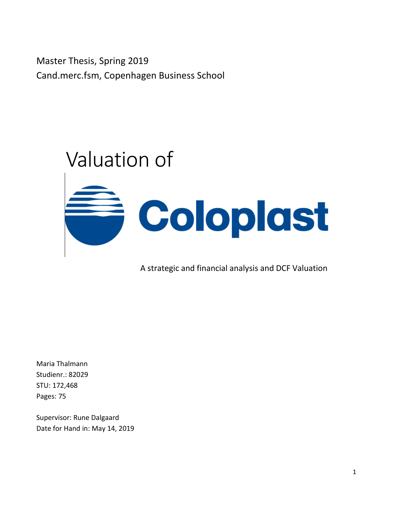Master Thesis, Spring 2019 Cand.merc.fsm, Copenhagen Business School



A strategic and financial analysis and DCF Valuation

Maria Thalmann Studienr.: 82029 STU: 172,468 Pages: 75

Supervisor: Rune Dalgaard Date for Hand in: May 14, 2019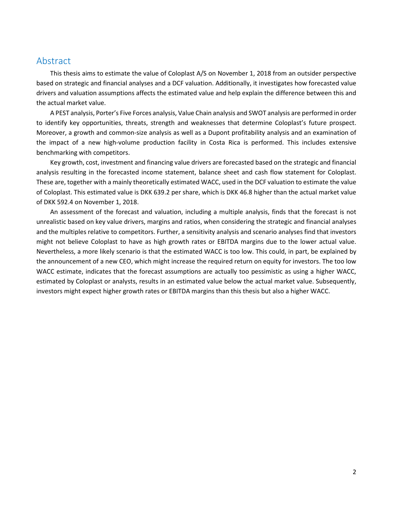# Abstract

This thesis aims to estimate the value of Coloplast A/S on November 1, 2018 from an outsider perspective based on strategic and financial analyses and a DCF valuation. Additionally, it investigates how forecasted value drivers and valuation assumptions affects the estimated value and help explain the difference between this and the actual market value.

A PEST analysis, Porter's Five Forces analysis, Value Chain analysis and SWOT analysis are performed in order to identify key opportunities, threats, strength and weaknesses that determine Coloplast's future prospect. Moreover, a growth and common-size analysis as well as a Dupont profitability analysis and an examination of the impact of a new high-volume production facility in Costa Rica is performed. This includes extensive benchmarking with competitors.

Key growth, cost, investment and financing value drivers are forecasted based on the strategic and financial analysis resulting in the forecasted income statement, balance sheet and cash flow statement for Coloplast. These are, together with a mainly theoretically estimated WACC, used in the DCF valuation to estimate the value of Coloplast. This estimated value is DKK 639.2 per share, which is DKK 46.8 higher than the actual market value of DKK 592.4 on November 1, 2018.

An assessment of the forecast and valuation, including a multiple analysis, finds that the forecast is not unrealistic based on key value drivers, margins and ratios, when considering the strategic and financial analyses and the multiples relative to competitors. Further, a sensitivity analysis and scenario analyses find that investors might not believe Coloplast to have as high growth rates or EBITDA margins due to the lower actual value. Nevertheless, a more likely scenario is that the estimated WACC is too low. This could, in part, be explained by the announcement of a new CEO, which might increase the required return on equity for investors. The too low WACC estimate, indicates that the forecast assumptions are actually too pessimistic as using a higher WACC, estimated by Coloplast or analysts, results in an estimated value below the actual market value. Subsequently, investors might expect higher growth rates or EBITDA margins than this thesis but also a higher WACC.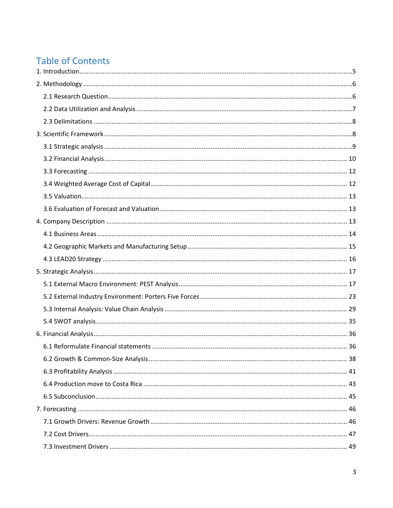# **Table of Contents**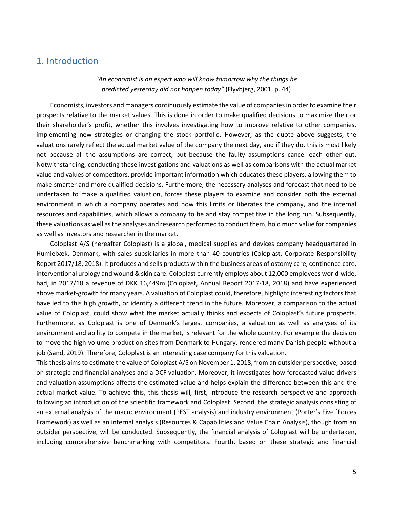# <span id="page-4-0"></span>1. Introduction

*"An economist is an expert who will know tomorrow why the things he predicted yesterday did not happen today"* (Flyvbjerg, 2001, p. 44)

Economists, investors and managers continuously estimate the value of companiesin order to examine their prospects relative to the market values. This is done in order to make qualified decisions to maximize their or their shareholder's profit, whether this involves investigating how to improve relative to other companies, implementing new strategies or changing the stock portfolio. However, as the quote above suggests, the valuations rarely reflect the actual market value of the company the next day, and if they do, this is most likely not because all the assumptions are correct, but because the faulty assumptions cancel each other out. Notwithstanding, conducting these investigations and valuations as well as comparisons with the actual market value and values of competitors, provide important information which educates these players, allowing them to make smarter and more qualified decisions. Furthermore, the necessary analyses and forecast that need to be undertaken to make a qualified valuation, forces these players to examine and consider both the external environment in which a company operates and how this limits or liberates the company, and the internal resources and capabilities, which allows a company to be and stay competitive in the long run. Subsequently, these valuations as well as the analyses and research performed to conduct them, hold much value for companies as well as investors and researcher in the market.

Coloplast A/S (hereafter Coloplast) is a global, medical supplies and devices company headquartered in Humlebæk, Denmark, with sales subsidiaries in more than 40 countries (Coloplast, Corporate Responsibility Report 2017/18, 2018). It produces and sells products within the business areas of ostomy care, continence care, interventional urology and wound & skin care. Coloplast currently employs about 12,000 employees world-wide, had, in 2017/18 a revenue of DKK 16,449m (Coloplast, Annual Report 2017-18, 2018) and have experienced above market-growth for many years. A valuation of Coloplast could, therefore, highlight interesting factors that have led to this high growth, or identify a different trend in the future. Moreover, a comparison to the actual value of Coloplast, could show what the market actually thinks and expects of Coloplast's future prospects. Furthermore, as Coloplast is one of Denmark's largest companies, a valuation as well as analyses of its environment and ability to compete in the market, is relevant for the whole country. For example the decision to move the high-volume production sites from Denmark to Hungary, rendered many Danish people without a job (Sand, 2019). Therefore, Coloplast is an interesting case company for this valuation.

This thesis aims to estimate the value of Coloplast A/S on November 1, 2018, from an outsider perspective, based on strategic and financial analyses and a DCF valuation. Moreover, it investigates how forecasted value drivers and valuation assumptions affects the estimated value and helps explain the difference between this and the actual market value. To achieve this, this thesis will, first, introduce the research perspective and approach following an introduction of the scientific framework and Coloplast. Second, the strategic analysis consisting of an external analysis of the macro environment (PEST analysis) and industry environment (Porter's Five ´Forces Framework) as well as an internal analysis (Resources & Capabilities and Value Chain Analysis), though from an outsider perspective, will be conducted. Subsequently, the financial analysis of Coloplast will be undertaken, including comprehensive benchmarking with competitors. Fourth, based on these strategic and financial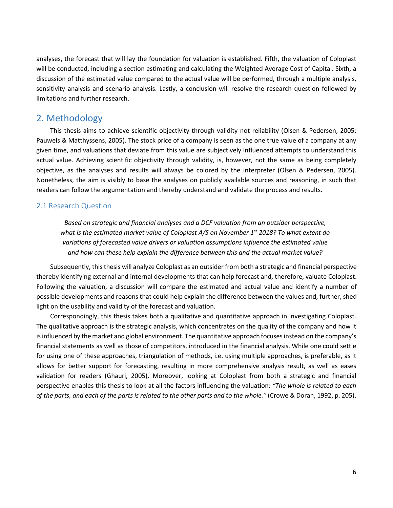analyses, the forecast that will lay the foundation for valuation is established. Fifth, the valuation of Coloplast will be conducted, including a section estimating and calculating the Weighted Average Cost of Capital. Sixth, a discussion of the estimated value compared to the actual value will be performed, through a multiple analysis, sensitivity analysis and scenario analysis. Lastly, a conclusion will resolve the research question followed by limitations and further research.

# <span id="page-5-0"></span>2. Methodology

This thesis aims to achieve scientific objectivity through validity not reliability (Olsen & Pedersen, 2005; Pauwels & Matthyssens, 2005). The stock price of a company is seen as the one true value of a company at any given time, and valuations that deviate from this value are subjectively influenced attempts to understand this actual value. Achieving scientific objectivity through validity, is, however, not the same as being completely objective, as the analyses and results will always be colored by the interpreter (Olsen & Pedersen, 2005). Nonetheless, the aim is visibly to base the analyses on publicly available sources and reasoning, in such that readers can follow the argumentation and thereby understand and validate the process and results.

# <span id="page-5-1"></span>2.1 Research Question

*Based on strategic and financial analyses and a DCF valuation from an outsider perspective, what is the estimated market value of Coloplast A/S on November 1st 2018? To what extent do variations of forecasted value drivers or valuation assumptions influence the estimated value and how can these help explain the difference between this and the actual market value?*

Subsequently, this thesis will analyze Coloplast as an outsider from both a strategic and financial perspective thereby identifying external and internal developments that can help forecast and, therefore, valuate Coloplast. Following the valuation, a discussion will compare the estimated and actual value and identify a number of possible developments and reasons that could help explain the difference between the values and, further, shed light on the usability and validity of the forecast and valuation.

Correspondingly, this thesis takes both a qualitative and quantitative approach in investigating Coloplast. The qualitative approach is the strategic analysis, which concentrates on the quality of the company and how it is influenced by the market and global environment. The quantitative approach focuses instead on the company's financial statements as well as those of competitors, introduced in the financial analysis. While one could settle for using one of these approaches, triangulation of methods, i.e. using multiple approaches, is preferable, as it allows for better support for forecasting, resulting in more comprehensive analysis result, as well as eases validation for readers (Ghauri, 2005). Moreover, looking at Coloplast from both a strategic and financial perspective enables this thesis to look at all the factors influencing the valuation: *"The whole is related to each of the parts, and each of the parts is related to the other parts and to the whole."* (Crowe & Doran, 1992, p. 205).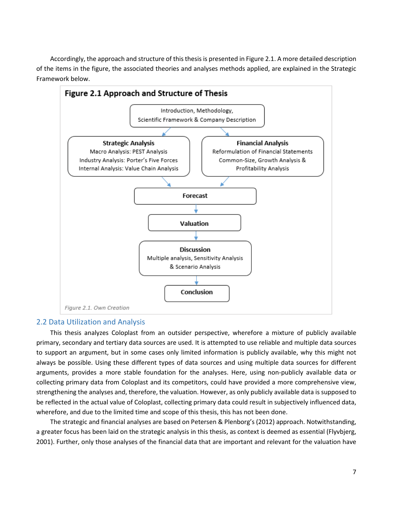Accordingly, the approach and structure of this thesis is presented in Figure 2.1. A more detailed description of the items in the figure, the associated theories and analyses methods applied, are explained in the Strategic Framework below.



# <span id="page-6-0"></span>2.2 Data Utilization and Analysis

This thesis analyzes Coloplast from an outsider perspective, wherefore a mixture of publicly available primary, secondary and tertiary data sources are used. It is attempted to use reliable and multiple data sources to support an argument, but in some cases only limited information is publicly available, why this might not always be possible. Using these different types of data sources and using multiple data sources for different arguments, provides a more stable foundation for the analyses. Here, using non-publicly available data or collecting primary data from Coloplast and its competitors, could have provided a more comprehensive view, strengthening the analyses and, therefore, the valuation. However, as only publicly available data is supposed to be reflected in the actual value of Coloplast, collecting primary data could result in subjectively influenced data, wherefore, and due to the limited time and scope of this thesis, this has not been done.

The strategic and financial analyses are based on Petersen & Plenborg's (2012) approach. Notwithstanding, a greater focus has been laid on the strategic analysis in this thesis, as context is deemed as essential (Flyvbjerg, 2001). Further, only those analyses of the financial data that are important and relevant for the valuation have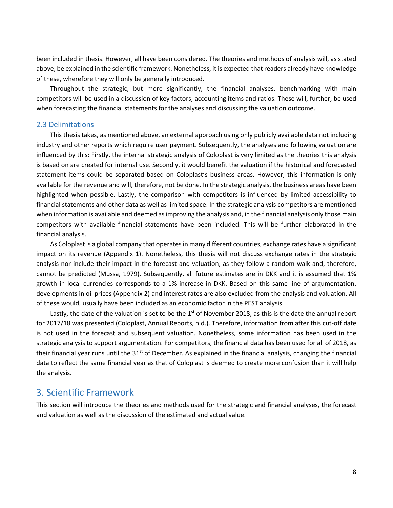been included in thesis. However, all have been considered. The theories and methods of analysis will, as stated above, be explained in the scientific framework. Nonetheless, it is expected that readers already have knowledge of these, wherefore they will only be generally introduced.

Throughout the strategic, but more significantly, the financial analyses, benchmarking with main competitors will be used in a discussion of key factors, accounting items and ratios. These will, further, be used when forecasting the financial statements for the analyses and discussing the valuation outcome.

### <span id="page-7-0"></span>2.3 Delimitations

This thesis takes, as mentioned above, an external approach using only publicly available data not including industry and other reports which require user payment. Subsequently, the analyses and following valuation are influenced by this: Firstly, the internal strategic analysis of Coloplast is very limited as the theories this analysis is based on are created for internal use. Secondly, it would benefit the valuation if the historical and forecasted statement items could be separated based on Coloplast's business areas. However, this information is only available for the revenue and will, therefore, not be done. In the strategic analysis, the business areas have been highlighted when possible. Lastly, the comparison with competitors is influenced by limited accessibility to financial statements and other data as well as limited space. In the strategic analysis competitors are mentioned when information is available and deemed as improving the analysis and, in the financial analysis only those main competitors with available financial statements have been included. This will be further elaborated in the financial analysis.

As Coloplast is a global company that operates in many different countries, exchange rates have a significant impact on its revenue (Appendix 1). Nonetheless, this thesis will not discuss exchange rates in the strategic analysis nor include their impact in the forecast and valuation, as they follow a random walk and, therefore, cannot be predicted (Mussa, 1979). Subsequently, all future estimates are in DKK and it is assumed that 1% growth in local currencies corresponds to a 1% increase in DKK. Based on this same line of argumentation, developments in oil prices (Appendix 2) and interest rates are also excluded from the analysis and valuation. All of these would, usually have been included as an economic factor in the PEST analysis.

Lastly, the date of the valuation is set to be the 1<sup>st</sup> of November 2018, as this is the date the annual report for 2017/18 was presented (Coloplast, Annual Reports, n.d.). Therefore, information from after this cut-off date is not used in the forecast and subsequent valuation. Nonetheless, some information has been used in the strategic analysis to support argumentation. For competitors, the financial data has been used for all of 2018, as their financial year runs until the  $31<sup>st</sup>$  of December. As explained in the financial analysis, changing the financial data to reflect the same financial year as that of Coloplast is deemed to create more confusion than it will help the analysis.

# <span id="page-7-1"></span>3. Scientific Framework

This section will introduce the theories and methods used for the strategic and financial analyses, the forecast and valuation as well as the discussion of the estimated and actual value.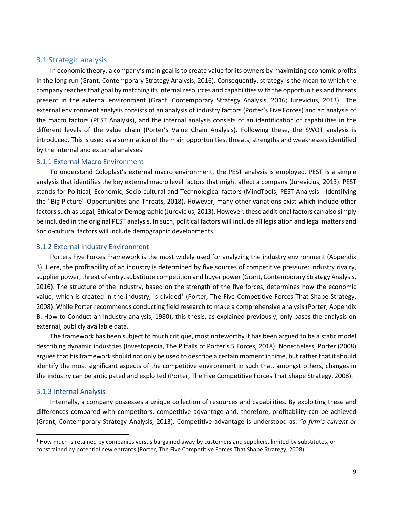# <span id="page-8-0"></span>3.1 Strategic analysis

In economic theory, a company's main goal is to create value for its owners by maximizing economic profits in the long run (Grant, Contemporary Strategy Analysis, 2016). Consequently, strategy is the mean to which the company reaches that goal by matching its internal resources and capabilities with the opportunities and threats present in the external environment (Grant, Contemporary Strategy Analysis, 2016; Jurevicius, 2013).. The external environment analysis consists of an analysis of industry factors (Porter's Five Forces) and an analysis of the macro factors (PEST Analysis), and the internal analysis consists of an identification of capabilities in the different levels of the value chain (Porter's Value Chain Analysis). Following these, the SWOT analysis is introduced. This is used as a summation of the main opportunities, threats, strengths and weaknesses identified by the internal and external analyses.

### 3.1.1 External Macro Environment

To understand Coloplast's external macro environment, the PEST analysis is employed. PEST is a simple analysis that identifies the key external macro level factors that might affect a company (Jurevicius, 2013). PEST stands for Political, Economic, Socio-cultural and Technological factors (MindTools, PEST Analysis - Identifying the "Big Picture" Opportunities and Threats, 2018). However, many other variations exist which include other factors such as Legal, Ethical or Demographic (Jurevicius, 2013). However, these additional factors can also simply be included in the original PEST analysis. In such, political factors will include all legislation and legal matters and Socio-cultural factors will include demographic developments.

### 3.1.2 External Industry Environment

Porters Five Forces Framework is the most widely used for analyzing the industry environment (Appendix 3). Here, the profitability of an industry is determined by five sources of competitive pressure: Industry rivalry, supplier power, threat of entry, substitute competition and buyer power(Grant, Contemporary Strategy Analysis, 2016). The structure of the industry, based on the strength of the five forces, determines how the economic value, which is created in the industry, is divided<sup>[1](#page-8-1)</sup> (Porter, The Five Competitive Forces That Shape Strategy, 2008). While Porter recommends conducting field research to make a comprehensive analysis (Porter, Appendix B: How to Conduct an Industry analysis, 1980), this thesis, as explained previously, only bases the analysis on external, publicly available data.

The framework has been subject to much critique, most noteworthy it has been argued to be a static model describing dynamic industries (Investopedia, The Pitfalls of Porter's 5 Forces, 2018). Nonetheless, Porter (2008) argues that his framework should not only be used to describe a certain moment in time, but rather that it should identify the most significant aspects of the competitive environment in such that, amongst others, changes in the industry can be anticipated and exploited (Porter, The Five Competitive Forces That Shape Strategy, 2008).

### 3.1.3 Internal Analysis

Internally, a company possesses a unique collection of resources and capabilities. By exploiting these and differences compared with competitors, competitive advantage and, therefore, profitability can be achieved (Grant, Contemporary Strategy Analysis, 2013). Competitive advantage is understood as: *"a firm's current or* 

<span id="page-8-1"></span> $<sup>1</sup>$  How much is retained by companies versus bargained away by customers and suppliers, limited by substitutes, or</sup> constrained by potential new entrants (Porter, The Five Competitive Forces That Shape Strategy, 2008).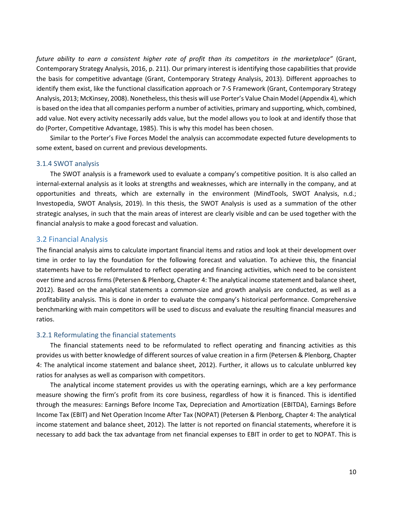*future ability to earn a consistent higher rate of profit than its competitors in the marketplace"* (Grant, Contemporary Strategy Analysis, 2016, p. 211). Our primary interest is identifying those capabilities that provide the basis for competitive advantage (Grant, Contemporary Strategy Analysis, 2013). Different approaches to identify them exist, like the functional classification approach or 7-S Framework (Grant, Contemporary Strategy Analysis, 2013; McKinsey, 2008). Nonetheless, this thesis will use Porter's Value Chain Model (Appendix 4), which is based on the idea that all companies perform a number of activities, primary and supporting, which, combined, add value. Not every activity necessarily adds value, but the model allows you to look at and identify those that do (Porter, Competitive Advantage, 1985). This is why this model has been chosen.

Similar to the Porter's Five Forces Model the analysis can accommodate expected future developments to some extent, based on current and previous developments.

#### 3.1.4 SWOT analysis

The SWOT analysis is a framework used to evaluate a company's competitive position. It is also called an internal-external analysis as it looks at strengths and weaknesses, which are internally in the company, and at opportunities and threats, which are externally in the environment (MindTools, SWOT Analysis, n.d.; Investopedia, SWOT Analysis, 2019). In this thesis, the SWOT Analysis is used as a summation of the other strategic analyses, in such that the main areas of interest are clearly visible and can be used together with the financial analysis to make a good forecast and valuation.

### <span id="page-9-0"></span>3.2 Financial Analysis

The financial analysis aims to calculate important financial items and ratios and look at their development over time in order to lay the foundation for the following forecast and valuation. To achieve this, the financial statements have to be reformulated to reflect operating and financing activities, which need to be consistent over time and across firms (Petersen & Plenborg, Chapter 4: The analytical income statement and balance sheet, 2012). Based on the analytical statements a common-size and growth analysis are conducted, as well as a profitability analysis. This is done in order to evaluate the company's historical performance. Comprehensive benchmarking with main competitors will be used to discuss and evaluate the resulting financial measures and ratios.

#### 3.2.1 Reformulating the financial statements

The financial statements need to be reformulated to reflect operating and financing activities as this provides us with better knowledge of different sources of value creation in a firm (Petersen & Plenborg, Chapter 4: The analytical income statement and balance sheet, 2012). Further, it allows us to calculate unblurred key ratios for analyses as well as comparison with competitors.

The analytical income statement provides us with the operating earnings, which are a key performance measure showing the firm's profit from its core business, regardless of how it is financed. This is identified through the measures: Earnings Before Income Tax, Depreciation and Amortization (EBITDA), Earnings Before Income Tax (EBIT) and Net Operation Income After Tax (NOPAT) (Petersen & Plenborg, Chapter 4: The analytical income statement and balance sheet, 2012). The latter is not reported on financial statements, wherefore it is necessary to add back the tax advantage from net financial expenses to EBIT in order to get to NOPAT. This is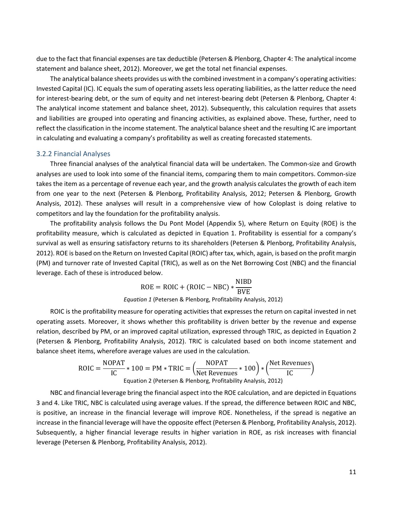due to the fact that financial expenses are tax deductible (Petersen & Plenborg, Chapter 4: The analytical income statement and balance sheet, 2012). Moreover, we get the total net financial expenses.

The analytical balance sheets provides us with the combined investment in a company's operating activities: Invested Capital (IC). IC equals the sum of operating assets less operating liabilities, as the latter reduce the need for interest-bearing debt, or the sum of equity and net interest-bearing debt (Petersen & Plenborg, Chapter 4: The analytical income statement and balance sheet, 2012). Subsequently, this calculation requires that assets and liabilities are grouped into operating and financing activities, as explained above. These, further, need to reflect the classification in the income statement. The analytical balance sheet and the resulting IC are important in calculating and evaluating a company's profitability as well as creating forecasted statements.

#### 3.2.2 Financial Analyses

Three financial analyses of the analytical financial data will be undertaken. The Common-size and Growth analyses are used to look into some of the financial items, comparing them to main competitors. Common-size takes the item as a percentage of revenue each year, and the growth analysis calculates the growth of each item from one year to the next (Petersen & Plenborg, Profitability Analysis, 2012; Petersen & Plenborg, Growth Analysis, 2012). These analyses will result in a comprehensive view of how Coloplast is doing relative to competitors and lay the foundation for the profitability analysis.

The profitability analysis follows the Du Pont Model (Appendix 5), where Return on Equity (ROE) is the profitability measure, which is calculated as depicted in Equation 1. Profitability is essential for a company's survival as well as ensuring satisfactory returns to its shareholders (Petersen & Plenborg, Profitability Analysis, 2012). ROE is based on the Return on Invested Capital (ROIC) after tax, which, again, is based on the profit margin (PM) and turnover rate of Invested Capital (TRIC), as well as on the Net Borrowing Cost (NBC) and the financial leverage. Each of these is introduced below.

$$
ROE = ROIC + (ROIC - NBC) * \frac{NIBD}{BVE}
$$
  
Equation 1 (Petersen & Plenborg, Profitability Analysis, 2012)

ROIC is the profitability measure for operating activities that expresses the return on capital invested in net operating assets. Moreover, it shows whether this profitability is driven better by the revenue and expense relation, described by PM, or an improved capital utilization, expressed through TRIC, as depicted in Equation 2 (Petersen & Plenborg, Profitability Analysis, 2012). TRIC is calculated based on both income statement and balance sheet items, wherefore average values are used in the calculation.

$$
ROIC = \frac{NOPAT}{IC} * 100 = PM * TRIC = \left(\frac{NOPAT}{Net Revenues} * 100\right) * \left(\frac{Net Revenues}{IC}\right)
$$
  
Equation 2 (Petersen & Plenborg, Profitability Analysis, 2012)

NBC and financial leverage bring the financial aspect into the ROE calculation, and are depicted in Equations 3 and 4. Like TRIC, NBC is calculated using average values. If the spread, the difference between ROIC and NBC, is positive, an increase in the financial leverage will improve ROE. Nonetheless, if the spread is negative an increase in the financial leverage will have the opposite effect (Petersen & Plenborg, Profitability Analysis, 2012). Subsequently, a higher financial leverage results in higher variation in ROE, as risk increases with financial leverage (Petersen & Plenborg, Profitability Analysis, 2012).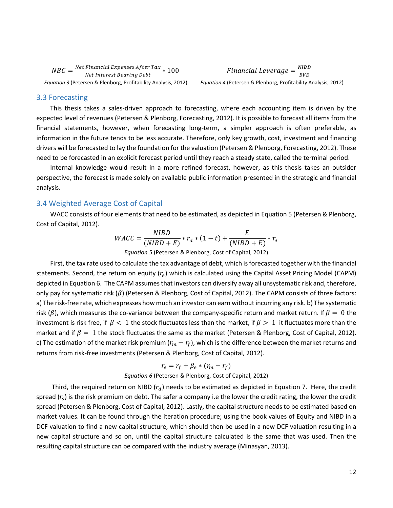$NBC = \frac{Net\,Financial\,Express\, After\, Tax}{Net\, Interest\, bearing\,Debt} * 100$  Financial Leverage  $= \frac{N}{E}$  *Equation 3* (Petersen & Plenborg, Profitability Analysis, 2012) *Equation 4* (Petersen & Plenborg, Profitability Analysis, 2012)

Financial Leverage =  $\frac{NIBD}{BVE}$ 

#### <span id="page-11-0"></span>3.3 Forecasting

This thesis takes a sales-driven approach to forecasting, where each accounting item is driven by the expected level of revenues (Petersen & Plenborg, Forecasting, 2012). It is possible to forecast all items from the financial statements, however, when forecasting long-term, a simpler approach is often preferable, as information in the future tends to be less accurate. Therefore, only key growth, cost, investment and financing drivers will be forecasted to lay the foundation for the valuation (Petersen & Plenborg, Forecasting, 2012). These need to be forecasted in an explicit forecast period until they reach a steady state, called the terminal period.

Internal knowledge would result in a more refined forecast, however, as this thesis takes an outsider perspective, the forecast is made solely on available public information presented in the strategic and financial analysis.

### <span id="page-11-1"></span>3.4 Weighted Average Cost of Capital

WACC consists of four elements that need to be estimated, as depicted in Equation 5 (Petersen & Plenborg, Cost of Capital, 2012).

$$
WACC = \frac{NIBD}{(NIBD + E)} * r_d * (1 - t) + \frac{E}{(NIBD + E)} * r_e
$$

*Equation 5* (Petersen & Plenborg, Cost of Capital, 2012)

First, the tax rate used to calculate the tax advantage of debt, which is forecasted together with the financial statements. Second, the return on equity  $(r_e)$  which is calculated using the Capital Asset Pricing Model (CAPM) depicted in Equation 6. The CAPM assumes that investors can diversify away all unsystematic risk and, therefore, only pay for systematic risk ( $\beta$ ) (Petersen & Plenborg, Cost of Capital, 2012). The CAPM consists of three factors: a) The risk-free rate, which expresses how much an investor can earn without incurring any risk. b) The systematic risk ( $\beta$ ), which measures the co-variance between the company-specific return and market return. If  $\beta = 0$  the investment is risk free, if  $\beta$  < 1 the stock fluctuates less than the market, if  $\beta$  > 1 it fluctuates more than the market and if  $\beta = 1$  the stock fluctuates the same as the market (Petersen & Plenborg, Cost of Capital, 2012). c) The estimation of the market risk premium ( $r_m - r_f$ ), which is the difference between the market returns and returns from risk-free investments (Petersen & Plenborg, Cost of Capital, 2012).

# $r_e = r_f + \beta_e * (r_m - r_f)$ *Equation 6* (Petersen & Plenborg, Cost of Capital, 2012)

Third, the required return on NIBD  $(r_d)$  needs to be estimated as depicted in Equation 7. Here, the credit spread  $(r_s)$  is the risk premium on debt. The safer a company i.e the lower the credit rating, the lower the credit spread (Petersen & Plenborg, Cost of Capital, 2012). Lastly, the capital structure needs to be estimated based on market values. It can be found through the iteration procedure; using the book values of Equity and NIBD in a DCF valuation to find a new capital structure, which should then be used in a new DCF valuation resulting in a new capital structure and so on, until the capital structure calculated is the same that was used. Then the resulting capital structure can be compared with the industry average (Minasyan, 2013).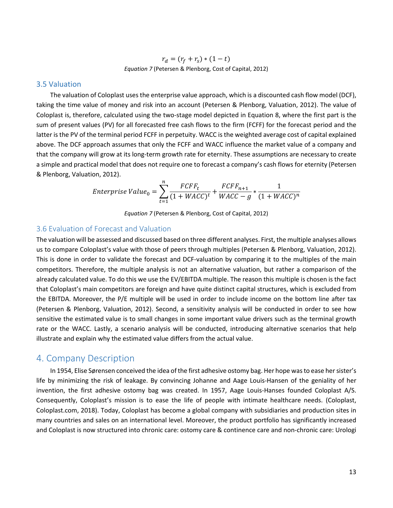$r_d = (r_f + r_s) * (1 - t)$ *Equation 7* (Petersen & Plenborg, Cost of Capital, 2012)

#### <span id="page-12-0"></span>3.5 Valuation

The valuation of Coloplast uses the enterprise value approach, which is a discounted cash flow model (DCF), taking the time value of money and risk into an account (Petersen & Plenborg, Valuation, 2012). The value of Coloplast is, therefore, calculated using the two-stage model depicted in Equation 8, where the first part is the sum of present values (PV) for all forecasted free cash flows to the firm (FCFF) for the forecast period and the latter is the PV of the terminal period FCFF in perpetuity. WACC is the weighted average cost of capital explained above. The DCF approach assumes that only the FCFF and WACC influence the market value of a company and that the company will grow at its long-term growth rate for eternity. These assumptions are necessary to create a simple and practical model that does not require one to forecast a company's cash flows for eternity (Petersen & Plenborg, Valuation, 2012).

$$
Enterprise Value_0 = \sum_{t=1}^{n} \frac{FCFF_t}{(1 + WACC)^t} + \frac{FCFF_{n+1}}{WACC - g} * \frac{1}{(1 + WACC)^n}
$$

*Equation 7* (Petersen & Plenborg, Cost of Capital, 2012)

# <span id="page-12-1"></span>3.6 Evaluation of Forecast and Valuation

The valuation will be assessed and discussed based on three different analyses. First, the multiple analyses allows us to compare Coloplast's value with those of peers through multiples (Petersen & Plenborg, Valuation, 2012). This is done in order to validate the forecast and DCF-valuation by comparing it to the multiples of the main competitors. Therefore, the multiple analysis is not an alternative valuation, but rather a comparison of the already calculated value. To do this we use the EV/EBITDA multiple. The reason this multiple is chosen is the fact that Coloplast's main competitors are foreign and have quite distinct capital structures, which is excluded from the EBITDA. Moreover, the P/E multiple will be used in order to include income on the bottom line after tax (Petersen & Plenborg, Valuation, 2012). Second, a sensitivity analysis will be conducted in order to see how sensitive the estimated value is to small changes in some important value drivers such as the terminal growth rate or the WACC. Lastly, a scenario analysis will be conducted, introducing alternative scenarios that help illustrate and explain why the estimated value differs from the actual value.

# <span id="page-12-2"></span>4. Company Description

In 1954, Elise Sørensen conceived the idea of the first adhesive ostomy bag. Her hope was to ease her sister's life by minimizing the risk of leakage. By convincing Johanne and Aage Louis-Hansen of the geniality of her invention, the first adhesive ostomy bag was created. In 1957, Aage Louis-Hanses founded Coloplast A/S. Consequently, Coloplast's mission is to ease the life of people with intimate healthcare needs. (Coloplast, Coloplast.com, 2018). Today, Coloplast has become a global company with subsidiaries and production sites in many countries and sales on an international level. Moreover, the product portfolio has significantly increased and Coloplast is now structured into chronic care: ostomy care & continence care and non-chronic care: Urologi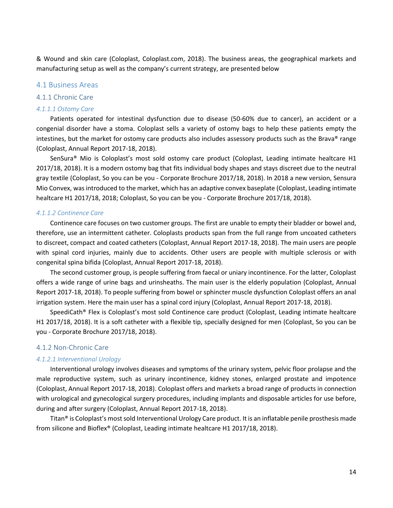& Wound and skin care (Coloplast, Coloplast.com, 2018). The business areas, the geographical markets and manufacturing setup as well as the company's current strategy, are presented below

### <span id="page-13-0"></span>4.1 Business Areas

#### 4.1.1 Chronic Care

#### *4.1.1.1 Ostomy Care*

Patients operated for intestinal dysfunction due to disease (50-60% due to cancer), an accident or a congenial disorder have a stoma. Coloplast sells a variety of ostomy bags to help these patients empty the intestines, but the market for ostomy care products also includes assessory products such as the Brava® range (Coloplast, Annual Report 2017-18, 2018).

SenSura® Mio is Coloplast's most sold ostomy care product (Coloplast, Leading intimate healtcare H1 2017/18, 2018). It is a modern ostomy bag that fits individual body shapes and stays discreet due to the neutral gray textile (Coloplast, So you can be you - Corporate Brochure 2017/18, 2018). In 2018 a new version, Sensura Mio Convex, was introduced to the market, which has an adaptive convex baseplate (Coloplast, Leading intimate healtcare H1 2017/18, 2018; Coloplast, So you can be you - Corporate Brochure 2017/18, 2018).

#### *4.1.1.2 Continence Care*

Continence care focuses on two customer groups. The first are unable to empty their bladder or bowel and, therefore, use an intermittent catheter. Coloplasts products span from the full range from uncoated catheters to discreet, compact and coated catheters (Coloplast, Annual Report 2017-18, 2018). The main users are people with spinal cord injuries, mainly due to accidents. Other users are people with multiple sclerosis or with congenital spina bifida (Coloplast, Annual Report 2017-18, 2018).

The second customer group, is people suffering from faecal or uniary incontinence. For the latter, Coloplast offers a wide range of urine bags and urinsheaths. The main user is the elderly population (Coloplast, Annual Report 2017-18, 2018). To people suffering from bowel or sphincter muscle dysfunction Coloplast offers an anal irrigation system. Here the main user has a spinal cord injury (Coloplast, Annual Report 2017-18, 2018).

SpeediCath® Flex is Coloplast's most sold Continence care product (Coloplast, Leading intimate healtcare H1 2017/18, 2018). It is a soft catheter with a flexible tip, specially designed for men (Coloplast, So you can be you - Corporate Brochure 2017/18, 2018).

#### 4.1.2 Non-Chronic Care

#### *4.1.2.1 Interventional Urology*

Interventional urology involves diseases and symptoms of the urinary system, pelvic floor prolapse and the male reproductive system, such as urinary incontinence, kidney stones, enlarged prostate and impotence (Coloplast, Annual Report 2017-18, 2018). Coloplast offers and markets a broad range of products in connection with urological and gynecological surgery procedures, including implants and disposable articles for use before, during and after surgery (Coloplast, Annual Report 2017-18, 2018).

Titan® is Coloplast's most sold Interventional Urology Care product. It is an inflatable penile prosthesis made from silicone and Bioflex® (Coloplast, Leading intimate healtcare H1 2017/18, 2018).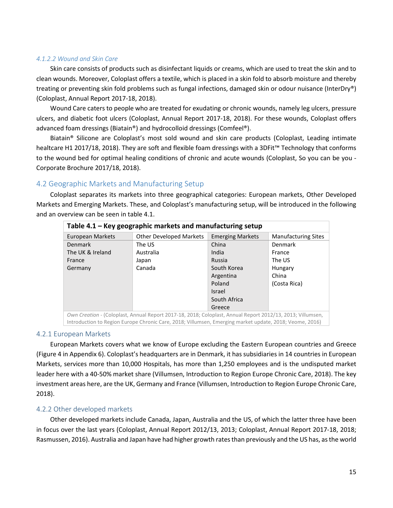### *4.1.2.2 Wound and Skin Care*

Skin care consists of products such as disinfectant liquids or creams, which are used to treat the skin and to clean wounds. Moreover, Coloplast offers a textile, which is placed in a skin fold to absorb moisture and thereby treating or preventing skin fold problems such as fungal infections, damaged skin or odour nuisance (InterDry®) (Coloplast, Annual Report 2017-18, 2018).

Wound Care caters to people who are treated for exudating or chronic wounds, namely leg ulcers, pressure ulcers, and diabetic foot ulcers (Coloplast, Annual Report 2017-18, 2018). For these wounds, Coloplast offers advanced foam dressings (Biatain®) and hydrocolloid dressings (Comfeel®).

Biatain® Silicone are Coloplast's most sold wound and skin care products (Coloplast, Leading intimate healtcare H1 2017/18, 2018). They are soft and flexible foam dressings with a 3DFit™ Technology that conforms to the wound bed for optimal healing conditions of chronic and acute wounds (Coloplast, So you can be you - Corporate Brochure 2017/18, 2018).

# <span id="page-14-0"></span>4.2 Geographic Markets and Manufacturing Setup

Coloplast separates its markets into three geographical categories: European markets, Other Developed Markets and Emerging Markets. These, and Coloplast's manufacturing setup, will be introduced in the following and an overview can be seen in table 4.1.

| Table $4.1$ – Key geographic markets and manufacturing setup |                                                                                                           |                         |                            |  |
|--------------------------------------------------------------|-----------------------------------------------------------------------------------------------------------|-------------------------|----------------------------|--|
| European Markets                                             | <b>Other Developed Markets</b>                                                                            | <b>Emerging Markets</b> | <b>Manufacturing Sites</b> |  |
| <b>Denmark</b>                                               | The US                                                                                                    | China                   | <b>Denmark</b>             |  |
| The UK & Ireland                                             | Australia                                                                                                 | India                   | France                     |  |
| France                                                       | Japan                                                                                                     | Russia                  | The US                     |  |
| Germany                                                      | Canada                                                                                                    | South Korea             | Hungary                    |  |
|                                                              |                                                                                                           | Argentina               | China                      |  |
|                                                              |                                                                                                           | Poland                  | (Costa Rica)               |  |
|                                                              |                                                                                                           | <b>Israel</b>           |                            |  |
|                                                              |                                                                                                           | South Africa            |                            |  |
|                                                              |                                                                                                           | Greece                  |                            |  |
|                                                              | Own Creation - (Coloniact, Annual Report 2017-18, 2018: Coloniact, Annual Report 2012/13, 2013: Villumeen |                         |                            |  |

*Own Creation -* (Coloplast, Annual Report 2017-18, 2018; Coloplast, Annual Report 2012/13, 2013; Villumsen, Introduction to Region Europe Chronic Care, 2018; Villumsen, Emerging market update, 2018; Veome, 2016)

### 4.2.1 European Markets

European Markets covers what we know of Europe excluding the Eastern European countries and Greece (Figure 4 in Appendix 6). Coloplast's headquarters are in Denmark, it has subsidiaries in 14 countries in European Markets, services more than 10,000 Hospitals, has more than 1,250 employees and is the undisputed market leader here with a 40-50% market share (Villumsen, Introduction to Region Europe Chronic Care, 2018). The key investment areas here, are the UK, Germany and France (Villumsen, Introduction to Region Europe Chronic Care, 2018).

# 4.2.2 Other developed markets

Other developed markets include Canada, Japan, Australia and the US, of which the latter three have been in focus over the last years (Coloplast, Annual Report 2012/13, 2013; Coloplast, Annual Report 2017-18, 2018; Rasmussen, 2016). Australia and Japan have had higher growth rates than previously and the US has, as the world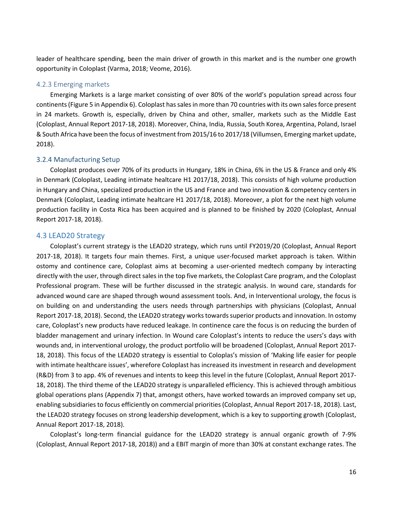leader of healthcare spending, been the main driver of growth in this market and is the number one growth opportunity in Coloplast (Varma, 2018; Veome, 2016).

#### 4.2.3 Emerging markets

Emerging Markets is a large market consisting of over 80% of the world's population spread across four continents(Figure 5 in Appendix 6). Coloplast has sales in more than 70 countries with its own sales force present in 24 markets. Growth is, especially, driven by China and other, smaller, markets such as the Middle East (Coloplast, Annual Report 2017-18, 2018). Moreover, China, India, Russia, South Korea, Argentina, Poland, Israel & South Africa have been the focus of investment from 2015/16 to 2017/18 (Villumsen, Emerging market update, 2018).

#### 3.2.4 Manufacturing Setup

Coloplast produces over 70% of its products in Hungary, 18% in China, 6% in the US & France and only 4% in Denmark (Coloplast, Leading intimate healtcare H1 2017/18, 2018). This consists of high volume production in Hungary and China, specialized production in the US and France and two innovation & competency centers in Denmark (Coloplast, Leading intimate healtcare H1 2017/18, 2018). Moreover, a plot for the next high volume production facility in Costa Rica has been acquired and is planned to be finished by 2020 (Coloplast, Annual Report 2017-18, 2018).

#### <span id="page-15-0"></span>4.3 LEAD20 Strategy

Coloplast's current strategy is the LEAD20 strategy, which runs until FY2019/20 (Coloplast, Annual Report 2017-18, 2018). It targets four main themes. First, a unique user-focused market approach is taken. Within ostomy and continence care, Coloplast aims at becoming a user-oriented medtech company by interacting directly with the user, through direct sales in the top five markets, the Coloplast Care program, and the Coloplast Professional program. These will be further discussed in the strategic analysis. In wound care, standards for advanced wound care are shaped through wound assessment tools. And, in Interventional urology, the focus is on building on and understanding the users needs through partnerships with physicians (Coloplast, Annual Report 2017-18, 2018). Second, the LEAD20 strategy works towards superior products and innovation. In ostomy care, Coloplast's new products have reduced leakage. In continence care the focus is on reducing the burden of bladder management and urinary infection. In Wound care Coloplast's intents to reduce the users's days with wounds and, in interventional urology, the product portfolio will be broadened (Coloplast, Annual Report 2017- 18, 2018). This focus of the LEAD20 strategy is essential to Coloplas's mission of 'Making life easier for people with intimate healthcare issues', wherefore Coloplast has increased its investment in research and development (R&D) from 3 to app. 4% of revenues and intents to keep this level in the future (Coloplast, Annual Report 2017- 18, 2018). The third theme of the LEAD20 strategy is unparalleled efficiency. This is achieved through ambitious global operations plans (Appendix 7) that, amongst others, have worked towards an improved company set up, enabling subsidiaries to focus efficiently on commercial priorities (Coloplast, Annual Report 2017-18, 2018). Last, the LEAD20 strategy focuses on strong leadership development, which is a key to supporting growth (Coloplast, Annual Report 2017-18, 2018).

Coloplast's long-term financial guidance for the LEAD20 strategy is annual organic growth of 7-9% (Coloplast, Annual Report 2017-18, 2018)) and a EBIT margin of more than 30% at constant exchange rates. The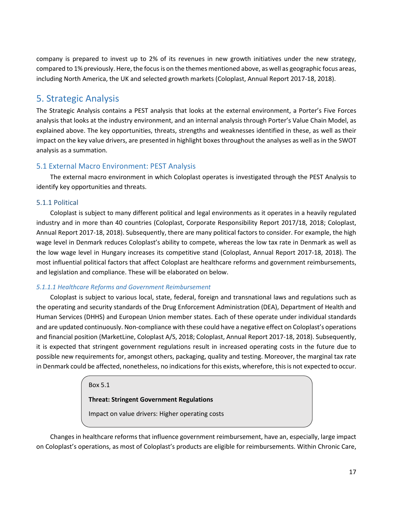company is prepared to invest up to 2% of its revenues in new growth initiatives under the new strategy, compared to 1% previously. Here, the focus is on the themes mentioned above, as well as geographic focus areas, including North America, the UK and selected growth markets (Coloplast, Annual Report 2017-18, 2018).

# <span id="page-16-0"></span>5. Strategic Analysis

The Strategic Analysis contains a PEST analysis that looks at the external environment, a Porter's Five Forces analysis that looks at the industry environment, and an internal analysis through Porter's Value Chain Model, as explained above. The key opportunities, threats, strengths and weaknesses identified in these, as well as their impact on the key value drivers, are presented in highlight boxes throughout the analyses as well as in the SWOT analysis as a summation.

# <span id="page-16-1"></span>5.1 External Macro Environment: PEST Analysis

The external macro environment in which Coloplast operates is investigated through the PEST Analysis to identify key opportunities and threats.

# 5.1.1 Political

Coloplast is subject to many different political and legal environments as it operates in a heavily regulated industry and in more than 40 countries (Coloplast, Corporate Responsibility Report 2017/18, 2018; Coloplast, Annual Report 2017-18, 2018). Subsequently, there are many political factors to consider. For example, the high wage level in Denmark reduces Coloplast's ability to compete, whereas the low tax rate in Denmark as well as the low wage level in Hungary increases its competitive stand (Coloplast, Annual Report 2017-18, 2018). The most influential political factors that affect Coloplast are healthcare reforms and government reimbursements, and legislation and compliance. These will be elaborated on below.

# *5.1.1.1 Healthcare Reforms and Government Reimbursement*

Coloplast is subject to various local, state, federal, foreign and transnational laws and regulations such as the operating and security standards of the Drug Enforcement Administration (DEA), Department of Health and Human Services (DHHS) and European Union member states. Each of these operate under individual standards and are updated continuously. Non-compliance with these could have a negative effect on Coloplast's operations and financial position (MarketLine, Coloplast A/S, 2018; Coloplast, Annual Report 2017-18, 2018). Subsequently, it is expected that stringent government regulations result in increased operating costs in the future due to possible new requirements for, amongst others, packaging, quality and testing. Moreover, the marginal tax rate in Denmark could be affected, nonetheless, no indications for this exists, wherefore, this is not expected to occur.

Box 5.1

# **Threat: Stringent Government Regulations**

Impact on value drivers: Higher operating costs

Changes in healthcare reforms that influence government reimbursement, have an, especially, large impact on Coloplast's operations, as most of Coloplast's products are eligible for reimbursements. Within Chronic Care,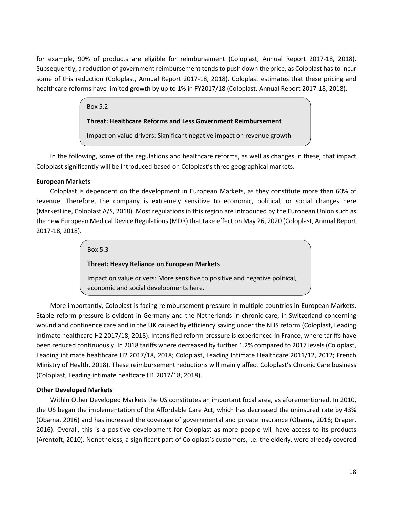for example, 90% of products are eligible for reimbursement (Coloplast, Annual Report 2017-18, 2018). Subsequently, a reduction of government reimbursement tends to push down the price, as Coloplast has to incur some of this reduction (Coloplast, Annual Report 2017-18, 2018). Coloplast estimates that these pricing and healthcare reforms have limited growth by up to 1% in FY2017/18 (Coloplast, Annual Report 2017-18, 2018).

### Box 5.2

#### **Threat: Healthcare Reforms and Less Government Reimbursement**

Impact on value drivers: Significant negative impact on revenue growth

In the following, some of the regulations and healthcare reforms, as well as changes in these, that impact Coloplast significantly will be introduced based on Coloplast's three geographical markets.

#### **European Markets**

Coloplast is dependent on the development in European Markets, as they constitute more than 60% of revenue. Therefore, the company is extremely sensitive to economic, political, or social changes here (MarketLine, Coloplast A/S, 2018). Most regulations in this region are introduced by the European Union such as the new European Medical Device Regulations (MDR) that take effect on May 26, 2020 (Coloplast, Annual Report 2017-18, 2018).

#### Box 5.3

### **Threat: Heavy Reliance on European Markets**

Impact on value drivers: More sensitive to positive and negative political, economic and social developments here.

More importantly, Coloplast is facing reimbursement pressure in multiple countries in European Markets. Stable reform pressure is evident in Germany and the Netherlands in chronic care, in Switzerland concerning wound and continence care and in the UK caused by efficiency saving under the NHS reform (Coloplast, Leading intimate healthcare H2 2017/18, 2018). Intensified reform pressure is experienced in France, where tariffs have been reduced continuously. In 2018 tariffs where decreased by further 1.2% compared to 2017 levels (Coloplast, Leading intimate healthcare H2 2017/18, 2018; Coloplast, Leading Intimate Healthcare 2011/12, 2012; French Ministry of Health, 2018). These reimbursement reductions will mainly affect Coloplast's Chronic Care business (Coloplast, Leading intimate healtcare H1 2017/18, 2018).

### **Other Developed Markets**

Within Other Developed Markets the US constitutes an important focal area, as aforementioned. In 2010, the US began the implementation of the Affordable Care Act, which has decreased the uninsured rate by 43% (Obama, 2016) and has increased the coverage of governmental and private insurance (Obama, 2016; Draper, 2016). Overall, this is a positive development for Coloplast as more people will have access to its products (Arentoft, 2010). Nonetheless, a significant part of Coloplast's customers, i.e. the elderly, were already covered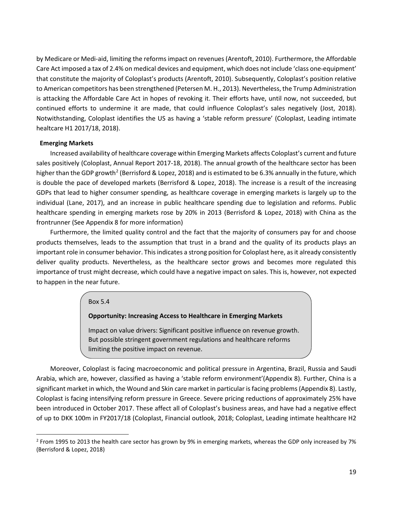by Medicare or Medi-aid, limiting the reforms impact on revenues (Arentoft, 2010). Furthermore, the Affordable Care Act imposed a tax of 2.4% on medical devices and equipment, which does not include 'class one-equipment' that constitute the majority of Coloplast's products (Arentoft, 2010). Subsequently, Coloplast's position relative to American competitors has been strengthened (Petersen M. H., 2013). Nevertheless, the Trump Administration is attacking the Affordable Care Act in hopes of revoking it. Their efforts have, until now, not succeeded, but continued efforts to undermine it are made, that could influence Coloplast's sales negatively (Jost, 2018). Notwithstanding, Coloplast identifies the US as having a 'stable reform pressure' (Coloplast, Leading intimate healtcare H1 2017/18, 2018).

#### **Emerging Markets**

Increased availability of healthcare coverage within Emerging Markets affects Coloplast's current and future sales positively (Coloplast, Annual Report 2017-18, 2018). The annual growth of the healthcare sector has been higher than the GDP growth<sup>[2](#page-18-0)</sup> (Berrisford & Lopez, 2018) and is estimated to be 6.3% annually in the future, which is double the pace of developed markets (Berrisford & Lopez, 2018). The increase is a result of the increasing GDPs that lead to higher consumer spending, as healthcare coverage in emerging markets is largely up to the individual (Lane, 2017), and an increase in public healthcare spending due to legislation and reforms. Public healthcare spending in emerging markets rose by 20% in 2013 (Berrisford & Lopez, 2018) with China as the frontrunner (See Appendix 8 for more information)

Furthermore, the limited quality control and the fact that the majority of consumers pay for and choose products themselves, leads to the assumption that trust in a brand and the quality of its products plays an important role in consumer behavior. This indicates a strong position for Coloplast here, as it already consistently deliver quality products. Nevertheless, as the healthcare sector grows and becomes more regulated this importance of trust might decrease, which could have a negative impact on sales. This is, however, not expected to happen in the near future.

#### Box 5.4

#### **Opportunity: Increasing Access to Healthcare in Emerging Markets**

Impact on value drivers: Significant positive influence on revenue growth. But possible stringent government regulations and healthcare reforms limiting the positive impact on revenue.

Moreover, Coloplast is facing macroeconomic and political pressure in Argentina, Brazil, Russia and Saudi Arabia, which are, however, classified as having a 'stable reform environment'(Appendix 8). Further, China is a significant market in which, the Wound and Skin care market in particular is facing problems (Appendix 8). Lastly, Coloplast is facing intensifying reform pressure in Greece. Severe pricing reductions of approximately 25% have been introduced in October 2017. These affect all of Coloplast's business areas, and have had a negative effect of up to DKK 100m in FY2017/18 (Coloplast, Financial outlook, 2018; Coloplast, Leading intimate healthcare H2

<span id="page-18-0"></span> $2$  From 1995 to 2013 the health care sector has grown by 9% in emerging markets, whereas the GDP only increased by 7% (Berrisford & Lopez, 2018)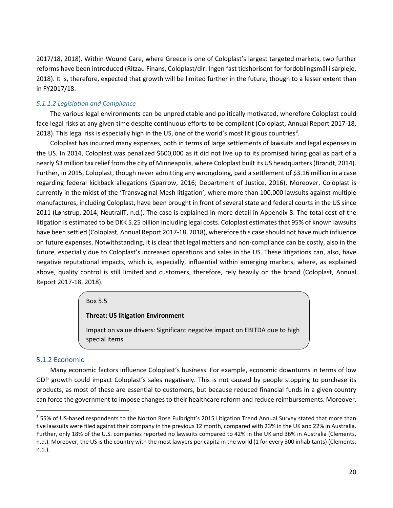2017/18, 2018). Within Wound Care, where Greece is one of Coloplast's largest targeted markets, two further reforms have been introduced (Ritzau Finans, Coloplast/dir: Ingen fast tidshorisont for fordoblingsmål i sårpleje, 2018). It is, therefore, expected that growth will be limited further in the future, though to a lesser extent than in FY2017/18.

### *5.1.1.2 Legislation and Compliance*

The various legal environments can be unpredictable and politically motivated, wherefore Coloplast could face legal risks at any given time despite continuous efforts to be compliant (Coloplast, Annual Report 2017-18, 2018). This legal risk is especially high in the US, one of the world's most litigious countries<sup>[3](#page-19-0)</sup>.

Coloplast has incurred many expenses, both in terms of large settlements of lawsuits and legal expenses in the US. In 2014, Coloplast was penalized \$600,000 as it did not live up to its promised hiring goal as part of a nearly \$3 million tax relief from the city of Minneapolis, where Coloplast built its US headquarters (Brandt, 2014). Further, in 2015, Coloplast, though never admitting any wrongdoing, paid a settlement of \$3.16 million in a case regarding federal kickback allegations (Sparrow, 2016; Department of Justice, 2016). Moreover, Coloplast is currently in the midst of the 'Transvaginal Mesh litigation', where more than 100,000 lawsuits against multiple manufactures, including Coloplast, have been brought in front of several state and federal courts in the US since 2011 (Lønstrup, 2014; NeutralIT, n.d.). The case is explained in more detail in Appendix 8. The total cost of the litigation is estimated to be DKK 5.25 billion including legal costs. Coloplast estimates that 95% of known lawsuits have been settled (Coloplast, Annual Report 2017-18, 2018), wherefore this case should not have much influence on future expenses. Notwithstanding, it is clear that legal matters and non-compliance can be costly, also in the future, especially due to Coloplast's increased operations and sales in the US. These litigations can, also, have negative reputational impacts, which is, especially, influential within emerging markets, where, as explained above, quality control is still limited and customers, therefore, rely heavily on the brand (Coloplast, Annual Report 2017-18, 2018).

#### Box 5.5

#### **Threat: US litigation Environment**

Impact on value drivers: Significant negative impact on EBITDA due to high special items

#### 5.1.2 Economic

Many economic factors influence Coloplast's business. For example, economic downturns in terms of low GDP growth could impact Coloplast's sales negatively. This is not caused by people stopping to purchase its products, as most of these are essential to customers, but because reduced financial funds in a given country can force the government to impose changes to their healthcare reform and reduce reimbursements. Moreover,

<span id="page-19-0"></span> $3$  55% of US-based respondents to the Norton Rose Fulbright's 2015 Litigation Trend Annual Survey stated that more than five lawsuits were filed against their company in the previous 12 month, compared with 23% in the UK and 22% in Australia. Further, only 18% of the U.S. companies reported no lawsuits compared to 42% in the UK and 36% in Australia (Clements, n.d.). Moreover, the US is the country with the most lawyers per capita in the world (1 for every 300 inhabitants) (Clements, n.d.).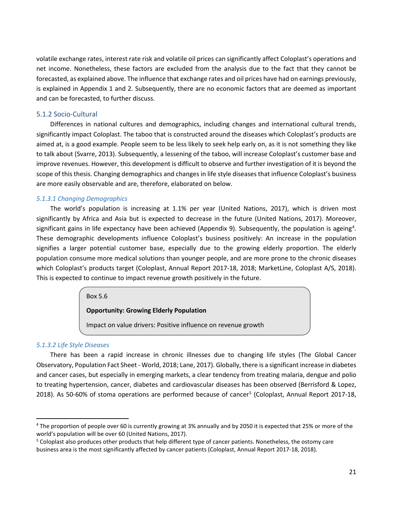volatile exchange rates, interest rate risk and volatile oil prices can significantly affect Coloplast's operations and net income. Nonetheless, these factors are excluded from the analysis due to the fact that they cannot be forecasted, as explained above. The influence that exchange rates and oil prices have had on earnings previously, is explained in Appendix 1 and 2. Subsequently, there are no economic factors that are deemed as important and can be forecasted, to further discuss.

### 5.1.2 Socio-Cultural

Differences in national cultures and demographics, including changes and international cultural trends, significantly impact Coloplast. The taboo that is constructed around the diseases which Coloplast's products are aimed at, is a good example. People seem to be less likely to seek help early on, as it is not something they like to talk about (Svarre, 2013). Subsequently, a lessening of the taboo, will increase Coloplast's customer base and improve revenues. However, this development is difficult to observe and further investigation of it is beyond the scope of this thesis. Changing demographics and changes in life style diseases that influence Coloplast's business are more easily observable and are, therefore, elaborated on below.

#### *5.1.3.1 Changing Demographics*

The world's population is increasing at 1.1% per year (United Nations, 2017), which is driven most significantly by Africa and Asia but is expected to decrease in the future (United Nations, 2017). Moreover, significant gains in life expectancy have been achieved (Appendix 9). Subsequently, the population is ageing<sup>[4](#page-20-0)</sup>. These demographic developments influence Coloplast's business positively: An increase in the population signifies a larger potential customer base, especially due to the growing elderly proportion. The elderly population consume more medical solutions than younger people, and are more prone to the chronic diseases which Coloplast's products target (Coloplast, Annual Report 2017-18, 2018; MarketLine, Coloplast A/S, 2018). This is expected to continue to impact revenue growth positively in the future.

Box 5.6

### **Opportunity: Growing Elderly Population**

Impact on value drivers: Positive influence on revenue growth

#### *5.1.3.2 Life Style Diseases*

There has been a rapid increase in chronic illnesses due to changing life styles (The Global Cancer Observatory, Population Fact Sheet - World, 2018; Lane, 2017). Globally, there is a significant increase in diabetes and cancer cases, but especially in emerging markets, a clear tendency from treating malaria, dengue and polio to treating hypertension, cancer, diabetes and cardiovascular diseases has been observed (Berrisford & Lopez, 2018). As 50-60% of stoma operations are performed because of cancer<sup>5</sup> (Coloplast, Annual Report 2017-18,

<span id="page-20-0"></span><sup>&</sup>lt;sup>4</sup> The proportion of people over 60 is currently growing at 3% annually and by 2050 it is expected that 25% or more of the world's population will be over 60 (United Nations, 2017).

<span id="page-20-1"></span><sup>&</sup>lt;sup>5</sup> Coloplast also produces other products that help different type of cancer patients. Nonetheless, the ostomy care business area is the most significantly affected by cancer patients (Coloplast, Annual Report 2017-18, 2018).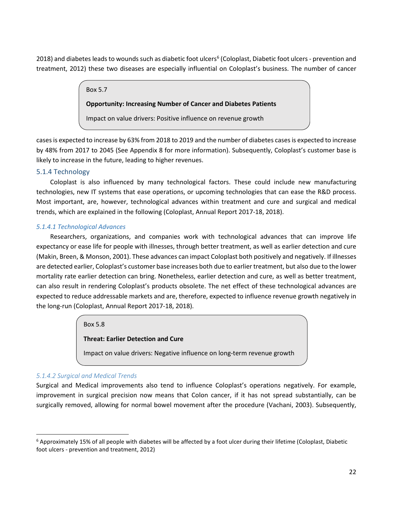2018) and diabetes leads to wounds such as diabetic foot ulcers<sup>[6](#page-21-0)</sup> (Coloplast, Diabetic foot ulcers - prevention and treatment, 2012) these two diseases are especially influential on Coloplast's business. The number of cancer

Box 5.7

# **Opportunity: Increasing Number of Cancer and Diabetes Patients**

Impact on value drivers: Positive influence on revenue growth

cases is expected to increase by 63% from 2018 to 2019 and the number of diabetes cases is expected to increase by 48% from 2017 to 2045 (See Appendix 8 for more information). Subsequently, Coloplast's customer base is likely to increase in the future, leading to higher revenues.

# 5.1.4 Technology

Coloplast is also influenced by many technological factors. These could include new manufacturing technologies, new IT systems that ease operations, or upcoming technologies that can ease the R&D process. Most important, are, however, technological advances within treatment and cure and surgical and medical trends, which are explained in the following (Coloplast, Annual Report 2017-18, 2018).

## *5.1.4.1 Technological Advances*

Researchers, organizations, and companies work with technological advances that can improve life expectancy or ease life for people with illnesses, through better treatment, as well as earlier detection and cure (Makin, Breen, & Monson, 2001). These advances can impact Coloplast both positively and negatively. If illnesses are detected earlier, Coloplast's customer base increases both due to earlier treatment, but also due to the lower mortality rate earlier detection can bring. Nonetheless, earlier detection and cure, as well as better treatment, can also result in rendering Coloplast's products obsolete. The net effect of these technological advances are expected to reduce addressable markets and are, therefore, expected to influence revenue growth negatively in the long-run (Coloplast, Annual Report 2017-18, 2018).

### Box 5.8

# **Threat: Earlier Detection and Cure**

Impact on value drivers: Negative influence on long-term revenue growth

# *5.1.4.2 Surgical and Medical Trends*

Surgical and Medical improvements also tend to influence Coloplast's operations negatively. For example, improvement in surgical precision now means that Colon cancer, if it has not spread substantially, can be surgically removed, allowing for normal bowel movement after the procedure (Vachani, 2003). Subsequently,

<span id="page-21-0"></span> $6$  Approximately 15% of all people with diabetes will be affected by a foot ulcer during their lifetime (Coloplast, Diabetic foot ulcers - prevention and treatment, 2012)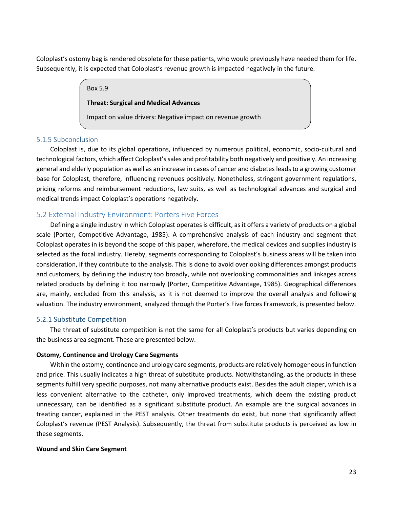Coloplast's ostomy bag is rendered obsolete for these patients, who would previously have needed them for life. Subsequently, it is expected that Coloplast's revenue growth is impacted negatively in the future.

#### Box 5.9

#### **Threat: Surgical and Medical Advances**

Impact on value drivers: Negative impact on revenue growth

### 5.1.5 Subconclusion

Coloplast is, due to its global operations, influenced by numerous political, economic, socio-cultural and technological factors, which affect Coloplast's sales and profitability both negatively and positively. An increasing general and elderly population as well as an increase in cases of cancer and diabetes leads to a growing customer base for Coloplast, therefore, influencing revenues positively. Nonetheless, stringent government regulations, pricing reforms and reimbursement reductions, law suits, as well as technological advances and surgical and medical trends impact Coloplast's operations negatively.

## <span id="page-22-0"></span>5.2 External Industry Environment: Porters Five Forces

Defining a single industry in which Coloplast operates is difficult, as it offers a variety of products on a global scale (Porter, Competitive Advantage, 1985). A comprehensive analysis of each industry and segment that Coloplast operates in is beyond the scope of this paper, wherefore, the medical devices and supplies industry is selected as the focal industry. Hereby, segments corresponding to Coloplast's business areas will be taken into consideration, if they contribute to the analysis. This is done to avoid overlooking differences amongst products and customers, by defining the industry too broadly, while not overlooking commonalities and linkages across related products by defining it too narrowly (Porter, Competitive Advantage, 1985). Geographical differences are, mainly, excluded from this analysis, as it is not deemed to improve the overall analysis and following valuation. The industry environment, analyzed through the Porter's Five forces Framework, is presented below.

### 5.2.1 Substitute Competition

The threat of substitute competition is not the same for all Coloplast's products but varies depending on the business area segment. These are presented below.

#### **Ostomy, Continence and Urology Care Segments**

Within the ostomy, continence and urology care segments, products are relatively homogeneous in function and price. This usually indicates a high threat of substitute products. Notwithstanding, as the products in these segments fulfill very specific purposes, not many alternative products exist. Besides the adult diaper, which is a less convenient alternative to the catheter, only improved treatments, which deem the existing product unnecessary, can be identified as a significant substitute product. An example are the surgical advances in treating cancer, explained in the PEST analysis. Other treatments do exist, but none that significantly affect Coloplast's revenue (PEST Analysis). Subsequently, the threat from substitute products is perceived as low in these segments.

#### **Wound and Skin Care Segment**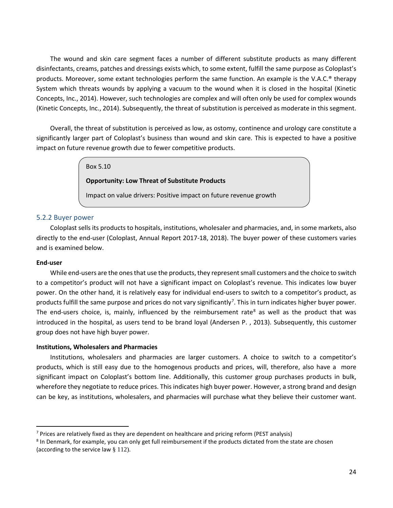The wound and skin care segment faces a number of different substitute products as many different disinfectants, creams, patches and dressings exists which, to some extent, fulfill the same purpose as Coloplast's products. Moreover, some extant technologies perform the same function. An example is the V.A.C.® therapy System which threats wounds by applying a vacuum to the wound when it is closed in the hospital (Kinetic Concepts, Inc., 2014). However, such technologies are complex and will often only be used for complex wounds (Kinetic Concepts, Inc., 2014). Subsequently, the threat of substitution is perceived as moderate in this segment.

Overall, the threat of substitution is perceived as low, as ostomy, continence and urology care constitute a significantly larger part of Coloplast's business than wound and skin care. This is expected to have a positive impact on future revenue growth due to fewer competitive products.

#### Box 5.10

### **Opportunity: Low Threat of Substitute Products**

Impact on value drivers: Positive impact on future revenue growth

#### 5.2.2 Buyer power

Coloplast sells its products to hospitals, institutions, wholesaler and pharmacies, and, in some markets, also directly to the end-user (Coloplast, Annual Report 2017-18, 2018). The buyer power of these customers varies and is examined below.

#### **End-user**

While end-users are the ones that use the products, they represent small customers and the choice to switch to a competitor's product will not have a significant impact on Coloplast's revenue. This indicates low buyer power. On the other hand, it is relatively easy for individual end-users to switch to a competitor's product, as products fulfill the same purpose and prices do not vary significantly<sup>[7](#page-23-0)</sup>. This in turn indicates higher buyer power. The end-users choice, is, mainly, influenced by the reimbursement rate<sup>[8](#page-23-1)</sup> as well as the product that was introduced in the hospital, as users tend to be brand loyal (Andersen P. , 2013). Subsequently, this customer group does not have high buyer power.

#### **Institutions, Wholesalers and Pharmacies**

Institutions, wholesalers and pharmacies are larger customers. A choice to switch to a competitor's products, which is still easy due to the homogenous products and prices, will, therefore, also have a more significant impact on Coloplast's bottom line. Additionally, this customer group purchases products in bulk, wherefore they negotiate to reduce prices. This indicates high buyer power. However, a strong brand and design can be key, as institutions, wholesalers, and pharmacies will purchase what they believe their customer want.

<span id="page-23-0"></span> $7$  Prices are relatively fixed as they are dependent on healthcare and pricing reform (PEST analysis)

<span id="page-23-1"></span><sup>&</sup>lt;sup>8</sup> In Denmark, for example, you can only get full reimbursement if the products dictated from the state are chosen (according to the service law  $\S$  112).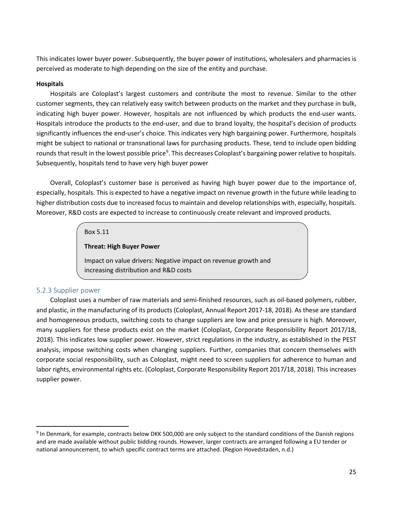This indicates lower buyer power. Subsequently, the buyer power of institutions, wholesalers and pharmacies is perceived as moderate to high depending on the size of the entity and purchase.

### **Hospitals**

Hospitals are Coloplast's largest customers and contribute the most to revenue. Similar to the other customer segments, they can relatively easy switch between products on the market and they purchase in bulk, indicating high buyer power. However, hospitals are not influenced by which products the end-user wants. Hospitals introduce the products to the end-user, and due to brand loyalty, the hospital's decision of products significantly influences the end-user's choice. This indicates very high bargaining power. Furthermore, hospitals might be subject to national or transnational laws for purchasing products. These, tend to include open bidding rounds that result in the lowest possible price<sup>[9](#page-24-0)</sup>. This decreases Coloplast's bargaining power relative to hospitals. Subsequently, hospitals tend to have very high buyer power

Overall, Coloplast's customer base is perceived as having high buyer power due to the importance of, especially, hospitals. This is expected to have a negative impact on revenue growth in the future while leading to higher distribution costs due to increased focus to maintain and develop relationships with, especially, hospitals. Moreover, R&D costs are expected to increase to continuously create relevant and improved products.

### Box 5.11

#### **Threat: High Buyer Power**

Impact on value drivers: Negative impact on revenue growth and increasing distribution and R&D costs

### 5.2.3 Supplier power

Coloplast uses a number of raw materials and semi-finished resources, such as oil-based polymers, rubber, and plastic, in the manufacturing of its products (Coloplast, Annual Report 2017-18, 2018). As these are standard and homogeneous products, switching costs to change suppliers are low and price pressure is high. Moreover, many suppliers for these products exist on the market (Coloplast, Corporate Responsibility Report 2017/18, 2018). This indicates low supplier power. However, strict regulations in the industry, as established in the PEST analysis, impose switching costs when changing suppliers. Further, companies that concern themselves with corporate social responsibility, such as Coloplast, might need to screen suppliers for adherence to human and labor rights, environmental rights etc. (Coloplast, Corporate Responsibility Report 2017/18, 2018). This increases supplier power.

<span id="page-24-0"></span> <sup>9</sup> In Denmark, for example, contracts below DKK 500,000 are only subject to the standard conditions of the Danish regions and are made available without public bidding rounds. However, larger contracts are arranged following a EU tender or national announcement, to which specific contract terms are attached. (Region Hovedstaden, n.d.)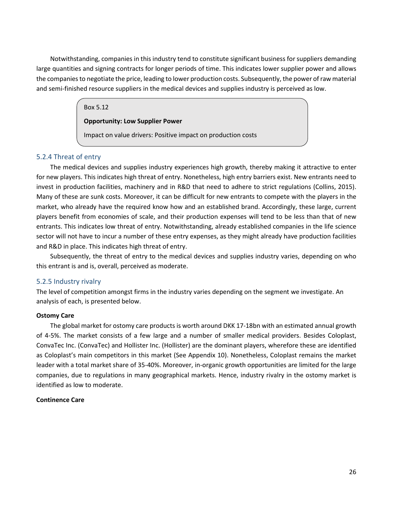Notwithstanding, companies in this industry tend to constitute significant business for suppliers demanding large quantities and signing contracts for longer periods of time. This indicates lower supplier power and allows the companies to negotiate the price, leading to lower production costs. Subsequently, the power of raw material and semi-finished resource suppliers in the medical devices and supplies industry is perceived as low.

#### Box 5.12

## **Opportunity: Low Supplier Power**

Impact on value drivers: Positive impact on production costs

### 5.2.4 Threat of entry

The medical devices and supplies industry experiences high growth, thereby making it attractive to enter for new players. This indicates high threat of entry. Nonetheless, high entry barriers exist. New entrants need to invest in production facilities, machinery and in R&D that need to adhere to strict regulations (Collins, 2015). Many of these are sunk costs. Moreover, it can be difficult for new entrants to compete with the players in the market, who already have the required know how and an established brand. Accordingly, these large, current players benefit from economies of scale, and their production expenses will tend to be less than that of new entrants. This indicates low threat of entry. Notwithstanding, already established companies in the life science sector will not have to incur a number of these entry expenses, as they might already have production facilities and R&D in place. This indicates high threat of entry.

Subsequently, the threat of entry to the medical devices and supplies industry varies, depending on who this entrant is and is, overall, perceived as moderate.

### 5.2.5 Industry rivalry

The level of competition amongst firms in the industry varies depending on the segment we investigate. An analysis of each, is presented below.

#### **Ostomy Care**

The global market for ostomy care products is worth around DKK 17-18bn with an estimated annual growth of 4-5%. The market consists of a few large and a number of smaller medical providers. Besides Coloplast, ConvaTec Inc. (ConvaTec) and Hollister Inc. (Hollister) are the dominant players, wherefore these are identified as Coloplast's main competitors in this market (See Appendix 10). Nonetheless, Coloplast remains the market leader with a total market share of 35-40%. Moreover, in-organic growth opportunities are limited for the large companies, due to regulations in many geographical markets. Hence, industry rivalry in the ostomy market is identified as low to moderate.

### **Continence Care**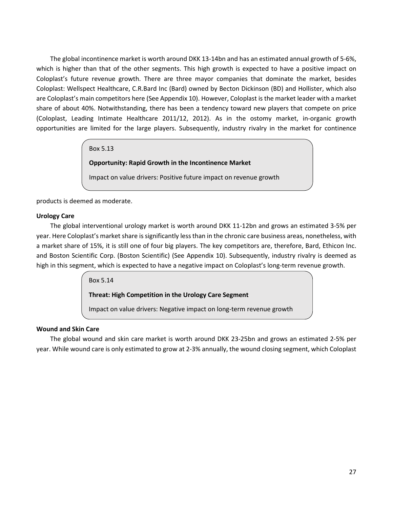The global incontinence market is worth around DKK 13-14bn and has an estimated annual growth of 5-6%, which is higher than that of the other segments. This high growth is expected to have a positive impact on Coloplast's future revenue growth. There are three mayor companies that dominate the market, besides Coloplast: Wellspect Healthcare, C.R.Bard Inc (Bard) owned by Becton Dickinson (BD) and Hollister, which also are Coloplast's main competitors here (See Appendix 10). However, Coloplast is the market leader with a market share of about 40%. Notwithstanding, there has been a tendency toward new players that compete on price (Coloplast, Leading Intimate Healthcare 2011/12, 2012). As in the ostomy market, in-organic growth opportunities are limited for the large players. Subsequently, industry rivalry in the market for continence

Box 5.13

**Opportunity: Rapid Growth in the Incontinence Market**

Impact on value drivers: Positive future impact on revenue growth

products is deemed as moderate.

#### **Urology Care**

The global interventional urology market is worth around DKK 11-12bn and grows an estimated 3-5% per year. Here Coloplast's market share is significantly less than in the chronic care business areas, nonetheless, with a market share of 15%, it is still one of four big players. The key competitors are, therefore, Bard, Ethicon Inc. and Boston Scientific Corp. (Boston Scientific) (See Appendix 10). Subsequently, industry rivalry is deemed as high in this segment, which is expected to have a negative impact on Coloplast's long-term revenue growth.

Box 5.14

### **Threat: High Competition in the Urology Care Segment**

Impact on value drivers: Negative impact on long-term revenue growth

### **Wound and Skin Care**

The global wound and skin care market is worth around DKK 23-25bn and grows an estimated 2-5% per year. While wound care is only estimated to grow at 2-3% annually, the wound closing segment, which Coloplast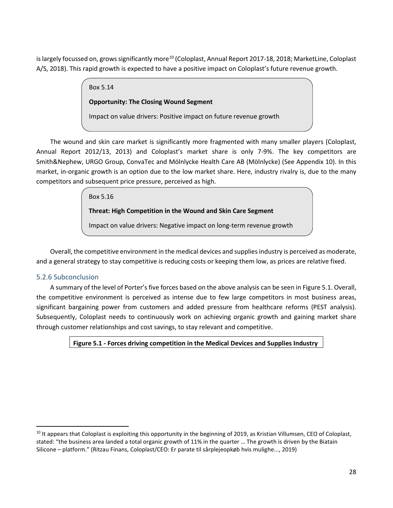is largely focussed on, grows significantly more<sup>[10](#page-27-0)</sup> (Coloplast, Annual Report 2017-18, 2018; MarketLine, Coloplast A/S, 2018). This rapid growth is expected to have a positive impact on Coloplast's future revenue growth.

Box 5.14

**Opportunity: The Closing Wound Segment**

Impact on value drivers: Positive impact on future revenue growth

The wound and skin care market is significantly more fragmented with many smaller players (Coloplast, Annual Report 2012/13, 2013) and Coloplast's market share is only 7-9%. The key competitors are Smith&Nephew, URGO Group, ConvaTec and Mölnlycke Health Care AB (Mölnlycke) (See Appendix 10). In this market, in-organic growth is an option due to the low market share. Here, industry rivalry is, due to the many competitors and subsequent price pressure, perceived as high.

Box 5.16

**Threat: High Competition in the Wound and Skin Care Segment**

Impact on value drivers: Negative impact on long-term revenue growth

Overall, the competitive environment in the medical devices and supplies industry is perceived as moderate, and a general strategy to stay competitive is reducing costs or keeping them low, as prices are relative fixed.

# 5.2.6 Subconclusion

A summary of the level of Porter's five forces based on the above analysis can be seen in Figure 5.1. Overall, the competitive environment is perceived as intense due to few large competitors in most business areas, significant bargaining power from customers and added pressure from healthcare reforms (PEST analysis). Subsequently, Coloplast needs to continuously work on achieving organic growth and gaining market share through customer relationships and cost savings, to stay relevant and competitive.

**Figure 5.1 - Forces driving competition in the Medical Devices and Supplies Industry**

<span id="page-27-0"></span> $10$  It appears that Coloplast is exploiting this opportunity in the beginning of 2019, as Kristian Villumsen, CEO of Coloplast, stated: "the business area landed a total organic growth of 11% in the quarter … The growth is driven by the Biatain Silicone – platform." (Ritzau Finans, Coloplast/CEO: Er parate til sårplejeopkøb hvis mulighe..., 2019)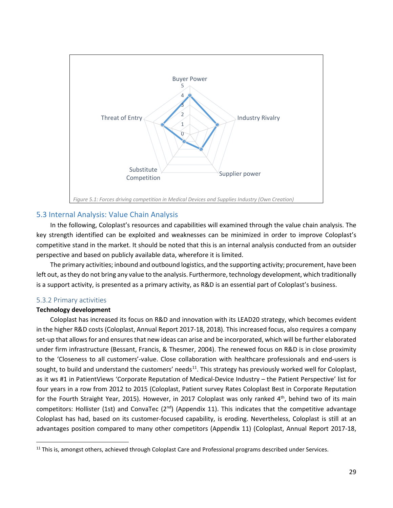

# <span id="page-28-0"></span>5.3 Internal Analysis: Value Chain Analysis

In the following, Coloplast's resources and capabilities will examined through the value chain analysis. The key strength identified can be exploited and weaknesses can be minimized in order to improve Coloplast's competitive stand in the market. It should be noted that this is an internal analysis conducted from an outsider perspective and based on publicly available data, wherefore it is limited.

The primary activities; inbound and outbound logistics, and the supporting activity; procurement, have been left out, as they do not bring any value to the analysis. Furthermore, technology development, which traditionally is a support activity, is presented as a primary activity, as R&D is an essential part of Coloplast's business.

### 5.3.2 Primary activities

### **Technology development**

Coloplast has increased its focus on R&D and innovation with its LEAD20 strategy, which becomes evident in the higher R&D costs (Coloplast, Annual Report 2017-18, 2018). This increased focus, also requires a company set-up that allows for and ensures that new ideas can arise and be incorporated, which will be further elaborated under firm infrastructure (Bessant, Francis, & Thesmer, 2004). The renewed focus on R&D is in close proximity to the 'Closeness to all customers'-value. Close collaboration with healthcare professionals and end-users is sought, to build and understand the customers' needs<sup>11</sup>. This strategy has previously worked well for Coloplast, as it ws #1 in PatientViews 'Corporate Reputation of Medical-Device Industry – the Patient Perspective' list for four years in a row from 2012 to 2015 (Coloplast, Patient survey Rates Coloplast Best in Corporate Reputation for the Fourth Straight Year, 2015). However, in 2017 Coloplast was only ranked 4<sup>th</sup>, behind two of its main competitors: Hollister (1st) and ConvaTec ( $2^{nd}$ ) (Appendix 11). This indicates that the competitive advantage Coloplast has had, based on its customer-focused capability, is eroding. Nevertheless, Coloplast is still at an advantages position compared to many other competitors (Appendix 11) (Coloplast, Annual Report 2017-18,

<span id="page-28-1"></span><sup>&</sup>lt;sup>11</sup> This is, amongst others, achieved through Coloplast Care and Professional programs described under Services.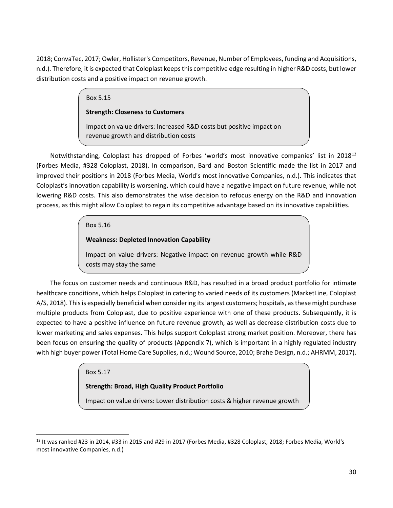2018; ConvaTec, 2017; Owler, Hollister's Competitors, Revenue, Number of Employees, funding and Acquisitions, n.d.). Therefore, it is expected that Coloplast keeps this competitive edge resulting in higher R&D costs, but lower distribution costs and a positive impact on revenue growth.

# Box 5.15

### **Strength: Closeness to Customers**

Impact on value drivers: Increased R&D costs but positive impact on revenue growth and distribution costs

Notwithstanding, Coloplast has dropped of Forbes 'world's most innovative companies' list in 2018<sup>[12](#page-29-0)</sup> (Forbes Media, #328 Coloplast, 2018). In comparison, Bard and Boston Scientific made the list in 2017 and improved their positions in 2018 (Forbes Media, World's most innovative Companies, n.d.). This indicates that Coloplast's innovation capability is worsening, which could have a negative impact on future revenue, while not lowering R&D costs. This also demonstrates the wise decision to refocus energy on the R&D and innovation process, as this might allow Coloplast to regain its competitive advantage based on its innovative capabilities.

# Box 5.16

# **Weakness: Depleted Innovation Capability**

Impact on value drivers: Negative impact on revenue growth while R&D costs may stay the same

The focus on customer needs and continuous R&D, has resulted in a broad product portfolio for intimate healthcare conditions, which helps Coloplast in catering to varied needs of its customers (MarketLine, Coloplast A/S, 2018). This is especially beneficial when considering itslargest customers; hospitals, as these might purchase multiple products from Coloplast, due to positive experience with one of these products. Subsequently, it is expected to have a positive influence on future revenue growth, as well as decrease distribution costs due to lower marketing and sales expenses. This helps support Coloplast strong market position. Moreover, there has been focus on ensuring the quality of products (Appendix 7), which is important in a highly regulated industry with high buyer power(Total Home Care Supplies, n.d.; Wound Source, 2010; Brahe Design, n.d.; AHRMM, 2017).

# Box 5.17

# **Strength: Broad, High Quality Product Portfolio**

Impact on value drivers: Lower distribution costs & higher revenue growth

<span id="page-29-0"></span> $12$  It was ranked #23 in 2014, #33 in 2015 and #29 in 2017 (Forbes Media, #328 Coloplast, 2018; Forbes Media, World's most innovative Companies, n.d.)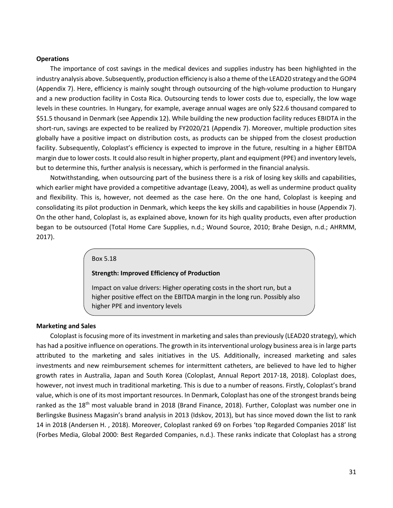#### **Operations**

The importance of cost savings in the medical devices and supplies industry has been highlighted in the industry analysis above. Subsequently, production efficiency is also a theme ofthe LEAD20 strategy and the GOP4 (Appendix 7). Here, efficiency is mainly sought through outsourcing of the high-volume production to Hungary and a new production facility in Costa Rica. Outsourcing tends to lower costs due to, especially, the low wage levels in these countries. In Hungary, for example, average annual wages are only \$22.6 thousand compared to \$51.5 thousand in Denmark (see Appendix 12). While building the new production facility reduces EBIDTA in the short-run, savings are expected to be realized by FY2020/21 (Appendix 7). Moreover, multiple production sites globally have a positive impact on distribution costs, as products can be shipped from the closest production facility. Subsequently, Coloplast's efficiency is expected to improve in the future, resulting in a higher EBITDA margin due to lower costs. It could also result in higher property, plant and equipment (PPE) and inventory levels, but to determine this, further analysis is necessary, which is performed in the financial analysis.

Notwithstanding, when outsourcing part of the business there is a risk of losing key skills and capabilities, which earlier might have provided a competitive advantage (Leavy, 2004), as well as undermine product quality and flexibility. This is, however, not deemed as the case here. On the one hand, Coloplast is keeping and consolidating its pilot production in Denmark, which keeps the key skills and capabilities in house (Appendix 7). On the other hand, Coloplast is, as explained above, known for its high quality products, even after production began to be outsourced (Total Home Care Supplies, n.d.; Wound Source, 2010; Brahe Design, n.d.; AHRMM, 2017).

#### Box 5.18

#### **Strength: Improved Efficiency of Production**

Impact on value drivers: Higher operating costs in the short run, but a higher positive effect on the EBITDA margin in the long run. Possibly also higher PPE and inventory levels

#### **Marketing and Sales**

Coloplast is focusing more of its investment in marketing and sales than previously (LEAD20 strategy), which has had a positive influence on operations. The growth in its interventional urology business area is in large parts attributed to the marketing and sales initiatives in the US. Additionally, increased marketing and sales investments and new reimbursement schemes for intermittent catheters, are believed to have led to higher growth rates in Australia, Japan and South Korea (Coloplast, Annual Report 2017-18, 2018). Coloplast does, however, not invest much in traditional marketing. This is due to a number of reasons. Firstly, Coloplast's brand value, which is one of its most important resources. In Denmark, Coloplast has one of the strongest brands being ranked as the 18<sup>th</sup> most valuable brand in 2018 (Brand Finance, 2018). Further, Coloplast was number one in Berlingske Business Magasin's brand analysis in 2013 (Idskov, 2013), but has since moved down the list to rank 14 in 2018 (Andersen H. , 2018). Moreover, Coloplast ranked 69 on Forbes 'top Regarded Companies 2018' list (Forbes Media, Global 2000: Best Regarded Companies, n.d.). These ranks indicate that Coloplast has a strong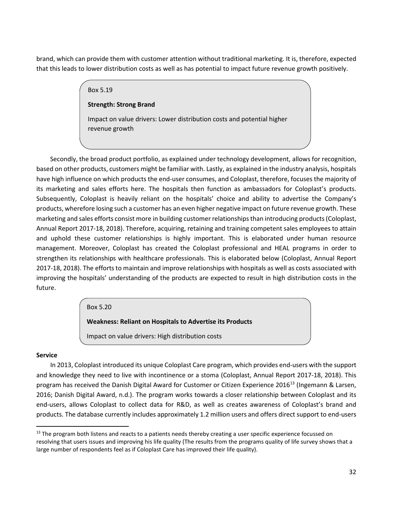brand, which can provide them with customer attention without traditional marketing. It is, therefore, expected that this leads to lower distribution costs as well as has potential to impact future revenue growth positively.

# Box 5.19 **Strength: Strong Brand** Impact on value drivers: Lower distribution costs and potential higher revenue growth

Secondly, the broad product portfolio, as explained under technology development, allows for recognition, based on other products, customers might be familiar with. Lastly, as explained in the industry analysis, hospitals have high influence on which products the end-user consumes, and Coloplast, therefore, focuses the majority of its marketing and sales efforts here. The hospitals then function as ambassadors for Coloplast's products. Subsequently, Coloplast is heavily reliant on the hospitals' choice and ability to advertise the Company's products, wherefore losing such a customer has an even higher negative impact on future revenue growth. These marketing and sales efforts consist more in building customer relationships than introducing products(Coloplast, Annual Report 2017-18, 2018). Therefore, acquiring, retaining and training competent sales employees to attain and uphold these customer relationships is highly important. This is elaborated under human resource management. Moreover, Coloplast has created the Coloplast professional and HEAL programs in order to strengthen its relationships with healthcare professionals. This is elaborated below (Coloplast, Annual Report 2017-18, 2018). The efforts to maintain and improve relationships with hospitals as well as costs associated with improving the hospitals' understanding of the products are expected to result in high distribution costs in the future.

# Box 5.20

**Weakness: Reliant on Hospitals to Advertise its Products**

Impact on value drivers: High distribution costs

# **Service**

In 2013, Coloplast introduced its unique Coloplast Care program, which provides end-users with the support and knowledge they need to live with incontinence or a stoma (Coloplast, Annual Report 2017-18, 2018). This program has received the Danish Digital Award for Customer or Citizen Experience 2016<sup>[13](#page-31-0)</sup> (Ingemann & Larsen, 2016; Danish Digital Award, n.d.). The program works towards a closer relationship between Coloplast and its end-users, allows Coloplast to collect data for R&D, as well as creates awareness of Coloplast's brand and products. The database currently includes approximately 1.2 million users and offers direct support to end-users

<span id="page-31-0"></span><sup>&</sup>lt;sup>13</sup> The program both listens and reacts to a patients needs thereby creating a user specific experience focussed on resolving that users issues and improving his life quality (The results from the programs quality of life survey shows that a large number of respondents feel as if Coloplast Care has improved their life quality).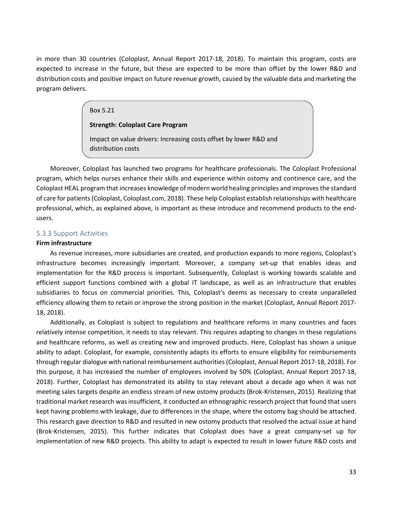in more than 30 countries (Coloplast, Annual Report 2017-18, 2018). To maintain this program, costs are expected to increase in the future, but these are expected to be more than offset by the lower R&D and distribution costs and positive impact on future revenue growth, caused by the valuable data and marketing the program delivers.

#### Box 5.21

#### **Strength: Coloplast Care Program**

Impact on value drivers: Increasing costs offset by lower R&D and distribution costs

Moreover, Coloplast has launched two programs for healthcare professionals. The Coloplast Professional program, which helps nurses enhance their skills and experience within ostomy and continence care, and the Coloplast HEAL program that increases knowledge of modern world healing principles and improves the standard of care for patients(Coloplast, Coloplast.com, 2018). These help Coloplast establish relationships with healthcare professional, which, as explained above, is important as these introduce and recommend products to the endusers.

#### 5.3.3 Support Activities

#### **Firm infrastructure**

As revenue increases, more subsidiaries are created, and production expands to more regions, Coloplast's infrastructure becomes increasingly important. Moreover, a company set-up that enables ideas and implementation for the R&D process is important. Subsequently, Coloplast is working towards scalable and efficient support functions combined with a global IT landscape, as well as an infrastructure that enables subsidiaries to focus on commercial priorities. This, Coloplast's deems as necessary to create unparalleled efficiency allowing them to retain or improve the strong position in the market (Coloplast, Annual Report 2017- 18, 2018).

Additionally, as Coloplast is subject to regulations and healthcare reforms in many countries and faces relatively intense competition, it needs to stay relevant. This requires adapting to changes in these regulations and healthcare reforms, as well as creating new and improved products. Here, Coloplast has shown a unique ability to adapt. Coloplast, for example, consistently adapts its efforts to ensure eligibility for reimbursements through regular dialogue with national reimbursement authorities (Coloplast, Annual Report 2017-18, 2018). For this purpose, it has increased the number of employees involved by 50% (Coloplast, Annual Report 2017-18, 2018). Further, Coloplast has demonstrated its ability to stay relevant about a decade ago when it was not meeting sales targets despite an endless stream of new ostomy products (Brok-Kristensen, 2015). Realizing that traditional market research was insufficient, it conducted an ethnographic research project that found that users kept having problems with leakage, due to differences in the shape, where the ostomy bag should be attached. This research gave direction to R&D and resulted in new ostomy products that resolved the actual issue at hand (Brok-Kristensen, 2015). This further indicates that Coloplast does have a great company-set up for implementation of new R&D projects. This ability to adapt is expected to result in lower future R&D costs and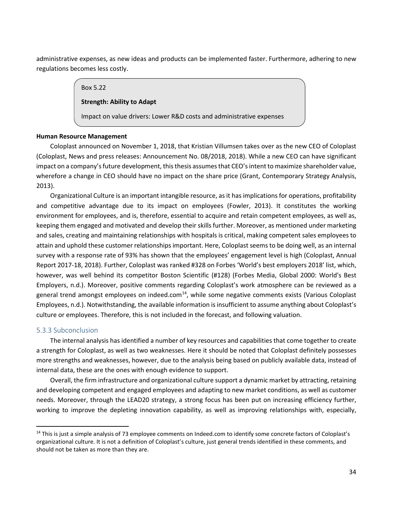administrative expenses, as new ideas and products can be implemented faster. Furthermore, adhering to new regulations becomes less costly.

#### Box 5.22

# **Strength: Ability to Adapt**

Impact on value drivers: Lower R&D costs and administrative expenses

### **Human Resource Management**

Coloplast announced on November 1, 2018, that Kristian Villumsen takes over as the new CEO of Coloplast (Coloplast, News and press releases: Announcement No. 08/2018, 2018). While a new CEO can have significant impact on a company's future development, this thesis assumes that CEO's intent to maximize shareholder value, wherefore a change in CEO should have no impact on the share price (Grant, Contemporary Strategy Analysis, 2013).

Organizational Culture is an important intangible resource, as it has implications for operations, profitability and competitive advantage due to its impact on employees (Fowler, 2013). It constitutes the working environment for employees, and is, therefore, essential to acquire and retain competent employees, as well as, keeping them engaged and motivated and develop their skills further. Moreover, as mentioned under marketing and sales, creating and maintaining relationships with hospitals is critical, making competent sales employees to attain and uphold these customer relationships important. Here, Coloplast seems to be doing well, as an internal survey with a response rate of 93% has shown that the employees' engagement level is high (Coloplast, Annual Report 2017-18, 2018). Further, Coloplast was ranked #328 on Forbes 'World's best employers 2018' list, which, however, was well behind its competitor Boston Scientific (#128) (Forbes Media, Global 2000: World's Best Employers, n.d.). Moreover, positive comments regarding Coloplast's work atmosphere can be reviewed as a general trend amongst employees on indeed.com $14$ , while some negative comments exists (Various Coloplast Employees, n.d.). Notwithstanding, the available information is insufficient to assume anything about Coloplast's culture or employees. Therefore, this is not included in the forecast, and following valuation.

### 5.3.3 Subconclusion

The internal analysis has identified a number of key resources and capabilities that come together to create a strength for Coloplast, as well as two weaknesses. Here it should be noted that Coloplast definitely possesses more strengths and weaknesses, however, due to the analysis being based on publicly available data, instead of internal data, these are the ones with enough evidence to support.

Overall, the firm infrastructure and organizational culture support a dynamic market by attracting, retaining and developing competent and engaged employees and adapting to new market conditions, as well as customer needs. Moreover, through the LEAD20 strategy, a strong focus has been put on increasing efficiency further, working to improve the depleting innovation capability, as well as improving relationships with, especially,

<span id="page-33-0"></span><sup>&</sup>lt;sup>14</sup> This is just a simple analysis of 73 employee comments on Indeed.com to identify some concrete factors of Coloplast's organizational culture. It is not a definition of Coloplast's culture, just general trends identified in these comments, and should not be taken as more than they are.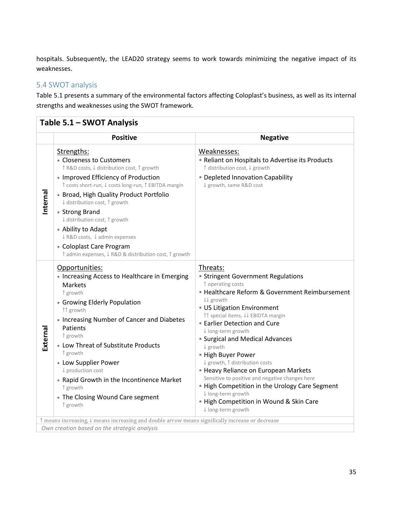hospitals. Subsequently, the LEAD20 strategy seems to work towards minimizing the negative impact of its weaknesses.

# <span id="page-34-0"></span>5.4 SWOT analysis

Table 5.1 presents a summary of the environmental factors affecting Coloplast's business, as well as its internal strengths and weaknesses using the SWOT framework.

|          | <b>Positive</b>                                                                                                                                                                                                                                                                                                                                                                                                                                                                                                                           | <b>Negative</b>                                                                                                                                                                                                                                                                                                                                                                                                                                                                                                                                                                                          |
|----------|-------------------------------------------------------------------------------------------------------------------------------------------------------------------------------------------------------------------------------------------------------------------------------------------------------------------------------------------------------------------------------------------------------------------------------------------------------------------------------------------------------------------------------------------|----------------------------------------------------------------------------------------------------------------------------------------------------------------------------------------------------------------------------------------------------------------------------------------------------------------------------------------------------------------------------------------------------------------------------------------------------------------------------------------------------------------------------------------------------------------------------------------------------------|
| Internal | Strengths:<br>• Closeness to Customers<br>↑ R&D costs, ↓ distribution cost, ↑ growth<br>• Improved Efficiency of Production<br>↑ costs short-run, ↓ costs long-run, ↑ EBITDA margin<br>• Broad, High Quality Product Portfolio<br>↓ distribution cost, ↑ growth<br>• Strong Brand<br>↓ distribution cost, ↑ growth<br>• Ability to Adapt<br>↓ R&D costs, ↓ admin expenses<br>• Coloplast Care Program<br>↑ admin expenses, ↓ R&D & distribution cost, ↑ growth                                                                            | Weaknesses:<br>• Reliant on Hospitals to Advertise its Products<br>↑ distribution cost, ↓ growth<br>• Depleted Innovation Capability<br>↓ growth, same R&D cost                                                                                                                                                                                                                                                                                                                                                                                                                                          |
| External | Opportunities:<br>• Increasing Access to Healthcare in Emerging<br>Markets<br>↑ growth<br>• Growing Elderly Population<br>↑↑ growth<br>• Increasing Number of Cancer and Diabetes<br>Patients<br>↑ growth<br>• Low Threat of Substitute Products<br>↑ growth<br>• Low Supplier Power<br>↓ production cost<br>• Rapid Growth in the Incontinence Market<br>↑ growth<br>• The Closing Wound Care segment<br>↑ growth<br>$\uparrow$ means increasing, $\downarrow$ means increasing and double arrow means significally increase or decrease | Threats:<br>• Stringent Government Regulations<br>↑ operating costs<br>• Healthcare Reform & Government Reimbursement<br>↓↓ growth<br>• US Litigation Environment<br>↑↑ special items, ↓↓ EBIDTA margin<br>• Earlier Detection and Cure<br>↓ long-term growth<br>• Surgical and Medical Advances<br>↓ growth<br>• High Buyer Power<br>↓ growth, ↑ distribution costs<br>• Heavy Reliance on European Markets<br>Sensitive to positive and negative changes here<br>• High Competition in the Urology Care Segment<br>↓ long-term growth<br>. High Competition in Wound & Skin Care<br>↓ long-term growth |

*Own creation based on the strategic analysis*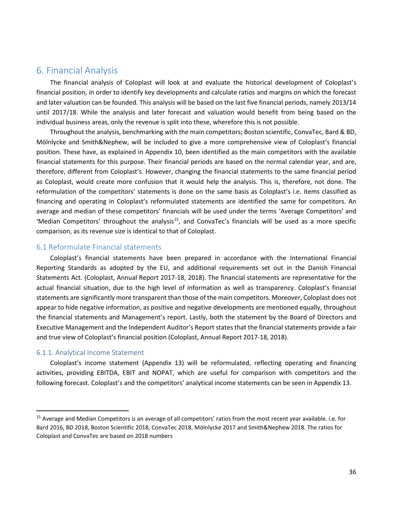# <span id="page-35-0"></span>6. Financial Analysis

The financial analysis of Coloplast will look at and evaluate the historical development of Coloplast's financial position, in order to identify key developments and calculate ratios and margins on which the forecast and later valuation can be founded. This analysis will be based on the last five financial periods, namely 2013/14 until 2017/18. While the analysis and later forecast and valuation would benefit from being based on the individual business areas, only the revenue is split into these, wherefore this is not possible.

Throughout the analysis, benchmarking with the main competitors; Boston scientific, ConvaTec, Bard & BD, Mölnlycke and Smith&Nephew, will be included to give a more comprehensive view of Coloplast's financial position. These have, as explained in Appendix 10, been identified as the main competitors with the available financial statements for this purpose. Their financial periods are based on the normal calendar year, and are, therefore, different from Coloplast's. However, changing the financial statements to the same financial period as Coloplast, would create more confusion that it would help the analysis. This is, therefore, not done. The reformulation of the competitors' statements is done on the same basis as Coloplast's i.e. items classified as financing and operating in Coloplast's reformulated statements are identified the same for competitors. An average and median of these competitors' financials will be used under the terms 'Average Competitors' and 'Median Competitors' throughout the analysis<sup>15</sup>, and ConvaTec's financials will be used as a more specific comparison, as its revenue size is identical to that of Coloplast.

### <span id="page-35-1"></span>6.1 Reformulate Financial statements

Coloplast's financial statements have been prepared in accordance with the International Financial Reporting Standards as adopted by the EU, and additional requirements set out in the Danish Financial Statements Act. (Coloplast, Annual Report 2017-18, 2018). The financial statements are representative for the actual financial situation, due to the high level of information as well as transparency. Coloplast's financial statements are significantly more transparent than those of the main competitors. Moreover, Coloplast does not appear to hide negative information, as positive and negative developments are mentioned equally, throughout the financial statements and Management's report. Lastly, both the statement by the Board of Directors and Executive Management and the Independent Auditor's Report states that the financial statements provide a fair and true view of Coloplast's financial position (Coloplast, Annual Report 2017-18, 2018).

#### 6.1.1. Analytical Income Statement

Coloplast's income statement (Appendix 13) will be reformulated, reflecting operating and financing activities, providing EBITDA, EBIT and NOPAT, which are useful for comparison with competitors and the following forecast. Coloplast's and the competitors' analytical income statements can be seen in Appendix 13.

<span id="page-35-2"></span><sup>&</sup>lt;sup>15</sup> Average and Median Competitors is an average of all competitors' ratios from the most recent year available. i.e. for Bard 2016, BD 2018, Boston Scientific 2018, ConvaTec 2018, Mölnlycke 2017 and Smith&Nephew 2018. The ratios for Coloplast and ConvaTec are based on 2018 numbers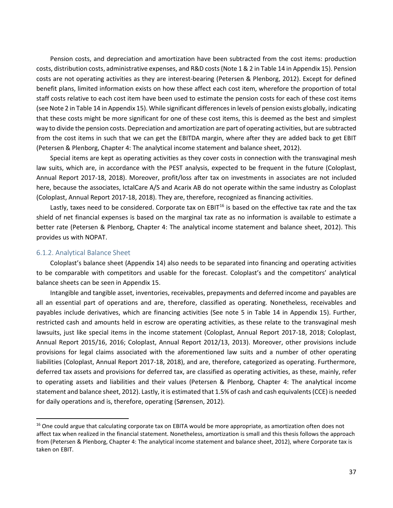Pension costs, and depreciation and amortization have been subtracted from the cost items: production costs, distribution costs, administrative expenses, and R&D costs (Note 1 & 2 in Table 14 in Appendix 15). Pension costs are not operating activities as they are interest-bearing (Petersen & Plenborg, 2012). Except for defined benefit plans, limited information exists on how these affect each cost item, wherefore the proportion of total staff costs relative to each cost item have been used to estimate the pension costs for each of these cost items (see Note 2 in Table 14 in Appendix 15). While significant differences in levels of pension exists globally, indicating that these costs might be more significant for one of these cost items, this is deemed as the best and simplest way to divide the pension costs. Depreciation and amortization are part of operating activities, but are subtracted from the cost items in such that we can get the EBITDA margin, where after they are added back to get EBIT (Petersen & Plenborg, Chapter 4: The analytical income statement and balance sheet, 2012).

Special items are kept as operating activities as they cover costs in connection with the transvaginal mesh law suits, which are, in accordance with the PEST analysis, expected to be frequent in the future (Coloplast, Annual Report 2017-18, 2018). Moreover, profit/loss after tax on investments in associates are not included here, because the associates, IctalCare A/S and Acarix AB do not operate within the same industry as Coloplast (Coloplast, Annual Report 2017-18, 2018). They are, therefore, recognized as financing activities.

Lastly, taxes need to be considered. Corporate tax on EBIT $^{16}$  $^{16}$  $^{16}$  is based on the effective tax rate and the tax shield of net financial expenses is based on the marginal tax rate as no information is available to estimate a better rate (Petersen & Plenborg, Chapter 4: The analytical income statement and balance sheet, 2012). This provides us with NOPAT.

#### 6.1.2. Analytical Balance Sheet

Coloplast's balance sheet (Appendix 14) also needs to be separated into financing and operating activities to be comparable with competitors and usable for the forecast. Coloplast's and the competitors' analytical balance sheets can be seen in Appendix 15.

Intangible and tangible asset, inventories, receivables, prepayments and deferred income and payables are all an essential part of operations and are, therefore, classified as operating. Nonetheless, receivables and payables include derivatives, which are financing activities (See note 5 in Table 14 in Appendix 15). Further, restricted cash and amounts held in escrow are operating activities, as these relate to the transvaginal mesh lawsuits, just like special items in the income statement (Coloplast, Annual Report 2017-18, 2018; Coloplast, Annual Report 2015/16, 2016; Coloplast, Annual Report 2012/13, 2013). Moreover, other provisions include provisions for legal claims associated with the aforementioned law suits and a number of other operating liabilities (Coloplast, Annual Report 2017-18, 2018), and are, therefore, categorized as operating. Furthermore, deferred tax assets and provisions for deferred tax, are classified as operating activities, as these, mainly, refer to operating assets and liabilities and their values (Petersen & Plenborg, Chapter 4: The analytical income statement and balance sheet, 2012). Lastly, it is estimated that 1.5% of cash and cash equivalents (CCE) is needed for daily operations and is, therefore, operating (Sørensen, 2012).

<span id="page-36-0"></span><sup>&</sup>lt;sup>16</sup> One could argue that calculating corporate tax on EBITA would be more appropriate, as amortization often does not affect tax when realized in the financial statement. Nonetheless, amortization is small and this thesis follows the approach from (Petersen & Plenborg, Chapter 4: The analytical income statement and balance sheet, 2012), where Corporate tax is taken on EBIT.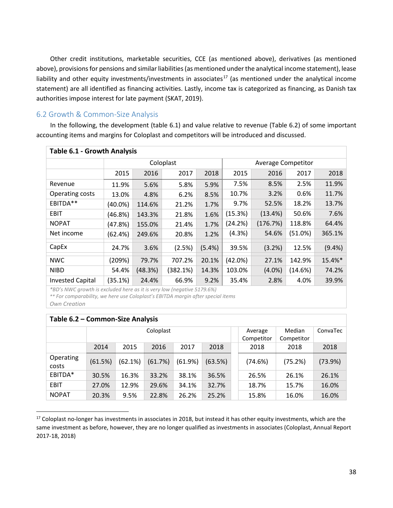Other credit institutions, marketable securities, CCE (as mentioned above), derivatives (as mentioned above), provisions for pensions and similar liabilities (as mentioned under the analytical income statement), lease liability and other equity investments/investments in associates<sup>[17](#page-37-0)</sup> (as mentioned under the analytical income statement) are all identified as financing activities. Lastly, income tax is categorized as financing, as Danish tax authorities impose interest for late payment (SKAT, 2019).

## 6.2 Growth & Common-Size Analysis

In the following, the development (table 6.1) and value relative to revenue (Table 6.2) of some important accounting items and margins for Coloplast and competitors will be introduced and discussed.

| <b>Table 6.1 - Growth Analysis</b> |            |         |           |        |                           |           |            |         |  |  |  |
|------------------------------------|------------|---------|-----------|--------|---------------------------|-----------|------------|---------|--|--|--|
|                                    |            |         | Coloplast |        | <b>Average Competitor</b> |           |            |         |  |  |  |
|                                    | 2015       | 2016    | 2017      | 2018   | 2015                      | 2018      |            |         |  |  |  |
| Revenue                            | 11.9%      | 5.6%    | 5.8%      | 5.9%   | 7.5%                      | 8.5%      | 2.5%       | 11.9%   |  |  |  |
| Operating costs                    | 13.0%      | 4.8%    | 6.2%      | 8.5%   | 10.7%                     | 3.2%      | 0.6%       | 11.7%   |  |  |  |
| EBITDA**                           | $(40.0\%)$ | 114.6%  | 21.2%     | 1.7%   | 9.7%                      | 52.5%     | 18.2%      | 13.7%   |  |  |  |
| <b>EBIT</b>                        | (46.8%)    | 143.3%  | 21.8%     | 1.6%   | (15.3%)                   | (13.4%)   | 50.6%      | 7.6%    |  |  |  |
| <b>NOPAT</b>                       | (47.8%)    | 155.0%  | 21.4%     | 1.7%   | (24.2%)                   | (176.7%)  | 118.8%     | 64.4%   |  |  |  |
| Net income                         | (62.4%)    | 249.6%  | 20.8%     | 1.2%   | (4.3%)                    | 54.6%     | $(51.0\%)$ | 365.1%  |  |  |  |
| CapEx                              | 24.7%      | 3.6%    | (2.5%)    | (5.4%) | 39.5%                     | (3.2%)    | 12.5%      | (9.4% ) |  |  |  |
| <b>NWC</b>                         | (209%)     | 79.7%   | 707.2%    | 20.1%  | (42.0%)                   | 27.1%     | 142.9%     | 15.4%*  |  |  |  |
| <b>NIBD</b>                        | 54.4%      | (48.3%) | (382.1%)  | 14.3%  | 103.0%                    | $(4.0\%)$ | (14.6%)    | 74.2%   |  |  |  |
| <b>Invested Capital</b>            | (35.1%)    | 24.4%   | 66.9%     | 9.2%   | 35.4%                     | 2.8%      | 4.0%       | 39.9%   |  |  |  |

*\*BD's NWC growth is excluded here as it is very low (negative 5179.6%)*

*\*\* For comparability, we here use Coloplast's EBITDA margin after special items*

*Own Creation*

|                    | Table 6.2 - Common-Size Analysis |         |           |         |         |                       |                      |          |         |  |  |  |  |
|--------------------|----------------------------------|---------|-----------|---------|---------|-----------------------|----------------------|----------|---------|--|--|--|--|
|                    |                                  |         | Coloplast |         |         | Average<br>Competitor | Median<br>Competitor | ConvaTec |         |  |  |  |  |
|                    | 2014                             | 2015    | 2016      | 2017    | 2018    |                       | 2018                 | 2018     | 2018    |  |  |  |  |
| Operating<br>costs | (61.5%)                          | (62.1%) | (61.7%)   | (61.9%) | (63.5%) |                       | (74.6%)              | (75.2%)  | (73.9%) |  |  |  |  |
| EBITDA*            | 30.5%                            | 16.3%   | 33.2%     | 38.1%   | 36.5%   |                       | 26.5%                | 26.1%    | 26.1%   |  |  |  |  |
| <b>EBIT</b>        | 27.0%                            | 12.9%   | 29.6%     | 34.1%   | 32.7%   |                       | 18.7%                | 15.7%    | 16.0%   |  |  |  |  |
| <b>NOPAT</b>       | 20.3%                            | 9.5%    | 22.8%     | 26.2%   | 25.2%   |                       | 15.8%                | 16.0%    | 16.0%   |  |  |  |  |

<span id="page-37-0"></span><sup>&</sup>lt;sup>17</sup> Coloplast no-longer has investments in associates in 2018, but instead it has other equity investments, which are the same investment as before, however, they are no longer qualified as investments in associates (Coloplast, Annual Report 2017-18, 2018)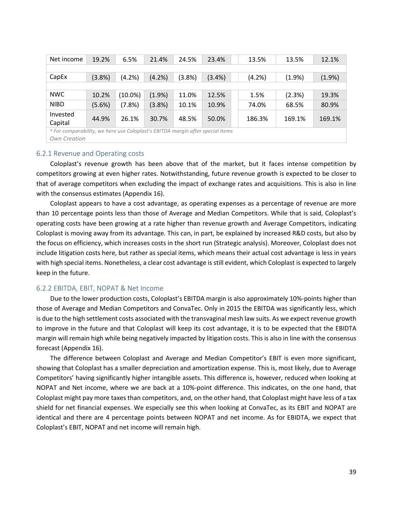| Net income                                                                     | 19.2%  | 6.5%       | 21.4%  | 24.5%  | 23.4%     | 13.5%  | 13.5%  | 12.1%  |
|--------------------------------------------------------------------------------|--------|------------|--------|--------|-----------|--------|--------|--------|
|                                                                                |        |            |        |        |           |        |        |        |
| CapEx                                                                          | (3.8%) | (4.2%)     | (4.2%) | (3.8%) | $(3.4\%)$ | (4.2%) | (1.9%  | (1.9%  |
|                                                                                |        |            |        |        |           |        |        |        |
| <b>NWC</b>                                                                     | 10.2%  | $(10.0\%)$ | (1.9%) | 11.0%  | 12.5%     | 1.5%   | (2.3%) | 19.3%  |
| <b>NIBD</b>                                                                    | (5.6%) | (7.8%)     | (3.8%) | 10.1%  | 10.9%     | 74.0%  | 68.5%  | 80.9%  |
| Invested<br>Capital                                                            | 44.9%  | 26.1%      | 30.7%  | 48.5%  | 50.0%     | 186.3% | 169.1% | 169.1% |
| * For comparability, we here use Coloplast's EBITDA margin after special items |        |            |        |        |           |        |        |        |

*Own Creation*

## 6.2.1 Revenue and Operating costs

Coloplast's revenue growth has been above that of the market, but it faces intense competition by competitors growing at even higher rates. Notwithstanding, future revenue growth is expected to be closer to that of average competitors when excluding the impact of exchange rates and acquisitions. This is also in line with the consensus estimates (Appendix 16).

Coloplast appears to have a cost advantage, as operating expenses as a percentage of revenue are more than 10 percentage points less than those of Average and Median Competitors. While that is said, Coloplast's operating costs have been growing at a rate higher than revenue growth and Average Competitors, indicating Coloplast is moving away from its advantage. This can, in part, be explained by increased R&D costs, but also by the focus on efficiency, which increases costs in the short run (Strategic analysis). Moreover, Coloplast does not include litigation costs here, but rather as special items, which means their actual cost advantage is less in years with high special items. Nonetheless, a clear cost advantage is still evident, which Coloplast is expected to largely keep in the future.

## 6.2.2 EBITDA, EBIT, NOPAT & Net Income

Due to the lower production costs, Coloplast's EBITDA margin is also approximately 10%-points higher than those of Average and Median Competitors and ConvaTec. Only in 2015 the EBITDA was significantly less, which is due to the high settlement costs associated with the transvaginal mesh law suits. As we expect revenue growth to improve in the future and that Coloplast will keep its cost advantage, it is to be expected that the EBIDTA margin will remain high while being negatively impacted by litigation costs. This is also in line with the consensus forecast (Appendix 16).

The difference between Coloplast and Average and Median Competitor's EBIT is even more significant, showing that Coloplast has a smaller depreciation and amortization expense. This is, most likely, due to Average Competitors' having significantly higher intangible assets. This difference is, however, reduced when looking at NOPAT and Net income, where we are back at a 10%-point difference. This indicates, on the one hand, that Coloplast might pay more taxes than competitors, and, on the other hand, that Coloplast might have less of a tax shield for net financial expenses. We especially see this when looking at ConvaTec, as its EBIT and NOPAT are identical and there are 4 percentage points between NOPAT and net income. As for EBIDTA, we expect that Coloplast's EBIT, NOPAT and net income will remain high.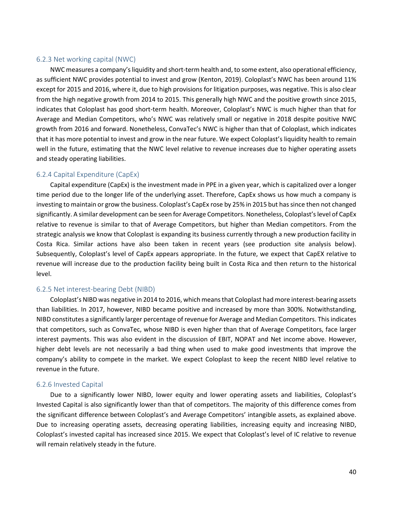## 6.2.3 Net working capital (NWC)

NWC measures a company's liquidity and short-term health and, to some extent, also operational efficiency, as sufficient NWC provides potential to invest and grow (Kenton, 2019). Coloplast's NWC has been around 11% except for 2015 and 2016, where it, due to high provisions for litigation purposes, was negative. This is also clear from the high negative growth from 2014 to 2015. This generally high NWC and the positive growth since 2015, indicates that Coloplast has good short-term health. Moreover, Coloplast's NWC is much higher than that for Average and Median Competitors, who's NWC was relatively small or negative in 2018 despite positive NWC growth from 2016 and forward. Nonetheless, ConvaTec's NWC is higher than that of Coloplast, which indicates that it has more potential to invest and grow in the near future. We expect Coloplast's liquidity health to remain well in the future, estimating that the NWC level relative to revenue increases due to higher operating assets and steady operating liabilities.

## 6.2.4 Capital Expenditure (CapEx)

Capital expenditure (CapEx) is the investment made in PPE in a given year, which is capitalized over a longer time period due to the longer life of the underlying asset. Therefore, CapEx shows us how much a company is investing to maintain or grow the business. Coloplast's CapEx rose by 25% in 2015 but has since then not changed significantly. A similar development can be seen for Average Competitors. Nonetheless, Coloplast's level of CapEx relative to revenue is similar to that of Average Competitors, but higher than Median competitors. From the strategic analysis we know that Coloplast is expanding its business currently through a new production facility in Costa Rica. Similar actions have also been taken in recent years (see production site analysis below). Subsequently, Coloplast's level of CapEx appears appropriate. In the future, we expect that CapEX relative to revenue will increase due to the production facility being built in Costa Rica and then return to the historical level.

## 6.2.5 Net interest-bearing Debt (NIBD)

Coloplast's NIBD was negative in 2014 to 2016, which means that Coloplast had more interest-bearing assets than liabilities. In 2017, however, NIBD became positive and increased by more than 300%. Notwithstanding, NIBD constitutes a significantly larger percentage of revenue for Average and Median Competitors. This indicates that competitors, such as ConvaTec, whose NIBD is even higher than that of Average Competitors, face larger interest payments. This was also evident in the discussion of EBIT, NOPAT and Net income above. However, higher debt levels are not necessarily a bad thing when used to make good investments that improve the company's ability to compete in the market. We expect Coloplast to keep the recent NIBD level relative to revenue in the future.

## 6.2.6 Invested Capital

Due to a significantly lower NIBD, lower equity and lower operating assets and liabilities, Coloplast's Invested Capital is also significantly lower than that of competitors. The majority of this difference comes from the significant difference between Coloplast's and Average Competitors' intangible assets, as explained above. Due to increasing operating assets, decreasing operating liabilities, increasing equity and increasing NIBD, Coloplast's invested capital has increased since 2015. We expect that Coloplast's level of IC relative to revenue will remain relatively steady in the future.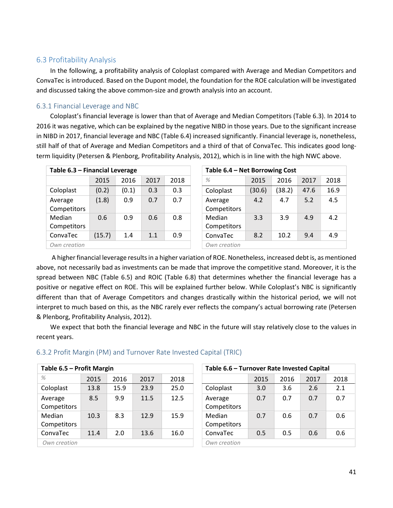## 6.3 Profitability Analysis

In the following, a profitability analysis of Coloplast compared with Average and Median Competitors and ConvaTec is introduced. Based on the Dupont model, the foundation for the ROE calculation will be investigated and discussed taking the above common-size and growth analysis into an account.

## 6.3.1 Financial Leverage and NBC

Coloplast's financial leverage is lower than that of Average and Median Competitors (Table 6.3). In 2014 to 2016 it was negative, which can be explained by the negative NIBD in those years. Due to the significant increase in NIBD in 2017, financial leverage and NBC (Table 6.4) increased significantly. Financial leverage is, nonetheless, still half of that of Average and Median Competitors and a third of that of ConvaTec. This indicates good longterm liquidity (Petersen & Plenborg, Profitability Analysis, 2012), which is in line with the high NWC above.

| Table 6.3 - Financial Leverage |        |       |      |      | Table 6.4 - Net Borrowing Cost |        |        |      |      |  |
|--------------------------------|--------|-------|------|------|--------------------------------|--------|--------|------|------|--|
|                                | 2015   | 2016  | 2017 | 2018 | $\%$                           | 2015   | 2016   | 2017 | 2018 |  |
| Coloplast                      | (0.2)  | (0.1) | 0.3  | 0.3  | Coloplast                      | (30.6) | (38.2) | 47.6 | 16.9 |  |
| Average<br>Competitors         | (1.8)  | 0.9   | 0.7  | 0.7  | Average<br>Competitors         | 4.2    | 4.7    | 5.2  | 4.5  |  |
| Median<br>Competitors          | 0.6    | 0.9   | 0.6  | 0.8  | Median<br>Competitors          | 3.3    | 3.9    | 4.9  | 4.2  |  |
| ConvaTec                       | (15.7) | 1.4   | 1.1  | 0.9  | ConvaTec                       | 8.2    | 10.2   | 9.4  | 4.9  |  |
| Own creation                   |        |       |      |      | Own creation                   |        |        |      |      |  |

| ncial Leverage |       |      |      |  | Table 6.4 - Net Borrowing Cost |        |        |      |      |  |  |  |
|----------------|-------|------|------|--|--------------------------------|--------|--------|------|------|--|--|--|
| 2015           | 2016  | 2017 | 2018 |  | $\%$                           | 2015   | 2016   | 2017 | 2018 |  |  |  |
| (0.2)          | (0.1) | 0.3  | 0.3  |  | Coloplast                      | (30.6) | (38.2) | 47.6 | 16.9 |  |  |  |
| (1.8)          | 0.9   | 0.7  | 0.7  |  | Average<br>Competitors         | 4.2    | 4.7    | 5.2  | 4.5  |  |  |  |
| 0.6            | 0.9   | 0.6  | 0.8  |  | Median<br>Competitors          | 3.3    | 3.9    | 4.9  | 4.2  |  |  |  |
| (15.7)         | 1.4   | 1.1  | 0.9  |  | ConvaTec                       | 8.2    | 10.2   | 9.4  | 4.9  |  |  |  |
|                |       |      |      |  | Own creation                   |        |        |      |      |  |  |  |

A higher financial leverage results in a higher variation of ROE. Nonetheless, increased debt is, as mentioned above, not necessarily bad as investments can be made that improve the competitive stand. Moreover, it is the spread between NBC (Table 6.5) and ROIC (Table 6.8) that determines whether the financial leverage has a positive or negative effect on ROE. This will be explained further below. While Coloplast's NBC is significantly different than that of Average Competitors and changes drastically within the historical period, we will not interpret to much based on this, as the NBC rarely ever reflects the company's actual borrowing rate (Petersen & Plenborg, Profitability Analysis, 2012).

We expect that both the financial leverage and NBC in the future will stay relatively close to the values in recent years.

## 6.3.2 Profit Margin (PM) and Turnover Rate Invested Capital (TRIC)

| Table 6.5 - Profit Margin |      |      |      |      | Table 6.6 - Turnover Rate Invested Capital |      |      |      |      |  |  |
|---------------------------|------|------|------|------|--------------------------------------------|------|------|------|------|--|--|
| $\%$                      | 2015 | 2016 | 2017 | 2018 |                                            | 2015 | 2016 | 2017 | 2018 |  |  |
| Coloplast                 | 13.8 | 15.9 | 23.9 | 25.0 | Coloplast                                  | 3.0  | 3.6  | 2.6  | 2.1  |  |  |
| Average<br>Competitors    | 8.5  | 9.9  | 11.5 | 12.5 | Average<br>Competitors                     | 0.7  | 0.7  | 0.7  | 0.7  |  |  |
| Median<br>Competitors     | 10.3 | 8.3  | 12.9 | 15.9 | Median<br>Competitors                      | 0.7  | 0.6  | 0.7  | 0.6  |  |  |
| ConvaTec                  | 11.4 | 2.0  | 13.6 | 16.0 | ConvaTec                                   | 0.5  | 0.5  | 0.6  | 0.6  |  |  |
| Own creation              |      |      |      |      | Own creation                               |      |      |      |      |  |  |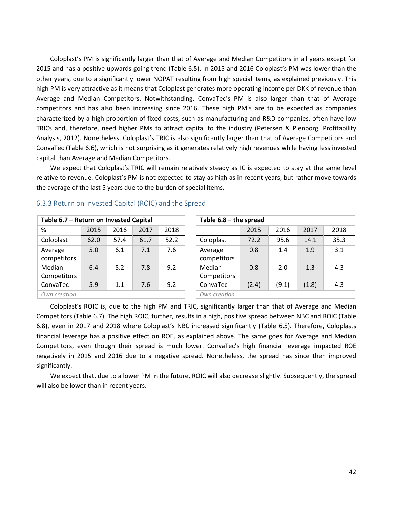Coloplast's PM is significantly larger than that of Average and Median Competitors in all years except for 2015 and has a positive upwards going trend (Table 6.5). In 2015 and 2016 Coloplast's PM was lower than the other years, due to a significantly lower NOPAT resulting from high special items, as explained previously. This high PM is very attractive as it means that Coloplast generates more operating income per DKK of revenue than Average and Median Competitors. Notwithstanding, ConvaTec's PM is also larger than that of Average competitors and has also been increasing since 2016. These high PM's are to be expected as companies characterized by a high proportion of fixed costs, such as manufacturing and R&D companies, often have low TRICs and, therefore, need higher PMs to attract capital to the industry (Petersen & Plenborg, Profitability Analysis, 2012). Nonetheless, Coloplast's TRIC is also significantly larger than that of Average Competitors and ConvaTec (Table 6.6), which is not surprising as it generates relatively high revenues while having less invested capital than Average and Median Competitors.

We expect that Coloplast's TRIC will remain relatively steady as IC is expected to stay at the same level relative to revenue. Coloplast's PM is not expected to stay as high as in recent years, but rather move towards the average of the last 5 years due to the burden of special items.

| Table 6.7 - Return on Invested Capital |      | Table $6.8$ – the spread |      |      |                        |       |
|----------------------------------------|------|--------------------------|------|------|------------------------|-------|
| %                                      | 2015 | 2016                     | 2017 | 2018 |                        | 2015  |
| Coloplast                              | 62.0 | 57.4                     | 61.7 | 52.2 | Coloplast              | 72.2  |
| Average<br>competitors                 | 5.0  | 6.1                      | 7.1  | 7.6  | Average<br>competitors | 0.8   |
| Median<br>Competitors                  | 6.4  | 5.2                      | 7.8  | 9.2  | Median<br>Competitors  | 0.8   |
| ConvaTec                               | 5.9  | 1.1                      | 7.6  | 9.2  | ConvaTec               | (2.4) |
| Own creation                           |      | Own creation             |      |      |                        |       |

| 6.3.3 Return on Invested Capital (ROIC) and the Spread |  |  |  |  |
|--------------------------------------------------------|--|--|--|--|
|--------------------------------------------------------|--|--|--|--|

| Table 6.7 - Return on Invested Capital<br>Table $6.8$ – the spread<br>2018<br>2017<br>2018<br>2015<br>2016<br>2015<br>2017<br>2016<br>35.3<br>52.2<br>62.0<br>57.4<br>61.7<br>72.2<br>95.6<br>14.1<br>Coloplast<br>3.1<br>7.1<br>7.6<br>0.8<br>1.4<br>1.9<br>5.0<br>6.1<br>Average<br>competitors<br>Median<br>5.2<br>9.2<br>Median<br>7.8<br>0.8<br>2.0<br>4.3<br>6.4<br>1.3<br>Competitors<br>Competitors<br>9.2<br>(2.4)<br>(9.1)<br>(1.8)<br>4.3<br>5.9<br>7.6<br>ConvaTec<br>1.1<br>Own creation<br>Own creation |                        |  |  |  |  |  |  |  |  |  |  |
|-----------------------------------------------------------------------------------------------------------------------------------------------------------------------------------------------------------------------------------------------------------------------------------------------------------------------------------------------------------------------------------------------------------------------------------------------------------------------------------------------------------------------|------------------------|--|--|--|--|--|--|--|--|--|--|
|                                                                                                                                                                                                                                                                                                                                                                                                                                                                                                                       |                        |  |  |  |  |  |  |  |  |  |  |
|                                                                                                                                                                                                                                                                                                                                                                                                                                                                                                                       | %                      |  |  |  |  |  |  |  |  |  |  |
|                                                                                                                                                                                                                                                                                                                                                                                                                                                                                                                       | Coloplast              |  |  |  |  |  |  |  |  |  |  |
|                                                                                                                                                                                                                                                                                                                                                                                                                                                                                                                       | Average<br>competitors |  |  |  |  |  |  |  |  |  |  |
|                                                                                                                                                                                                                                                                                                                                                                                                                                                                                                                       |                        |  |  |  |  |  |  |  |  |  |  |
|                                                                                                                                                                                                                                                                                                                                                                                                                                                                                                                       | ConvaTec               |  |  |  |  |  |  |  |  |  |  |
|                                                                                                                                                                                                                                                                                                                                                                                                                                                                                                                       |                        |  |  |  |  |  |  |  |  |  |  |

Coloplast's ROIC is, due to the high PM and TRIC, significantly larger than that of Average and Median Competitors (Table 6.7). The high ROIC, further, results in a high, positive spread between NBC and ROIC (Table 6.8), even in 2017 and 2018 where Coloplast's NBC increased significantly (Table 6.5). Therefore, Coloplasts financial leverage has a positive effect on ROE, as explained above. The same goes for Average and Median Competitors, even though their spread is much lower. ConvaTec's high financial leverage impacted ROE negatively in 2015 and 2016 due to a negative spread. Nonetheless, the spread has since then improved significantly.

We expect that, due to a lower PM in the future, ROIC will also decrease slightly. Subsequently, the spread will also be lower than in recent years.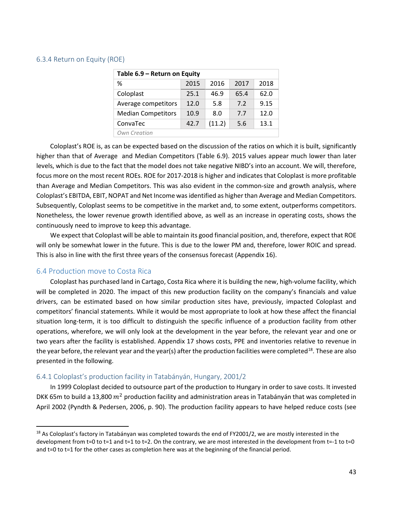#### 6.3.4 Return on Equity (ROE)

| Table 6.9 - Return on Equity |      |        |      |      |  |  |  |  |  |  |  |
|------------------------------|------|--------|------|------|--|--|--|--|--|--|--|
| %                            | 2015 | 2016   | 2017 | 2018 |  |  |  |  |  |  |  |
| Coloplast                    | 25.1 | 46.9   | 65.4 | 62.0 |  |  |  |  |  |  |  |
| Average competitors          | 12.0 | 5.8    | 7.2  | 9.15 |  |  |  |  |  |  |  |
| <b>Median Competitors</b>    | 10.9 | 8.0    | 7.7  | 12.0 |  |  |  |  |  |  |  |
| ConvaTec                     | 42.7 | (11.2) | 5.6  | 13.1 |  |  |  |  |  |  |  |
| Own Creation                 |      |        |      |      |  |  |  |  |  |  |  |

Coloplast's ROE is, as can be expected based on the discussion of the ratios on which it is built, significantly higher than that of Average and Median Competitors (Table 6.9). 2015 values appear much lower than later levels, which is due to the fact that the model does not take negative NIBD's into an account. We will, therefore, focus more on the most recent ROEs. ROE for 2017-2018 is higher and indicates that Coloplast is more profitable than Average and Median Competitors. This was also evident in the common-size and growth analysis, where Coloplast's EBITDA, EBIT, NOPAT and Net Income was identified as higher than Average and Median Competitors. Subsequently, Coloplast seems to be competitive in the market and, to some extent, outperforms competitors. Nonetheless, the lower revenue growth identified above, as well as an increase in operating costs, shows the continuously need to improve to keep this advantage.

We expect that Coloplast will be able to maintain its good financial position, and, therefore, expect that ROE will only be somewhat lower in the future. This is due to the lower PM and, therefore, lower ROIC and spread. This is also in line with the first three years of the consensus forecast (Appendix 16).

## 6.4 Production move to Costa Rica

Coloplast has purchased land in Cartago, Costa Rica where it is building the new, high-volume facility, which will be completed in 2020. The impact of this new production facility on the company's financials and value drivers, can be estimated based on how similar production sites have, previously, impacted Coloplast and competitors' financial statements. While it would be most appropriate to look at how these affect the financial situation long-term, it is too difficult to distinguish the specific influence of a production facility from other operations, wherefore, we will only look at the development in the year before, the relevant year and one or two years after the facility is established. Appendix 17 shows costs, PPE and inventories relative to revenue in the year before, the relevant year and the year(s) after the production facilities were completed<sup>18</sup>. These are also presented in the following.

#### 6.4.1 Coloplast's production facility in Tatabányán, Hungary, 2001/2

In 1999 Coloplast decided to outsource part of the production to Hungary in order to save costs. It invested DKK 65m to build a 13,800  $m^2$  production facility and administration areas in Tatabányán that was completed in April 2002 (Pyndth & Pedersen, 2006, p. 90). The production facility appears to have helped reduce costs (see

<span id="page-42-0"></span> $18$  As Coloplast's factory in Tatabányan was completed towards the end of FY2001/2, we are mostly interested in the development from t=0 to t=1 and t=1 to t=2. On the contrary, we are most interested in the development from t=-1 to t=0 and t=0 to t=1 for the other cases as completion here was at the beginning of the financial period.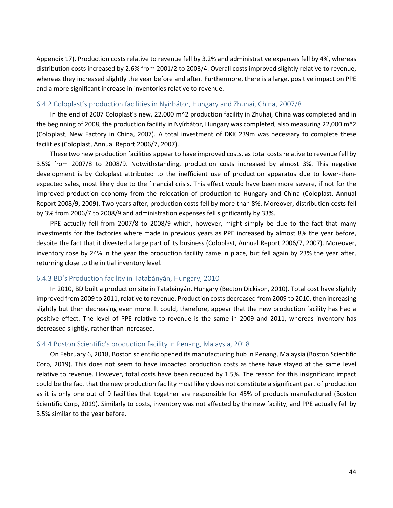Appendix 17). Production costs relative to revenue fell by 3.2% and administrative expenses fell by 4%, whereas distribution costs increased by 2.6% from 2001/2 to 2003/4. Overall costs improved slightly relative to revenue, whereas they increased slightly the year before and after. Furthermore, there is a large, positive impact on PPE and a more significant increase in inventories relative to revenue.

#### 6.4.2 Coloplast's production facilities in Nyírbátor, Hungary and Zhuhai, China, 2007/8

In the end of 2007 Coloplast's new, 22,000  $m^2$  production facility in Zhuhai, China was completed and in the beginning of 2008, the production facility in Nyírbátor, Hungary was completed, also measuring 22,000 m^2 (Coloplast, New Factory in China, 2007). A total investment of DKK 239m was necessary to complete these facilities (Coloplast, Annual Report 2006/7, 2007).

These two new production facilities appear to have improved costs, as total costs relative to revenue fell by 3.5% from 2007/8 to 2008/9. Notwithstanding, production costs increased by almost 3%. This negative development is by Coloplast attributed to the inefficient use of production apparatus due to lower-thanexpected sales, most likely due to the financial crisis. This effect would have been more severe, if not for the improved production economy from the relocation of production to Hungary and China (Coloplast, Annual Report 2008/9, 2009). Two years after, production costs fell by more than 8%. Moreover, distribution costs fell by 3% from 2006/7 to 2008/9 and administration expenses fell significantly by 33%.

PPE actually fell from 2007/8 to 2008/9 which, however, might simply be due to the fact that many investments for the factories where made in previous years as PPE increased by almost 8% the year before, despite the fact that it divested a large part of its business (Coloplast, Annual Report 2006/7, 2007). Moreover, inventory rose by 24% in the year the production facility came in place, but fell again by 23% the year after, returning close to the initial inventory level.

### 6.4.3 BD's Production facility in Tatabányán, Hungary, 2010

In 2010, BD built a production site in Tatabányán, Hungary (Becton Dickison, 2010). Total cost have slightly improved from 2009 to 2011, relative to revenue. Production costs decreased from 2009 to 2010, then increasing slightly but then decreasing even more. It could, therefore, appear that the new production facility has had a positive effect. The level of PPE relative to revenue is the same in 2009 and 2011, whereas inventory has decreased slightly, rather than increased.

#### 6.4.4 Boston Scientific's production facility in Penang, Malaysia, 2018

On February 6, 2018, Boston scientific opened its manufacturing hub in Penang, Malaysia (Boston Scientific Corp, 2019). This does not seem to have impacted production costs as these have stayed at the same level relative to revenue. However, total costs have been reduced by 1.5%. The reason for this insignificant impact could be the fact that the new production facility most likely does not constitute a significant part of production as it is only one out of 9 facilities that together are responsible for 45% of products manufactured (Boston Scientific Corp, 2019). Similarly to costs, inventory was not affected by the new facility, and PPE actually fell by 3.5% similar to the year before.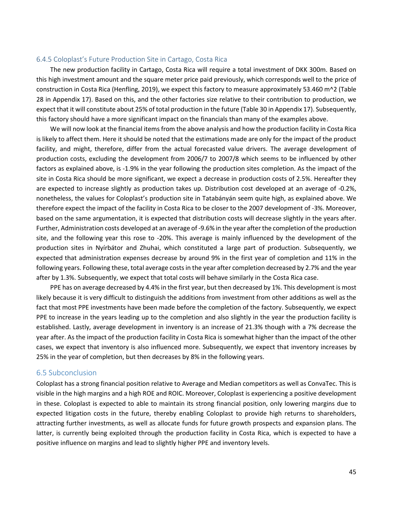## 6.4.5 Coloplast's Future Production Site in Cartago, Costa Rica

The new production facility in Cartago, Costa Rica will require a total investment of DKK 300m. Based on this high investment amount and the square meter price paid previously, which corresponds well to the price of construction in Costa Rica (Henfling, 2019), we expect this factory to measure approximately 53.460 m^2 (Table 28 in Appendix 17). Based on this, and the other factories size relative to their contribution to production, we expect that it will constitute about 25% of total production in the future (Table 30 in Appendix 17). Subsequently, this factory should have a more significant impact on the financials than many of the examples above.

We will now look at the financial items from the above analysis and how the production facility in Costa Rica is likely to affect them. Here it should be noted that the estimations made are only for the impact of the product facility, and might, therefore, differ from the actual forecasted value drivers. The average development of production costs, excluding the development from 2006/7 to 2007/8 which seems to be influenced by other factors as explained above, is -1.9% in the year following the production sites completion. As the impact of the site in Costa Rica should be more significant, we expect a decrease in production costs of 2.5%. Hereafter they are expected to increase slightly as production takes up. Distribution cost developed at an average of -0.2%, nonetheless, the values for Coloplast's production site in Tatabányán seem quite high, as explained above. We therefore expect the impact of the facility in Costa Rica to be closer to the 2007 development of -3%. Moreover, based on the same argumentation, it is expected that distribution costs will decrease slightly in the years after. Further, Administration costs developed at an average of -9.6% in the year after the completion of the production site, and the following year this rose to -20%. This average is mainly influenced by the development of the production sites in Nyírbátor and Zhuhai, which constituted a large part of production. Subsequently, we expected that administration expenses decrease by around 9% in the first year of completion and 11% in the following years. Following these, total average costs in the year after completion decreased by 2.7% and the year after by 1.3%. Subsequently, we expect that total costs will behave similarly in the Costa Rica case.

PPE has on average decreased by 4.4% in the first year, but then decreased by 1%. This development is most likely because it is very difficult to distinguish the additions from investment from other additions as well as the fact that most PPE investments have been made before the completion of the factory. Subsequently, we expect PPE to increase in the years leading up to the completion and also slightly in the year the production facility is established. Lastly, average development in inventory is an increase of 21.3% though with a 7% decrease the year after. As the impact of the production facility in Costa Rica is somewhat higher than the impact of the other cases, we expect that inventory is also influenced more. Subsequently, we expect that inventory increases by 25% in the year of completion, but then decreases by 8% in the following years.

#### 6.5 Subconclusion

Coloplast has a strong financial position relative to Average and Median competitors as well as ConvaTec. This is visible in the high margins and a high ROE and ROIC. Moreover, Coloplast is experiencing a positive development in these. Coloplast is expected to able to maintain its strong financial position, only lowering margins due to expected litigation costs in the future, thereby enabling Coloplast to provide high returns to shareholders, attracting further investments, as well as allocate funds for future growth prospects and expansion plans. The latter, is currently being exploited through the production facility in Costa Rica, which is expected to have a positive influence on margins and lead to slightly higher PPE and inventory levels.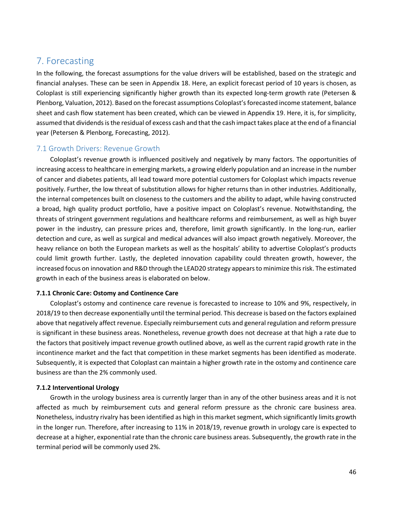# 7. Forecasting

In the following, the forecast assumptions for the value drivers will be established, based on the strategic and financial analyses. These can be seen in Appendix 18. Here, an explicit forecast period of 10 years is chosen, as Coloplast is still experiencing significantly higher growth than its expected long-term growth rate (Petersen & Plenborg, Valuation, 2012). Based on the forecast assumptions Coloplast's forecasted income statement, balance sheet and cash flow statement has been created, which can be viewed in Appendix 19. Here, it is, for simplicity, assumed that dividends is the residual of excess cash and that the cash impact takes place at the end of a financial year (Petersen & Plenborg, Forecasting, 2012).

## 7.1 Growth Drivers: Revenue Growth

Coloplast's revenue growth is influenced positively and negatively by many factors. The opportunities of increasing access to healthcare in emerging markets, a growing elderly population and an increase in the number of cancer and diabetes patients, all lead toward more potential customers for Coloplast which impacts revenue positively. Further, the low threat of substitution allows for higher returns than in other industries. Additionally, the internal competences built on closeness to the customers and the ability to adapt, while having constructed a broad, high quality product portfolio, have a positive impact on Coloplast's revenue. Notwithstanding, the threats of stringent government regulations and healthcare reforms and reimbursement, as well as high buyer power in the industry, can pressure prices and, therefore, limit growth significantly. In the long-run, earlier detection and cure, as well as surgical and medical advances will also impact growth negatively. Moreover, the heavy reliance on both the European markets as well as the hospitals' ability to advertise Coloplast's products could limit growth further. Lastly, the depleted innovation capability could threaten growth, however, the increased focus on innovation and R&D through the LEAD20 strategy appears to minimize this risk. The estimated growth in each of the business areas is elaborated on below.

#### **7.1.1 Chronic Care: Ostomy and Continence Care**

Coloplast's ostomy and continence care revenue is forecasted to increase to 10% and 9%, respectively, in 2018/19 to then decrease exponentially until the terminal period. This decrease is based on the factors explained above that negatively affect revenue. Especially reimbursement cuts and general regulation and reform pressure is significant in these business areas. Nonetheless, revenue growth does not decrease at that high a rate due to the factors that positively impact revenue growth outlined above, as well as the current rapid growth rate in the incontinence market and the fact that competition in these market segments has been identified as moderate. Subsequently, it is expected that Coloplast can maintain a higher growth rate in the ostomy and continence care business are than the 2% commonly used.

#### **7.1.2 Interventional Urology**

Growth in the urology business area is currently larger than in any of the other business areas and it is not affected as much by reimbursement cuts and general reform pressure as the chronic care business area. Nonetheless, industry rivalry has been identified as high in this market segment, which significantly limits growth in the longer run. Therefore, after increasing to 11% in 2018/19, revenue growth in urology care is expected to decrease at a higher, exponential rate than the chronic care business areas. Subsequently, the growth rate in the terminal period will be commonly used 2%.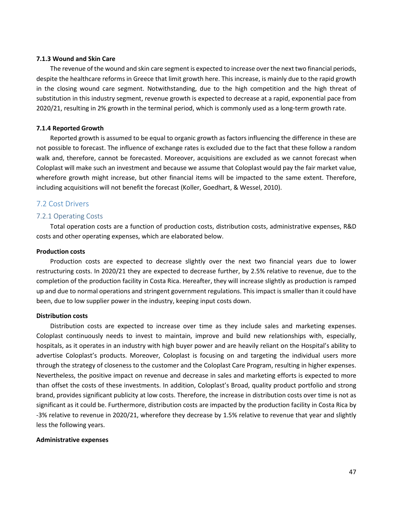#### **7.1.3 Wound and Skin Care**

The revenue of the wound and skin care segment is expected to increase over the next two financial periods, despite the healthcare reforms in Greece that limit growth here. This increase, is mainly due to the rapid growth in the closing wound care segment. Notwithstanding, due to the high competition and the high threat of substitution in this industry segment, revenue growth is expected to decrease at a rapid, exponential pace from 2020/21, resulting in 2% growth in the terminal period, which is commonly used as a long-term growth rate.

#### **7.1.4 Reported Growth**

Reported growth is assumed to be equal to organic growth as factors influencing the difference in these are not possible to forecast. The influence of exchange rates is excluded due to the fact that these follow a random walk and, therefore, cannot be forecasted. Moreover, acquisitions are excluded as we cannot forecast when Coloplast will make such an investment and because we assume that Coloplast would pay the fair market value, wherefore growth might increase, but other financial items will be impacted to the same extent. Therefore, including acquisitions will not benefit the forecast (Koller, Goedhart, & Wessel, 2010).

### 7.2 Cost Drivers

#### 7.2.1 Operating Costs

Total operation costs are a function of production costs, distribution costs, administrative expenses, R&D costs and other operating expenses, which are elaborated below.

## **Production costs**

Production costs are expected to decrease slightly over the next two financial years due to lower restructuring costs. In 2020/21 they are expected to decrease further, by 2.5% relative to revenue, due to the completion of the production facility in Costa Rica. Hereafter, they will increase slightly as production is ramped up and due to normal operations and stringent government regulations. This impact is smaller than it could have been, due to low supplier power in the industry, keeping input costs down.

#### **Distribution costs**

Distribution costs are expected to increase over time as they include sales and marketing expenses. Coloplast continuously needs to invest to maintain, improve and build new relationships with, especially, hospitals, as it operates in an industry with high buyer power and are heavily reliant on the Hospital's ability to advertise Coloplast's products. Moreover, Coloplast is focusing on and targeting the individual users more through the strategy of closeness to the customer and the Coloplast Care Program, resulting in higher expenses. Nevertheless, the positive impact on revenue and decrease in sales and marketing efforts is expected to more than offset the costs of these investments. In addition, Coloplast's Broad, quality product portfolio and strong brand, provides significant publicity at low costs. Therefore, the increase in distribution costs over time is not as significant as it could be. Furthermore, distribution costs are impacted by the production facility in Costa Rica by -3% relative to revenue in 2020/21, wherefore they decrease by 1.5% relative to revenue that year and slightly less the following years.

#### **Administrative expenses**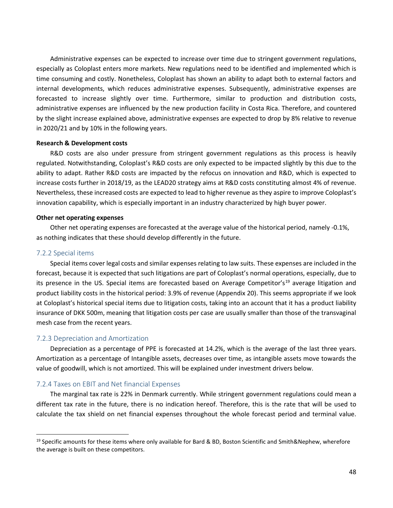Administrative expenses can be expected to increase over time due to stringent government regulations, especially as Coloplast enters more markets. New regulations need to be identified and implemented which is time consuming and costly. Nonetheless, Coloplast has shown an ability to adapt both to external factors and internal developments, which reduces administrative expenses. Subsequently, administrative expenses are forecasted to increase slightly over time. Furthermore, similar to production and distribution costs, administrative expenses are influenced by the new production facility in Costa Rica. Therefore, and countered by the slight increase explained above, administrative expenses are expected to drop by 8% relative to revenue in 2020/21 and by 10% in the following years.

#### **Research & Development costs**

R&D costs are also under pressure from stringent government regulations as this process is heavily regulated. Notwithstanding, Coloplast's R&D costs are only expected to be impacted slightly by this due to the ability to adapt. Rather R&D costs are impacted by the refocus on innovation and R&D, which is expected to increase costs further in 2018/19, as the LEAD20 strategy aims at R&D costs constituting almost 4% of revenue. Nevertheless, these increased costs are expected to lead to higher revenue as they aspire to improve Coloplast's innovation capability, which is especially important in an industry characterized by high buyer power.

#### **Other net operating expenses**

Other net operating expenses are forecasted at the average value of the historical period, namely -0.1%, as nothing indicates that these should develop differently in the future.

#### 7.2.2 Special items

Special items cover legal costs and similar expenses relating to law suits. These expenses are included in the forecast, because it is expected that such litigations are part of Coloplast's normal operations, especially, due to its presence in the US. Special items are forecasted based on Average Competitor's<sup>[19](#page-47-0)</sup> average litigation and product liability costs in the historical period: 3.9% of revenue (Appendix 20). This seems appropriate if we look at Coloplast's historical special items due to litigation costs, taking into an account that it has a product liability insurance of DKK 500m, meaning that litigation costs per case are usually smaller than those of the transvaginal mesh case from the recent years.

#### 7.2.3 Depreciation and Amortization

Depreciation as a percentage of PPE is forecasted at 14.2%, which is the average of the last three years. Amortization as a percentage of Intangible assets, decreases over time, as intangible assets move towards the value of goodwill, which is not amortized. This will be explained under investment drivers below.

#### 7.2.4 Taxes on EBIT and Net financial Expenses

The marginal tax rate is 22% in Denmark currently. While stringent government regulations could mean a different tax rate in the future, there is no indication hereof. Therefore, this is the rate that will be used to calculate the tax shield on net financial expenses throughout the whole forecast period and terminal value.

<span id="page-47-0"></span><sup>&</sup>lt;sup>19</sup> Specific amounts for these items where only available for Bard & BD, Boston Scientific and Smith&Nephew, wherefore the average is built on these competitors.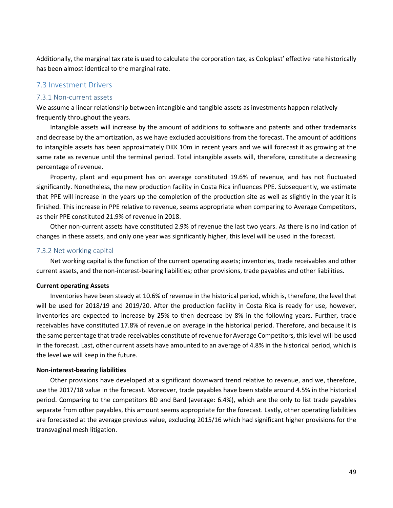Additionally, the marginal tax rate is used to calculate the corporation tax, as Coloplast' effective rate historically has been almost identical to the marginal rate.

## 7.3 Investment Drivers

#### 7.3.1 Non-current assets

We assume a linear relationship between intangible and tangible assets as investments happen relatively frequently throughout the years.

Intangible assets will increase by the amount of additions to software and patents and other trademarks and decrease by the amortization, as we have excluded acquisitions from the forecast. The amount of additions to intangible assets has been approximately DKK 10m in recent years and we will forecast it as growing at the same rate as revenue until the terminal period. Total intangible assets will, therefore, constitute a decreasing percentage of revenue.

Property, plant and equipment has on average constituted 19.6% of revenue, and has not fluctuated significantly. Nonetheless, the new production facility in Costa Rica influences PPE. Subsequently, we estimate that PPE will increase in the years up the completion of the production site as well as slightly in the year it is finished. This increase in PPE relative to revenue, seems appropriate when comparing to Average Competitors, as their PPE constituted 21.9% of revenue in 2018.

Other non-current assets have constituted 2.9% of revenue the last two years. As there is no indication of changes in these assets, and only one year was significantly higher, this level will be used in the forecast.

### 7.3.2 Net working capital

Net working capital is the function of the current operating assets; inventories, trade receivables and other current assets, and the non-interest-bearing liabilities; other provisions, trade payables and other liabilities.

#### **Current operating Assets**

Inventories have been steady at 10.6% of revenue in the historical period, which is, therefore, the level that will be used for 2018/19 and 2019/20. After the production facility in Costa Rica is ready for use, however, inventories are expected to increase by 25% to then decrease by 8% in the following years. Further, trade receivables have constituted 17.8% of revenue on average in the historical period. Therefore, and because it is the same percentage that trade receivables constitute of revenue for Average Competitors, this level will be used in the forecast. Last, other current assets have amounted to an average of 4.8% in the historical period, which is the level we will keep in the future.

#### **Non-interest-bearing liabilities**

Other provisions have developed at a significant downward trend relative to revenue, and we, therefore, use the 2017/18 value in the forecast. Moreover, trade payables have been stable around 4.5% in the historical period. Comparing to the competitors BD and Bard (average: 6.4%), which are the only to list trade payables separate from other payables, this amount seems appropriate for the forecast. Lastly, other operating liabilities are forecasted at the average previous value, excluding 2015/16 which had significant higher provisions for the transvaginal mesh litigation.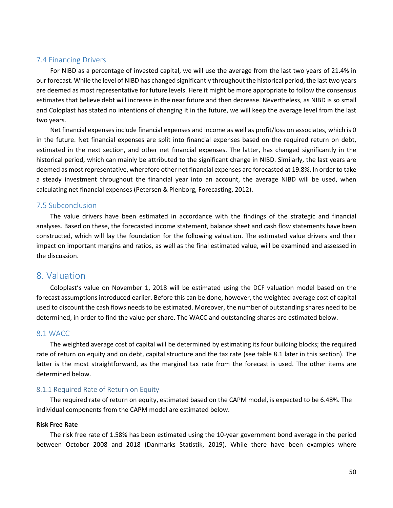## 7.4 Financing Drivers

For NIBD as a percentage of invested capital, we will use the average from the last two years of 21.4% in our forecast. While the level of NIBD has changed significantly throughout the historical period, the last two years are deemed as most representative for future levels. Here it might be more appropriate to follow the consensus estimates that believe debt will increase in the near future and then decrease. Nevertheless, as NIBD is so small and Coloplast has stated no intentions of changing it in the future, we will keep the average level from the last two years.

Net financial expenses include financial expenses and income as well as profit/loss on associates, which is 0 in the future. Net financial expenses are split into financial expenses based on the required return on debt, estimated in the next section, and other net financial expenses. The latter, has changed significantly in the historical period, which can mainly be attributed to the significant change in NIBD. Similarly, the last years are deemed as most representative, wherefore other net financial expenses are forecasted at 19.8%. In order to take a steady investment throughout the financial year into an account, the average NIBD will be used, when calculating net financial expenses (Petersen & Plenborg, Forecasting, 2012).

## 7.5 Subconclusion

The value drivers have been estimated in accordance with the findings of the strategic and financial analyses. Based on these, the forecasted income statement, balance sheet and cash flow statements have been constructed, which will lay the foundation for the following valuation. The estimated value drivers and their impact on important margins and ratios, as well as the final estimated value, will be examined and assessed in the discussion.

## 8. Valuation

Coloplast's value on November 1, 2018 will be estimated using the DCF valuation model based on the forecast assumptions introduced earlier. Before this can be done, however, the weighted average cost of capital used to discount the cash flows needs to be estimated. Moreover, the number of outstanding shares need to be determined, in order to find the value per share. The WACC and outstanding shares are estimated below.

## 8.1 WACC

The weighted average cost of capital will be determined by estimating its four building blocks; the required rate of return on equity and on debt, capital structure and the tax rate (see table 8.1 later in this section). The latter is the most straightforward, as the marginal tax rate from the forecast is used. The other items are determined below.

## 8.1.1 Required Rate of Return on Equity

The required rate of return on equity, estimated based on the CAPM model, is expected to be 6.48%. The individual components from the CAPM model are estimated below.

## **Risk Free Rate**

The risk free rate of 1.58% has been estimated using the 10-year government bond average in the period between October 2008 and 2018 (Danmarks Statistik, 2019). While there have been examples where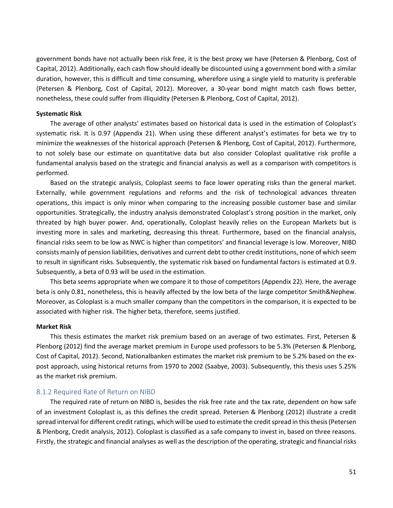government bonds have not actually been risk free, it is the best proxy we have (Petersen & Plenborg, Cost of Capital, 2012). Additionally, each cash flow should ideally be discounted using a government bond with a similar duration, however, this is difficult and time consuming, wherefore using a single yield to maturity is preferable (Petersen & Plenborg, Cost of Capital, 2012). Moreover, a 30-year bond might match cash flows better, nonetheless, these could suffer from illiquidity (Petersen & Plenborg, Cost of Capital, 2012).

#### **Systematic Risk**

The average of other analysts' estimates based on historical data is used in the estimation of Coloplast's systematic risk. It is 0.97 (Appendix 21). When using these different analyst's estimates for beta we try to minimize the weaknesses of the historical approach (Petersen & Plenborg, Cost of Capital, 2012). Furthermore, to not solely base our estimate on quantitative data but also consider Coloplast qualitative risk profile a fundamental analysis based on the strategic and financial analysis as well as a comparison with competitors is performed.

Based on the strategic analysis, Coloplast seems to face lower operating risks than the general market. Externally, while government regulations and reforms and the risk of technological advances threaten operations, this impact is only minor when comparing to the increasing possible customer base and similar opportunities. Strategically, the industry analysis demonstrated Coloplast's strong position in the market, only threated by high buyer power. And, operationally, Coloplast heavily relies on the European Markets but is investing more in sales and marketing, decreasing this threat. Furthermore, based on the financial analysis, financial risks seem to be low as NWC is higher than competitors' and financial leverage is low. Moreover, NIBD consists mainly of pension liabilities, derivatives and current debt to other credit institutions, none of which seem to result in significant risks. Subsequently, the systematic risk based on fundamental factors is estimated at 0.9. Subsequently, a beta of 0.93 will be used in the estimation.

This beta seems appropriate when we compare it to those of competitors (Appendix 22). Here, the average beta is only 0.81, nonetheless, this is heavily affected by the low beta of the large competitor Smith&Nephew. Moreover, as Coloplast is a much smaller company than the competitors in the comparison, it is expected to be associated with higher risk. The higher beta, therefore, seems justified.

#### **Market Risk**

This thesis estimates the market risk premium based on an average of two estimates. First, Petersen & Plenborg (2012) find the average market premium in Europe used professors to be 5.3% (Petersen & Plenborg, Cost of Capital, 2012). Second, Nationalbanken estimates the market risk premium to be 5.2% based on the expost approach, using historical returns from 1970 to 2002 (Saabye, 2003). Subsequently, this thesis uses 5.25% as the market risk premium.

### 8.1.2 Required Rate of Return on NIBD

The required rate of return on NIBD is, besides the risk free rate and the tax rate, dependent on how safe of an investment Coloplast is, as this defines the credit spread. Petersen & Plenborg (2012) illustrate a credit spread interval for different credit ratings, which will be used to estimate the credit spread in this thesis(Petersen & Plenborg, Credit analysis, 2012). Coloplast is classified as a safe company to invest in, based on three reasons. Firstly, the strategic and financial analyses as well as the description of the operating, strategic and financial risks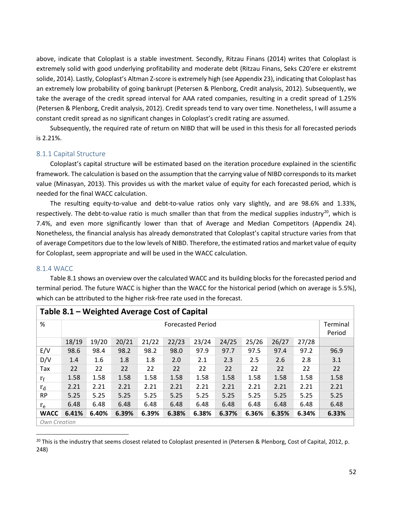above, indicate that Coloplast is a stable investment. Secondly, Ritzau Finans (2014) writes that Coloplast is extremely solid with good underlying profitability and moderate debt (Ritzau Finans, Seks C20'ere er ekstremt solide, 2014). Lastly, Coloplast's Altman Z-score is extremely high (see Appendix 23), indicating that Coloplast has an extremely low probability of going bankrupt (Petersen & Plenborg, Credit analysis, 2012). Subsequently, we take the average of the credit spread interval for AAA rated companies, resulting in a credit spread of 1.25% (Petersen & Plenborg, Credit analysis, 2012). Credit spreads tend to vary over time. Nonetheless, I will assume a constant credit spread as no significant changes in Coloplast's credit rating are assumed.

Subsequently, the required rate of return on NIBD that will be used in this thesis for all forecasted periods is 2.21%.

## 8.1.1 Capital Structure

Coloplast's capital structure will be estimated based on the iteration procedure explained in the scientific framework. The calculation is based on the assumption that the carrying value of NIBD corresponds to its market value (Minasyan, 2013). This provides us with the market value of equity for each forecasted period, which is needed for the final WACC calculation.

The resulting equity-to-value and debt-to-value ratios only vary slightly, and are 98.6% and 1.33%, respectively. The debt-to-value ratio is much smaller than that from the medical supplies industry<sup>[20](#page-51-0)</sup>, which is 7.4%, and even more significantly lower than that of Average and Median Competitors (Appendix 24). Nonetheless, the financial analysis has already demonstrated that Coloplast's capital structure varies from that of average Competitors due to the low levels of NIBD. Therefore, the estimated ratios and market value of equity for Coloplast, seem appropriate and will be used in the WACC calculation.

## 8.1.4 WACC

Table 8.1 shows an overview over the calculated WACC and its building blocks for the forecasted period and terminal period. The future WACC is higher than the WACC for the historical period (which on average is 5.5%), which can be attributed to the higher risk-free rate used in the forecast.

|             | Table 8.1 – Weighted Average Cost of Capital                                           |       |       |       |       |                          |       |       |       |       |          |  |  |
|-------------|----------------------------------------------------------------------------------------|-------|-------|-------|-------|--------------------------|-------|-------|-------|-------|----------|--|--|
| %           |                                                                                        |       |       |       |       | <b>Forecasted Period</b> |       |       |       |       | Terminal |  |  |
|             |                                                                                        |       |       |       |       |                          |       |       |       |       | Period   |  |  |
|             | 18/19<br>19/20<br>21/22<br>22/23<br>26/27<br>20/21<br>23/24<br>24/25<br>25/26<br>27/28 |       |       |       |       |                          |       |       |       |       |          |  |  |
| E/V         | 98.6                                                                                   | 98.4  | 98.2  | 98.2  | 98.0  | 97.9                     | 97.7  | 97.5  | 97.4  | 97.2  | 96.9     |  |  |
| D/V         | 1.4                                                                                    | 1.6   | 1.8   | 1.8   | 2.0   | 2.1                      | 2.3   | 2.5   | 2.6   | 2.8   | 3.1      |  |  |
| Tax         | 22                                                                                     | 22    | 22    | 22    | 22    | 22                       | 22    | 22    | 22    | 22    | 22       |  |  |
| $r_f$       | 1.58                                                                                   | 1.58  | 1.58  | 1.58  | 1.58  | 1.58                     | 1.58  | 1.58  | 1.58  | 1.58  | 1.58     |  |  |
| $r_d$       | 2.21                                                                                   | 2.21  | 2.21  | 2.21  | 2.21  | 2.21                     | 2.21  | 2.21  | 2.21  | 2.21  | 2.21     |  |  |
| <b>RP</b>   | 5.25                                                                                   | 5.25  | 5.25  | 5.25  | 5.25  | 5.25                     | 5.25  | 5.25  | 5.25  | 5.25  | 5.25     |  |  |
| $r_e$       | 6.48                                                                                   | 6.48  | 6.48  | 6.48  | 6.48  | 6.48                     | 6.48  | 6.48  | 6.48  | 6.48  | 6.48     |  |  |
| <b>WACC</b> | 6.41%                                                                                  | 6.40% | 6.39% | 6.39% | 6.38% | 6.38%                    | 6.37% | 6.36% | 6.35% | 6.34% | 6.33%    |  |  |
|             | Own Creation                                                                           |       |       |       |       |                          |       |       |       |       |          |  |  |

### <span id="page-51-0"></span><sup>20</sup> This is the industry that seems closest related to Coloplast presented in (Petersen & Plenborg, Cost of Capital, 2012, p. 248)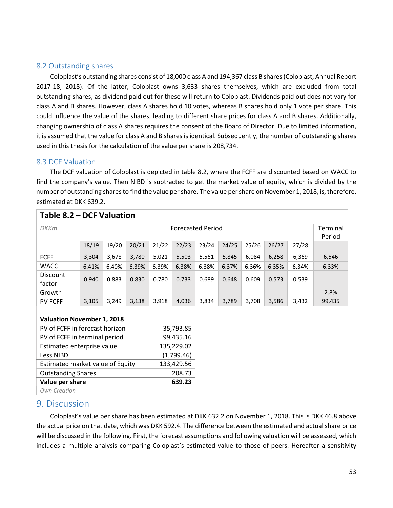## 8.2 Outstanding shares

Coloplast's outstanding shares consist of 18,000 class A and 194,367 class B shares(Coloplast, Annual Report 2017-18, 2018). Of the latter, Coloplast owns 3,633 shares themselves, which are excluded from total outstanding shares, as dividend paid out for these will return to Coloplast. Dividends paid out does not vary for class A and B shares. However, class A shares hold 10 votes, whereas B shares hold only 1 vote per share. This could influence the value of the shares, leading to different share prices for class A and B shares. Additionally, changing ownership of class A shares requires the consent of the Board of Director. Due to limited information, it is assumed that the value for class A and B shares is identical. Subsequently, the number of outstanding shares used in this thesis for the calculation of the value per share is 208,734.

## 8.3 DCF Valuation

The DCF valuation of Coloplast is depicted in table 8.2, where the FCFF are discounted based on WACC to find the company's value. Then NIBD is subtracted to get the market value of equity, which is divided by the number of outstanding shares to find the value per share. The value per share on November 1, 2018, is, therefore, estimated at DKK 639.2.

| Table 8.2 – DCF Valuation           |                                                |       |       |       |                          |       |       |       |       |       |          |
|-------------------------------------|------------------------------------------------|-------|-------|-------|--------------------------|-------|-------|-------|-------|-------|----------|
| <b>DKKm</b>                         |                                                |       |       |       | <b>Forecasted Period</b> |       |       |       |       |       | Terminal |
|                                     |                                                |       |       |       |                          |       |       |       |       |       | Period   |
|                                     | 18/19                                          | 19/20 | 20/21 | 21/22 | 22/23                    | 23/24 | 24/25 | 25/26 | 26/27 | 27/28 |          |
| <b>FCFF</b>                         | 3,304                                          | 3,678 | 3,780 | 5,021 | 5,503                    | 5,561 | 5,845 | 6,084 | 6,258 | 6,369 | 6,546    |
| <b>WACC</b>                         | 6.41%                                          | 6.40% | 6.39% | 6.39% | 6.38%                    | 6.38% | 6.37% | 6.36% | 6.35% | 6.34% | 6.33%    |
| Discount<br>factor                  | 0.940                                          | 0.883 | 0.830 | 0.780 | 0.733                    | 0.689 | 0.648 | 0.609 | 0.573 | 0.539 |          |
| Growth                              |                                                |       |       |       |                          |       |       |       |       |       | 2.8%     |
| <b>PV FCFF</b>                      | 3,105                                          | 3,249 | 3,138 | 3,918 | 4,036                    | 3,834 | 3,789 | 3,708 | 3,586 | 3,432 | 99,435   |
|                                     |                                                |       |       |       |                          |       |       |       |       |       |          |
| <b>Valuation November 1, 2018</b>   |                                                |       |       |       |                          |       |       |       |       |       |          |
| PV of FCFF in forecast horizon      |                                                |       |       |       | 35,793.85                |       |       |       |       |       |          |
| PV of FCFF in terminal period       |                                                |       |       |       | 99,435.16                |       |       |       |       |       |          |
| Estimated enterprise value          |                                                |       |       |       | 135,229.02               |       |       |       |       |       |          |
| Less NIBD                           |                                                |       |       |       | (1,799.46)               |       |       |       |       |       |          |
|                                     | 133,429.56<br>Estimated market value of Equity |       |       |       |                          |       |       |       |       |       |          |
| <b>Outstanding Shares</b><br>208.73 |                                                |       |       |       |                          |       |       |       |       |       |          |
| 639.23<br>Value per share           |                                                |       |       |       |                          |       |       |       |       |       |          |
| Own Creation                        |                                                |       |       |       |                          |       |       |       |       |       |          |

## 9. Discussion

Coloplast's value per share has been estimated at DKK 632.2 on November 1, 2018. This is DKK 46.8 above the actual price on that date, which was DKK 592.4. The difference between the estimated and actual share price will be discussed in the following. First, the forecast assumptions and following valuation will be assessed, which includes a multiple analysis comparing Coloplast's estimated value to those of peers. Hereafter a sensitivity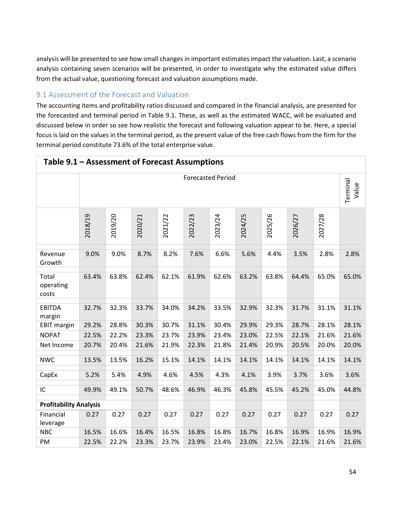analysis will be presented to see how small changes in important estimates impact the valuation. Last, a scenario analysis containing seven scenarios will be presented, in order to investigate why the estimated value differs from the actual value, questioning forecast and valuation assumptions made.

## 9.1 Assessment of the Forecast and Valuation

The accounting items and profitability ratios discussed and compared in the financial analysis, are presented for the forecasted and terminal period in Table 9.1. These, as well as the estimated WACC, will be evaluated and discussed below in order so see how realistic the forecast and following valuation appear to be. Here, a special focus is laid on the values in the terminal period, as the present value of the free cash flows from the firm for the terminal period constitute 73.6% of the total enterprise value.

| Table 9.1 – Assessment of Forecast Assumptions |                          |         |         |         |         |         |         |         |         |         |                   |
|------------------------------------------------|--------------------------|---------|---------|---------|---------|---------|---------|---------|---------|---------|-------------------|
|                                                | <b>Forecasted Period</b> |         |         |         |         |         |         |         |         |         | Terminal<br>Value |
|                                                | 2018/19                  | 2019/20 | 2020/21 | 2021/22 | 2022/23 | 2023/24 | 2024/25 | 2025/26 | 2026/27 | 2027/28 |                   |
| Revenue<br>Growth                              | 9.0%                     | 9.0%    | 8.7%    | 8.2%    | 7.6%    | 6.6%    | 5.6%    | 4.4%    | 3.5%    | 2.8%    | 2.8%              |
| Total<br>operating<br>costs                    | 63.4%                    | 63.8%   | 62.4%   | 62.1%   | 61.9%   | 62.6%   | 63.2%   | 63.8%   | 64.4%   | 65.0%   | 65.0%             |
| <b>EBITDA</b><br>margin                        | 32.7%                    | 32.3%   | 33.7%   | 34.0%   | 34.2%   | 33.5%   | 32.9%   | 32.3%   | 31.7%   | 31.1%   | 31.1%             |
| <b>EBIT margin</b>                             | 29.2%                    | 28.8%   | 30.3%   | 30.7%   | 31.1%   | 30.4%   | 29.9%   | 29.3%   | 28.7%   | 28.1%   | 28.1%             |
| <b>NOPAT</b>                                   | 22.5%                    | 22.2%   | 23.3%   | 23.7%   | 23.9%   | 23.4%   | 23.0%   | 22.5%   | 22.1%   | 21.6%   | 21.6%             |
| Net Income                                     | 20.7%                    | 20.4%   | 21.6%   | 21.9%   | 22.3%   | 21.8%   | 21.4%   | 20.9%   | 20.5%   | 20.0%   | 20.0%             |
| <b>NWC</b>                                     | 13.5%                    | 13.5%   | 16.2%   | 15.1%   | 14.1%   | 14.1%   | 14.1%   | 14.1%   | 14.1%   | 14.1%   | 14.1%             |
| CapEx                                          | 5.2%                     | 5.4%    | 4.9%    | 4.6%    | 4.5%    | 4.3%    | 4.1%    | 3.9%    | 3.7%    | 3.6%    | 3.6%              |
| IC                                             | 49.9%                    | 49.1%   | 50.7%   | 48.6%   | 46.9%   | 46.3%   | 45.8%   | 45.5%   | 45.2%   | 45.0%   | 44.8%             |
| <b>Profitability Analysis</b>                  |                          |         |         |         |         |         |         |         |         |         |                   |
| Financial<br>leverage                          | 0.27                     | 0.27    | 0.27    | 0.27    | 0.27    | 0.27    | 0.27    | 0.27    | 0.27    | 0.27    | 0.27              |
| <b>NBC</b>                                     | 16.5%                    | 16.6%   | 16.4%   | 16.5%   | 16.8%   | 16.8%   | 16.7%   | 16.8%   | 16.9%   | 16.9%   | 16.9%             |
| PM                                             | 22.5%                    | 22.2%   | 23.3%   | 23.7%   | 23.9%   | 23.4%   | 23.0%   | 22.5%   | 22.1%   | 21.6%   | 21.6%             |

## **Table 9.1 – Assessment of Forecast Assumptions**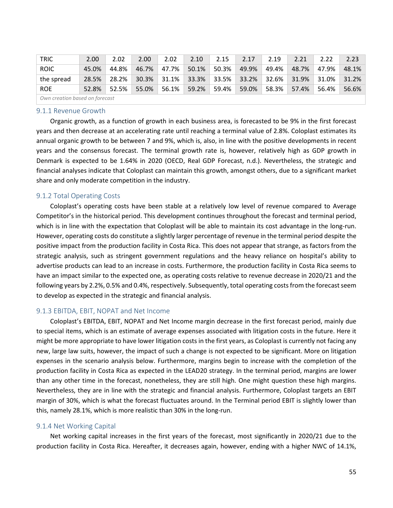| <b>TRIC</b>                    | 2.00  | 2.02  | 2.00  | 2.02  | 2.10  | 2.15  | 2.17  | 2.19  | 2.21  | 2.22  | 2.23  |
|--------------------------------|-------|-------|-------|-------|-------|-------|-------|-------|-------|-------|-------|
| <b>ROIC</b>                    | 45.0% | 44.8% | 46.7% | 47.7% | 50.1% | 50.3% | 49.9% | 49.4% | 48.7% | 47.9% | 48.1% |
| the spread                     | 28.5% | 28.2% | 30.3% | 31.1% | 33.3% | 33.5% | 33.2% | 32.6% | 31.9% | 31.0% | 31.2% |
| <b>ROE</b>                     | 52.8% | 52.5% | 55.0% | 56.1% | 59.2% | 59.4% | 59.0% | 58.3% | 57.4% | 56.4% | 56.6% |
| Own creation based on forecast |       |       |       |       |       |       |       |       |       |       |       |

### 9.1.1 Revenue Growth

Organic growth, as a function of growth in each business area, is forecasted to be 9% in the first forecast years and then decrease at an accelerating rate until reaching a terminal value of 2.8%. Coloplast estimates its annual organic growth to be between 7 and 9%, which is, also, in line with the positive developments in recent years and the consensus forecast. The terminal growth rate is, however, relatively high as GDP growth in Denmark is expected to be 1.64% in 2020 (OECD, Real GDP Forecast, n.d.). Nevertheless, the strategic and financial analyses indicate that Coloplast can maintain this growth, amongst others, due to a significant market share and only moderate competition in the industry.

## 9.1.2 Total Operating Costs

Coloplast's operating costs have been stable at a relatively low level of revenue compared to Average Competitor's in the historical period. This development continues throughout the forecast and terminal period, which is in line with the expectation that Coloplast will be able to maintain its cost advantage in the long-run. However, operating costs do constitute a slightly larger percentage of revenue in the terminal period despite the positive impact from the production facility in Costa Rica. This does not appear that strange, as factors from the strategic analysis, such as stringent government regulations and the heavy reliance on hospital's ability to advertise products can lead to an increase in costs. Furthermore, the production facility in Costa Rica seems to have an impact similar to the expected one, as operating costs relative to revenue decrease in 2020/21 and the following years by 2.2%, 0.5% and 0.4%, respectively. Subsequently, total operating costs from the forecast seem to develop as expected in the strategic and financial analysis.

## 9.1.3 EBITDA, EBIT, NOPAT and Net Income

Coloplast's EBITDA, EBIT, NOPAT and Net Income margin decrease in the first forecast period, mainly due to special items, which is an estimate of average expenses associated with litigation costs in the future. Here it might be more appropriate to have lower litigation costs in the first years, as Coloplast is currently not facing any new, large law suits, however, the impact of such a change is not expected to be significant. More on litigation expenses in the scenario analysis below. Furthermore, margins begin to increase with the completion of the production facility in Costa Rica as expected in the LEAD20 strategy. In the terminal period, margins are lower than any other time in the forecast, nonetheless, they are still high. One might question these high margins. Nevertheless, they are in line with the strategic and financial analysis. Furthermore, Coloplast targets an EBIT margin of 30%, which is what the forecast fluctuates around. In the Terminal period EBIT is slightly lower than this, namely 28.1%, which is more realistic than 30% in the long-run.

## 9.1.4 Net Working Capital

Net working capital increases in the first years of the forecast, most significantly in 2020/21 due to the production facility in Costa Rica. Hereafter, it decreases again, however, ending with a higher NWC of 14.1%,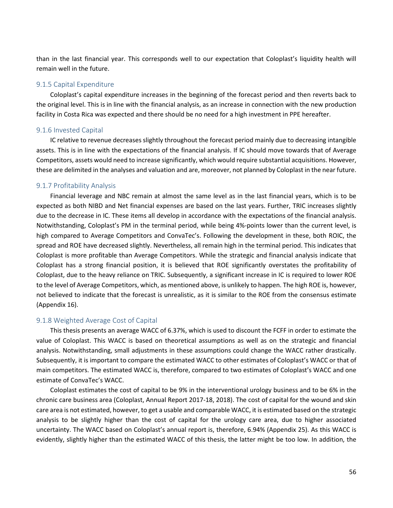than in the last financial year. This corresponds well to our expectation that Coloplast's liquidity health will remain well in the future.

### 9.1.5 Capital Expenditure

Coloplast's capital expenditure increases in the beginning of the forecast period and then reverts back to the original level. This is in line with the financial analysis, as an increase in connection with the new production facility in Costa Rica was expected and there should be no need for a high investment in PPE hereafter.

### 9.1.6 Invested Capital

IC relative to revenue decreases slightly throughout the forecast period mainly due to decreasing intangible assets. This is in line with the expectations of the financial analysis. If IC should move towards that of Average Competitors, assets would need to increase significantly, which would require substantial acquisitions. However, these are delimited in the analyses and valuation and are, moreover, not planned by Coloplast in the near future.

## 9.1.7 Profitability Analysis

Financial leverage and NBC remain at almost the same level as in the last financial years, which is to be expected as both NIBD and Net financial expenses are based on the last years. Further, TRIC increases slightly due to the decrease in IC. These items all develop in accordance with the expectations of the financial analysis. Notwithstanding, Coloplast's PM in the terminal period, while being 4%-points lower than the current level, is high compared to Average Competitors and ConvaTec's. Following the development in these, both ROIC, the spread and ROE have decreased slightly. Nevertheless, all remain high in the terminal period. This indicates that Coloplast is more profitable than Average Competitors. While the strategic and financial analysis indicate that Coloplast has a strong financial position, it is believed that ROE significantly overstates the profitability of Coloplast, due to the heavy reliance on TRIC. Subsequently, a significant increase in IC is required to lower ROE to the level of Average Competitors, which, as mentioned above, is unlikely to happen. The high ROE is, however, not believed to indicate that the forecast is unrealistic, as it is similar to the ROE from the consensus estimate (Appendix 16).

## 9.1.8 Weighted Average Cost of Capital

This thesis presents an average WACC of 6.37%, which is used to discount the FCFF in order to estimate the value of Coloplast. This WACC is based on theoretical assumptions as well as on the strategic and financial analysis. Notwithstanding, small adjustments in these assumptions could change the WACC rather drastically. Subsequently, it is important to compare the estimated WACC to other estimates of Coloplast's WACC or that of main competitors. The estimated WACC is, therefore, compared to two estimates of Coloplast's WACC and one estimate of ConvaTec's WACC.

Coloplast estimates the cost of capital to be 9% in the interventional urology business and to be 6% in the chronic care business area (Coloplast, Annual Report 2017-18, 2018). The cost of capital for the wound and skin care area is not estimated, however, to get a usable and comparable WACC, it is estimated based on the strategic analysis to be slightly higher than the cost of capital for the urology care area, due to higher associated uncertainty. The WACC based on Coloplast's annual report is, therefore, 6.94% (Appendix 25). As this WACC is evidently, slightly higher than the estimated WACC of this thesis, the latter might be too low. In addition, the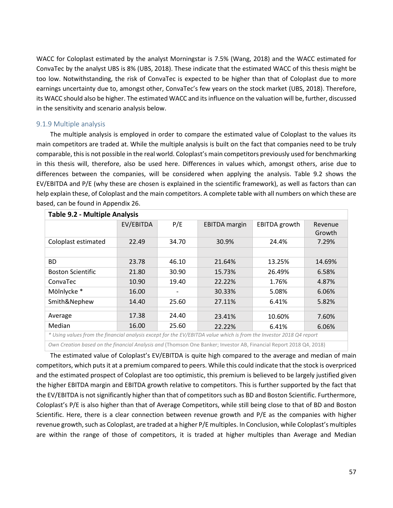WACC for Coloplast estimated by the analyst Morningstar is 7.5% (Wang, 2018) and the WACC estimated for ConvaTec by the analyst UBS is 8% (UBS, 2018). These indicate that the estimated WACC of this thesis might be too low. Notwithstanding, the risk of ConvaTec is expected to be higher than that of Coloplast due to more earnings uncertainty due to, amongst other, ConvaTec's few years on the stock market (UBS, 2018). Therefore, its WACC should also be higher. The estimated WACC and its influence on the valuation will be, further, discussed in the sensitivity and scenario analysis below.

## 9.1.9 Multiple analysis

The multiple analysis is employed in order to compare the estimated value of Coloplast to the values its main competitors are traded at. While the multiple analysis is built on the fact that companies need to be truly comparable, this is not possible in the real world. Coloplast's main competitors previously used for benchmarking in this thesis will, therefore, also be used here. Differences in values which, amongst others, arise due to differences between the companies, will be considered when applying the analysis. Table 9.2 shows the EV/EBITDA and P/E (why these are chosen is explained in the scientific framework), as well as factors than can help explain these, of Coloplast and the main competitors. A complete table with all numbers on which these are based, can be found in Appendix 26.

| Table 9.2 - Multiple Analysis                                                                                       |           |       |                      |               |                   |  |  |  |  |
|---------------------------------------------------------------------------------------------------------------------|-----------|-------|----------------------|---------------|-------------------|--|--|--|--|
|                                                                                                                     | EV/EBITDA | P/E   | <b>EBITDA</b> margin | EBITDA growth | Revenue<br>Growth |  |  |  |  |
| Coloplast estimated                                                                                                 | 22.49     | 34.70 | 30.9%                | 24.4%         | 7.29%             |  |  |  |  |
|                                                                                                                     |           |       |                      |               |                   |  |  |  |  |
| BD.                                                                                                                 | 23.78     | 46.10 | 21.64%               | 13.25%        | 14.69%            |  |  |  |  |
| <b>Boston Scientific</b>                                                                                            | 21.80     | 30.90 | 15.73%               | 26.49%        | 6.58%             |  |  |  |  |
| ConvaTec                                                                                                            | 10.90     | 19.40 | 22.22%               | 1.76%         | 4.87%             |  |  |  |  |
| Mölnlycke *                                                                                                         | 16.00     |       | 30.33%               | 5.08%         | 6.06%             |  |  |  |  |
| Smith&Nephew                                                                                                        | 14.40     | 25.60 | 27.11%               | 6.41%         | 5.82%             |  |  |  |  |
|                                                                                                                     |           |       |                      |               |                   |  |  |  |  |
| Average                                                                                                             | 17.38     | 24.40 | 23.41%               | 10.60%        | 7.60%             |  |  |  |  |
| <b>Median</b>                                                                                                       | 16.00     | 25.60 | 22.22%               | 6.41%         | 6.06%             |  |  |  |  |
| * Using values from the financial analysis except for the EV/EBITDA value which is from the Investor 2018 Q4 report |           |       |                      |               |                   |  |  |  |  |

*Own Creation based on the financial Analysis and* (Thomson One Banker; Investor AB, Financial Report 2018 Q4, 2018)

The estimated value of Coloplast's EV/EBITDA is quite high compared to the average and median of main competitors, which puts it at a premium compared to peers. While this could indicate that the stock is overpriced and the estimated prospect of Coloplast are too optimistic, this premium is believed to be largely justified given the higher EBITDA margin and EBITDA growth relative to competitors. This is further supported by the fact that the EV/EBITDA is not significantly higher than that of competitors such as BD and Boston Scientific. Furthermore, Coloplast's P/E is also higher than that of Average Competitors, while still being close to that of BD and Boston Scientific. Here, there is a clear connection between revenue growth and P/E as the companies with higher revenue growth, such as Coloplast, are traded at a higher P/E multiples. In Conclusion, while Coloplast's multiples are within the range of those of competitors, it is traded at higher multiples than Average and Median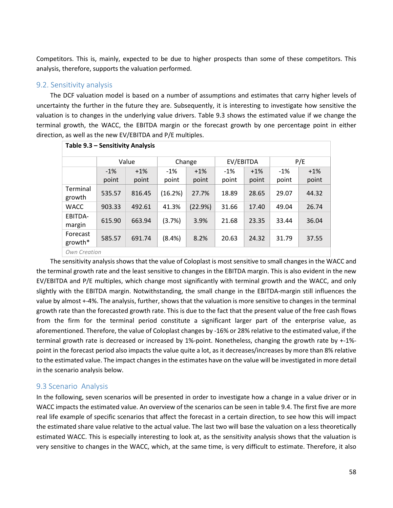Competitors. This is, mainly, expected to be due to higher prospects than some of these competitors. This analysis, therefore, supports the valuation performed.

## 9.2. Sensitivity analysis

The DCF valuation model is based on a number of assumptions and estimates that carry higher levels of uncertainty the further in the future they are. Subsequently, it is interesting to investigate how sensitive the valuation is to changes in the underlying value drivers. Table 9.3 shows the estimated value if we change the terminal growth, the WACC, the EBITDA margin or the forecast growth by one percentage point in either direction, as well as the new EV/EBITDA and P/E multiples.

| Table 9.3 - Sensitivity Analysis |        |        |           |         |           |       |        |        |  |  |
|----------------------------------|--------|--------|-----------|---------|-----------|-------|--------|--------|--|--|
|                                  |        | Value  |           | Change  | EV/EBITDA |       | P/E    |        |  |  |
|                                  | $-1%$  | $+1\%$ |           | $+1\%$  | $-1%$     | $+1%$ | $-1\%$ | $+1\%$ |  |  |
|                                  | point  | point  | point     | point   | point     | point | point  | point  |  |  |
| Terminal<br>growth               | 535.57 | 816.45 | (16.2%)   | 27.7%   | 18.89     | 28.65 | 29.07  | 44.32  |  |  |
| <b>WACC</b>                      | 903.33 | 492.61 | 41.3%     | (22.9%) | 31.66     | 17.40 | 49.04  | 26.74  |  |  |
| EBITDA-<br>margin                | 615.90 | 663.94 | (3.7%)    | 3.9%    | 21.68     | 23.35 | 33.44  | 36.04  |  |  |
| Forecast<br>growth*              | 585.57 | 691.74 | $(8.4\%)$ | 8.2%    | 20.63     | 24.32 | 31.79  | 37.55  |  |  |
| Own Creation                     |        |        |           |         |           |       |        |        |  |  |

The sensitivity analysis shows that the value of Coloplast is most sensitive to small changes in the WACC and the terminal growth rate and the least sensitive to changes in the EBITDA margin. This is also evident in the new EV/EBITDA and P/E multiples, which change most significantly with terminal growth and the WACC, and only slightly with the EBITDA margin. Notwithstanding, the small change in the EBITDA-margin still influences the value by almost +-4%. The analysis, further, shows that the valuation is more sensitive to changes in the terminal growth rate than the forecasted growth rate. This is due to the fact that the present value of the free cash flows from the firm for the terminal period constitute a significant larger part of the enterprise value, as aforementioned. Therefore, the value of Coloplast changes by -16% or 28% relative to the estimated value, if the terminal growth rate is decreased or increased by 1%-point. Nonetheless, changing the growth rate by +-1% point in the forecast period also impacts the value quite a lot, as it decreases/increases by more than 8% relative to the estimated value. The impact changes in the estimates have on the value will be investigated in more detail in the scenario analysis below.

## 9.3 Scenario Analysis

In the following, seven scenarios will be presented in order to investigate how a change in a value driver or in WACC impacts the estimated value. An overview of the scenarios can be seen in table 9.4. The first five are more real life example of specific scenarios that affect the forecast in a certain direction, to see how this will impact the estimated share value relative to the actual value. The last two will base the valuation on a less theoretically estimated WACC. This is especially interesting to look at, as the sensitivity analysis shows that the valuation is very sensitive to changes in the WACC, which, at the same time, is very difficult to estimate. Therefore, it also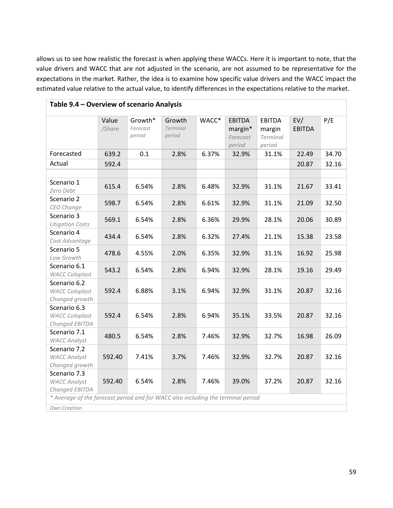allows us to see how realistic the forecast is when applying these WACCs. Here it is important to note, that the value drivers and WACC that are not adjusted in the scenario, are not assumed to be representative for the expectations in the market. Rather, the idea is to examine how specific value drivers and the WACC impact the estimated value relative to the actual value, to identify differences in the expectations relative to the market.

|                                                         | Value<br>/Share | Growth*<br>Forecast<br>period | Growth<br><b>Terminal</b><br>period | WACC* | <b>EBITDA</b><br>margin*<br>Forecast | <b>EBITDA</b><br>margin<br>Terminal | EV/<br><b>EBITDA</b> | P/E   |
|---------------------------------------------------------|-----------------|-------------------------------|-------------------------------------|-------|--------------------------------------|-------------------------------------|----------------------|-------|
|                                                         |                 |                               |                                     |       | period                               | period                              |                      |       |
| Forecasted                                              | 639.2           | 0.1                           | 2.8%                                | 6.37% | 32.9%                                | 31.1%                               | 22.49                | 34.70 |
| Actual                                                  | 592.4           |                               |                                     |       |                                      |                                     | 20.87                | 32.16 |
|                                                         |                 |                               |                                     |       |                                      |                                     |                      |       |
| Scenario 1<br>Zero Debt                                 | 615.4           | 6.54%                         | 2.8%                                | 6.48% | 32.9%                                | 31.1%                               | 21.67                | 33.41 |
| Scenario 2<br>CEO Change                                | 598.7           | 6.54%                         | 2.8%                                | 6.61% | 32.9%                                | 31.1%                               | 21.09                | 32.50 |
| Scenario 3<br><b>Litigation Costs</b>                   | 569.1           | 6.54%                         | 2.8%                                | 6.36% | 29.9%                                | 28.1%                               | 20.06                | 30.89 |
| Scenario 4<br>Cost Advantage                            | 434.4           | 6.54%                         | 2.8%                                | 6.32% | 27.4%                                | 21.1%                               | 15.38                | 23.58 |
| Scenario 5<br>Low Growth                                | 478.6           | 4.55%                         | 2.0%                                | 6.35% | 32.9%                                | 31.1%                               | 16.92                | 25.98 |
| Scenario 6.1<br><b>WACC Coloplast</b>                   | 543.2           | 6.54%                         | 2.8%                                | 6.94% | 32.9%                                | 28.1%                               | 19.16                | 29.49 |
| Scenario 6.2<br><b>WACC Coloplast</b><br>Changed growth | 592.4           | 6.88%                         | 3.1%                                | 6.94% | 32.9%                                | 31.1%                               | 20.87                | 32.16 |
| Scenario 6.3<br><b>WACC Coloplast</b><br>Changed EBITDA | 592.4           | 6.54%                         | 2.8%                                | 6.94% | 35.1%                                | 33.5%                               | 20.87                | 32.16 |
| Scenario 7.1<br><b>WACC Analyst</b>                     | 480.5           | 6.54%                         | 2.8%                                | 7.46% | 32.9%                                | 32.7%                               | 16.98                | 26.09 |
| Scenario 7.2<br><b>WACC Analyst</b><br>Changed growth   | 592.40          | 7.41%                         | 3.7%                                | 7.46% | 32.9%                                | 32.7%                               | 20.87                | 32.16 |
| Scenario 7.3<br><b>WACC Analyst</b><br>Changed EBITDA   | 592.40          | 6.54%                         | 2.8%                                | 7.46% | 39.0%                                | 37.2%                               | 20.87                | 32.16 |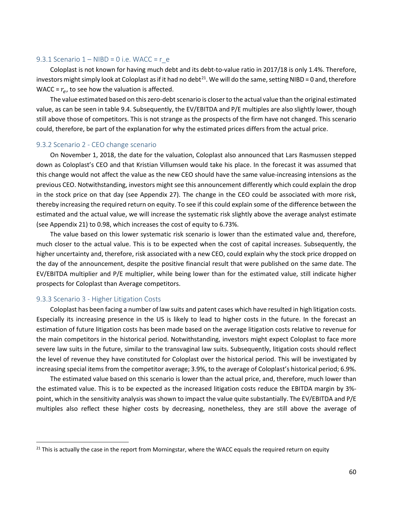#### 9.3.1 Scenario  $1 - \text{NIBD} = 0$  i.e. WACC = r\_e

Coloplast is not known for having much debt and its debt-to-value ratio in 2017/18 is only 1.4%. Therefore, investors might simply look at Coloplast as if it had no debt $^{21}$  $^{21}$  $^{21}$ . We will do the same, setting NIBD = 0 and, therefore WACC =  $r_e$ , to see how the valuation is affected.

The value estimated based on this zero-debt scenario is closer to the actual value than the original estimated value, as can be seen in table 9.4. Subsequently, the EV/EBITDA and P/E multiples are also slightly lower, though still above those of competitors. This is not strange as the prospects of the firm have not changed. This scenario could, therefore, be part of the explanation for why the estimated prices differs from the actual price.

#### 9.3.2 Scenario 2 - CEO change scenario

On November 1, 2018, the date for the valuation, Coloplast also announced that Lars Rasmussen stepped down as Coloplast's CEO and that Kristian Villumsen would take his place. In the forecast it was assumed that this change would not affect the value as the new CEO should have the same value-increasing intensions as the previous CEO. Notwithstanding, investors might see this announcement differently which could explain the drop in the stock price on that day (see Appendix 27). The change in the CEO could be associated with more risk, thereby increasing the required return on equity. To see if this could explain some of the difference between the estimated and the actual value, we will increase the systematic risk slightly above the average analyst estimate (see Appendix 21) to 0.98, which increases the cost of equity to 6.73%.

The value based on this lower systematic risk scenario is lower than the estimated value and, therefore, much closer to the actual value. This is to be expected when the cost of capital increases. Subsequently, the higher uncertainty and, therefore, risk associated with a new CEO, could explain why the stock price dropped on the day of the announcement, despite the positive financial result that were published on the same date. The EV/EBITDA multiplier and P/E multiplier, while being lower than for the estimated value, still indicate higher prospects for Coloplast than Average competitors.

#### 9.3.3 Scenario 3 - Higher Litigation Costs

Coloplast has been facing a number of law suits and patent cases which have resulted in high litigation costs. Especially its increasing presence in the US is likely to lead to higher costs in the future. In the forecast an estimation of future litigation costs has been made based on the average litigation costs relative to revenue for the main competitors in the historical period. Notwithstanding, investors might expect Coloplast to face more severe law suits in the future, similar to the transvaginal law suits. Subsequently, litigation costs should reflect the level of revenue they have constituted for Coloplast over the historical period. This will be investigated by increasing special items from the competitor average; 3.9%, to the average of Coloplast's historical period; 6.9%.

The estimated value based on this scenario is lower than the actual price, and, therefore, much lower than the estimated value. This is to be expected as the increased litigation costs reduce the EBITDA margin by 3% point, which in the sensitivity analysis was shown to impact the value quite substantially. The EV/EBITDA and P/E multiples also reflect these higher costs by decreasing, nonetheless, they are still above the average of

<span id="page-59-0"></span><sup>&</sup>lt;sup>21</sup> This is actually the case in the report from Morningstar, where the WACC equals the required return on equity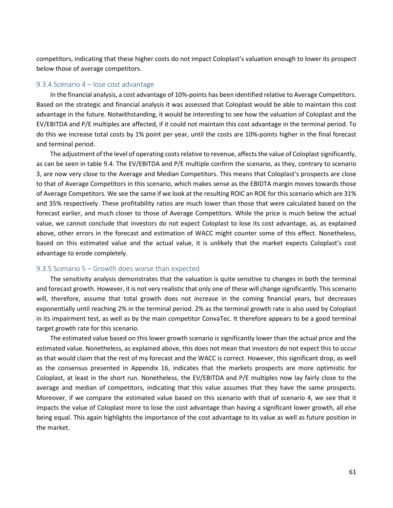competitors, indicating that these higher costs do not impact Coloplast's valuation enough to lower its prospect below those of average competitors.

### 9.3.4 Scenario 4 – lose cost advantage

In the financial analysis, a cost advantage of 10%-points has been identified relative to Average Competitors. Based on the strategic and financial analysis it was assessed that Coloplast would be able to maintain this cost advantage in the future. Notwithstanding, it would be interesting to see how the valuation of Coloplast and the EV/EBITDA and P/E multiples are affected, if it could not maintain this cost advantage in the terminal period. To do this we increase total costs by 1% point per year, until the costs are 10%-points higher in the final forecast and terminal period.

The adjustment of the level of operating costs relative to revenue, affects the value of Coloplast significantly, as can be seen in table 9.4. The EV/EBITDA and P/E multiple confirm the scenario, as they, contrary to scenario 3, are now very close to the Average and Median Competitors. This means that Coloplast's prospects are close to that of Average Competitors in this scenario, which makes sense as the EBIDTA margin moves towards those of Average Competitors. We see the same if we look at the resulting ROIC an ROE for this scenario which are 31% and 35% respectively. These profitability ratios are much lower than those that were calculated based on the forecast earlier, and much closer to those of Average Competitors. While the price is much below the actual value, we cannot conclude that investors do not expect Coloplast to lose its cost advantage, as, as explained above, other errors in the forecast and estimation of WACC might counter some of this effect. Nonetheless, based on this estimated value and the actual value, it is unlikely that the market expects Coloplast's cost advantage to erode completely.

#### 9.3.5 Scenario 5 – Growth does worse than expected

The sensitivity analysis demonstrates that the valuation is quite sensitive to changes in both the terminal and forecast growth. However, it is not very realistic that only one of these will change significantly. This scenario will, therefore, assume that total growth does not increase in the coming financial years, but decreases exponentially until reaching 2% in the terminal period. 2% as the terminal growth rate is also used by Coloplast in its impairment test, as well as by the main competitor ConvaTec. It therefore appears to be a good terminal target growth rate for this scenario.

The estimated value based on this lower growth scenario is significantly lower than the actual price and the estimated value. Nonetheless, as explained above, this does not mean that investors do not expect this to occur as that would claim that the rest of my forecast and the WACC is correct. However, this significant drop, as well as the consensus presented in Appendix 16, indicates that the markets prospects are more optimistic for Coloplast, at least in the short run. Nonetheless, the EV/EBITDA and P/E multiples now lay fairly close to the average and median of competitors, indicating that this value assumes that they have the same prospects. Moreover, if we compare the estimated value based on this scenario with that of scenario 4, we see that it impacts the value of Coloplast more to lose the cost advantage than having a significant lower growth, all else being equal. This again highlights the importance of the cost advantage to its value as well as future position in the market.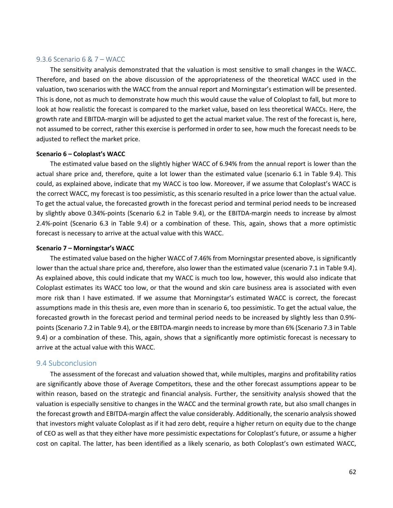#### 9.3.6 Scenario 6 & 7 – WACC

The sensitivity analysis demonstrated that the valuation is most sensitive to small changes in the WACC. Therefore, and based on the above discussion of the appropriateness of the theoretical WACC used in the valuation, two scenarios with the WACC from the annual report and Morningstar's estimation will be presented. This is done, not as much to demonstrate how much this would cause the value of Coloplast to fall, but more to look at how realistic the forecast is compared to the market value, based on less theoretical WACCs. Here, the growth rate and EBITDA-margin will be adjusted to get the actual market value. The rest of the forecast is, here, not assumed to be correct, rather this exercise is performed in order to see, how much the forecast needs to be adjusted to reflect the market price.

#### **Scenario 6 – Coloplast's WACC**

The estimated value based on the slightly higher WACC of 6.94% from the annual report is lower than the actual share price and, therefore, quite a lot lower than the estimated value (scenario 6.1 in Table 9.4). This could, as explained above, indicate that my WACC is too low. Moreover, if we assume that Coloplast's WACC is the correct WACC, my forecast is too pessimistic, as this scenario resulted in a price lower than the actual value. To get the actual value, the forecasted growth in the forecast period and terminal period needs to be increased by slightly above 0.34%-points (Scenario 6.2 in Table 9.4), or the EBITDA-margin needs to increase by almost 2.4%-point (Scenario 6.3 in Table 9.4) or a combination of these. This, again, shows that a more optimistic forecast is necessary to arrive at the actual value with this WACC.

#### **Scenario 7 – Morningstar's WACC**

The estimated value based on the higher WACC of 7.46% from Morningstar presented above, is significantly lower than the actual share price and, therefore, also lower than the estimated value (scenario 7.1 in Table 9.4). As explained above, this could indicate that my WACC is much too low, however, this would also indicate that Coloplast estimates its WACC too low, or that the wound and skin care business area is associated with even more risk than I have estimated. If we assume that Morningstar's estimated WACC is correct, the forecast assumptions made in this thesis are, even more than in scenario 6, too pessimistic. To get the actual value, the forecasted growth in the forecast period and terminal period needs to be increased by slightly less than 0.9% points (Scenario 7.2 in Table 9.4), or the EBITDA-margin needs to increase by more than 6% (Scenario 7.3 in Table 9.4) or a combination of these. This, again, shows that a significantly more optimistic forecast is necessary to arrive at the actual value with this WACC.

## 9.4 Subconclusion

The assessment of the forecast and valuation showed that, while multiples, margins and profitability ratios are significantly above those of Average Competitors, these and the other forecast assumptions appear to be within reason, based on the strategic and financial analysis. Further, the sensitivity analysis showed that the valuation is especially sensitive to changes in the WACC and the terminal growth rate, but also small changes in the forecast growth and EBITDA-margin affect the value considerably. Additionally, the scenario analysis showed that investors might valuate Coloplast as if it had zero debt, require a higher return on equity due to the change of CEO as well as that they either have more pessimistic expectations for Coloplast's future, or assume a higher cost on capital. The latter, has been identified as a likely scenario, as both Coloplast's own estimated WACC,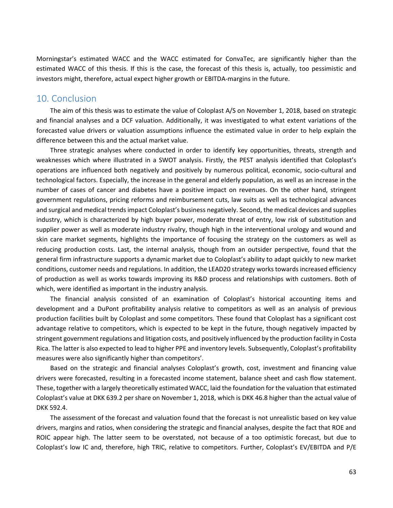Morningstar's estimated WACC and the WACC estimated for ConvaTec, are significantly higher than the estimated WACC of this thesis. If this is the case, the forecast of this thesis is, actually, too pessimistic and investors might, therefore, actual expect higher growth or EBITDA-margins in the future.

## 10. Conclusion

The aim of this thesis was to estimate the value of Coloplast A/S on November 1, 2018, based on strategic and financial analyses and a DCF valuation. Additionally, it was investigated to what extent variations of the forecasted value drivers or valuation assumptions influence the estimated value in order to help explain the difference between this and the actual market value.

Three strategic analyses where conducted in order to identify key opportunities, threats, strength and weaknesses which where illustrated in a SWOT analysis. Firstly, the PEST analysis identified that Coloplast's operations are influenced both negatively and positively by numerous political, economic, socio-cultural and technological factors. Especially, the increase in the general and elderly population, as well as an increase in the number of cases of cancer and diabetes have a positive impact on revenues. On the other hand, stringent government regulations, pricing reforms and reimbursement cuts, law suits as well as technological advances and surgical and medical trends impact Coloplast's business negatively. Second, the medical devices and supplies industry, which is characterized by high buyer power, moderate threat of entry, low risk of substitution and supplier power as well as moderate industry rivalry, though high in the interventional urology and wound and skin care market segments, highlights the importance of focusing the strategy on the customers as well as reducing production costs. Last, the internal analysis, though from an outsider perspective, found that the general firm infrastructure supports a dynamic market due to Coloplast's ability to adapt quickly to new market conditions, customer needs and regulations. In addition, the LEAD20 strategy works towards increased efficiency of production as well as works towards improving its R&D process and relationships with customers. Both of which, were identified as important in the industry analysis.

The financial analysis consisted of an examination of Coloplast's historical accounting items and development and a DuPont profitability analysis relative to competitors as well as an analysis of previous production facilities built by Coloplast and some competitors. These found that Coloplast has a significant cost advantage relative to competitors, which is expected to be kept in the future, though negatively impacted by stringent government regulations and litigation costs, and positively influenced by the production facility in Costa Rica. The latter is also expected to lead to higher PPE and inventory levels. Subsequently, Coloplast's profitability measures were also significantly higher than competitors'.

Based on the strategic and financial analyses Coloplast's growth, cost, investment and financing value drivers were forecasted, resulting in a forecasted income statement, balance sheet and cash flow statement. These, together with a largely theoretically estimated WACC, laid the foundation for the valuation that estimated Coloplast's value at DKK 639.2 per share on November 1, 2018, which is DKK 46.8 higher than the actual value of DKK 592.4.

The assessment of the forecast and valuation found that the forecast is not unrealistic based on key value drivers, margins and ratios, when considering the strategic and financial analyses, despite the fact that ROE and ROIC appear high. The latter seem to be overstated, not because of a too optimistic forecast, but due to Coloplast's low IC and, therefore, high TRIC, relative to competitors. Further, Coloplast's EV/EBITDA and P/E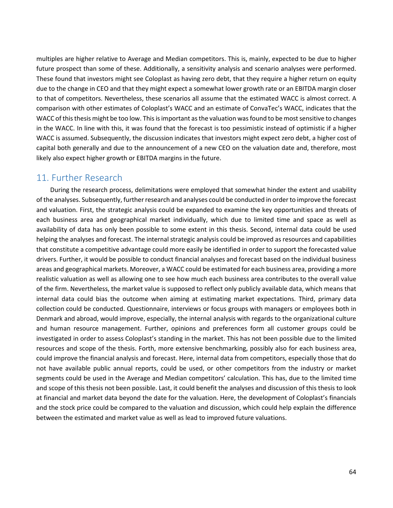multiples are higher relative to Average and Median competitors. This is, mainly, expected to be due to higher future prospect than some of these. Additionally, a sensitivity analysis and scenario analyses were performed. These found that investors might see Coloplast as having zero debt, that they require a higher return on equity due to the change in CEO and that they might expect a somewhat lower growth rate or an EBITDA margin closer to that of competitors. Nevertheless, these scenarios all assume that the estimated WACC is almost correct. A comparison with other estimates of Coloplast's WACC and an estimate of ConvaTec's WACC, indicates that the WACC of this thesis might be too low. This is important as the valuation was found to be most sensitive to changes in the WACC. In line with this, it was found that the forecast is too pessimistic instead of optimistic if a higher WACC is assumed. Subsequently, the discussion indicates that investors might expect zero debt, a higher cost of capital both generally and due to the announcement of a new CEO on the valuation date and, therefore, most likely also expect higher growth or EBITDA margins in the future.

# 11. Further Research

During the research process, delimitations were employed that somewhat hinder the extent and usability of the analyses. Subsequently, further research and analyses could be conducted in order to improve the forecast and valuation. First, the strategic analysis could be expanded to examine the key opportunities and threats of each business area and geographical market individually, which due to limited time and space as well as availability of data has only been possible to some extent in this thesis. Second, internal data could be used helping the analyses and forecast. The internal strategic analysis could be improved as resources and capabilities that constitute a competitive advantage could more easily be identified in order to support the forecasted value drivers. Further, it would be possible to conduct financial analyses and forecast based on the individual business areas and geographical markets. Moreover, a WACC could be estimated for each business area, providing a more realistic valuation as well as allowing one to see how much each business area contributes to the overall value of the firm. Nevertheless, the market value is supposed to reflect only publicly available data, which means that internal data could bias the outcome when aiming at estimating market expectations. Third, primary data collection could be conducted. Questionnaire, interviews or focus groups with managers or employees both in Denmark and abroad, would improve, especially, the internal analysis with regards to the organizational culture and human resource management. Further, opinions and preferences form all customer groups could be investigated in order to assess Coloplast's standing in the market. This has not been possible due to the limited resources and scope of the thesis. Forth, more extensive benchmarking, possibly also for each business area, could improve the financial analysis and forecast. Here, internal data from competitors, especially those that do not have available public annual reports, could be used, or other competitors from the industry or market segments could be used in the Average and Median competitors' calculation. This has, due to the limited time and scope of this thesis not been possible. Last, it could benefit the analyses and discussion of this thesis to look at financial and market data beyond the date for the valuation. Here, the development of Coloplast's financials and the stock price could be compared to the valuation and discussion, which could help explain the difference between the estimated and market value as well as lead to improved future valuations.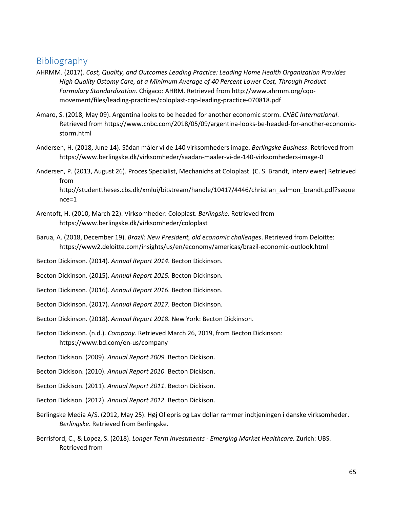# Bibliography

- AHRMM. (2017). *Cost, Quality, and Outcomes Leading Practice: Leading Home Health Organization Provides High Quality Ostomy Care, at a Minimum Average of 40 Percent Lower Cost, Through Product Formulary Standardization.* Chigaco: AHRM. Retrieved from http://www.ahrmm.org/cqomovement/files/leading-practices/coloplast-cqo-leading-practice-070818.pdf
- Amaro, S. (2018, May 09). Argentina looks to be headed for another economic storm. *CNBC International*. Retrieved from https://www.cnbc.com/2018/05/09/argentina-looks-be-headed-for-another-economicstorm.html
- Andersen, H. (2018, June 14). Sådan måler vi de 140 virksomheders image. *Berlingske Business*. Retrieved from https://www.berlingske.dk/virksomheder/saadan-maaler-vi-de-140-virksomheders-image-0
- Andersen, P. (2013, August 26). Proces Specialist, Mechanichs at Coloplast. (C. S. Brandt, Interviewer) Retrieved from

http://studenttheses.cbs.dk/xmlui/bitstream/handle/10417/4446/christian\_salmon\_brandt.pdf?seque nce=1

- Arentoft, H. (2010, March 22). Virksomheder: Coloplast. *Berlingske*. Retrieved from https://www.berlingske.dk/virksomheder/coloplast
- Barua, A. (2018, December 19). *Brazil: New President, old economic challenges*. Retrieved from Deloitte: https://www2.deloitte.com/insights/us/en/economy/americas/brazil-economic-outlook.html
- Becton Dickinson. (2014). *Annual Report 2014.* Becton Dickinson.
- Becton Dickinson. (2015). *Annual Report 2015.* Becton Dickinson.
- Becton Dickinson. (2016). *Annaul Report 2016.* Becton Dickinson.
- Becton Dickinson. (2017). *Annual Report 2017.* Becton Dickinson.
- Becton Dickinson. (2018). *Annual Report 2018.* New York: Becton Dickinson.
- Becton Dickinson. (n.d.). *Company*. Retrieved March 26, 2019, from Becton Dickinson: https://www.bd.com/en-us/company
- Becton Dickison. (2009). *Annual Report 2009.* Becton Dickison.
- Becton Dickison. (2010). *Annual Report 2010.* Becton Dickison.
- Becton Dickison. (2011). *Annual Report 2011.* Becton Dickison.
- Becton Dickison. (2012). *Annual Report 2012.* Becton Dickison.
- Berlingske Media A/S. (2012, May 25). Høj Oliepris og Lav dollar rammer indtjeningen i danske virksomheder. *Berlingske*. Retrieved from Berlingske.
- Berrisford, C., & Lopez, S. (2018). *Longer Term Investments - Emerging Market Healthcare.* Zurich: UBS. Retrieved from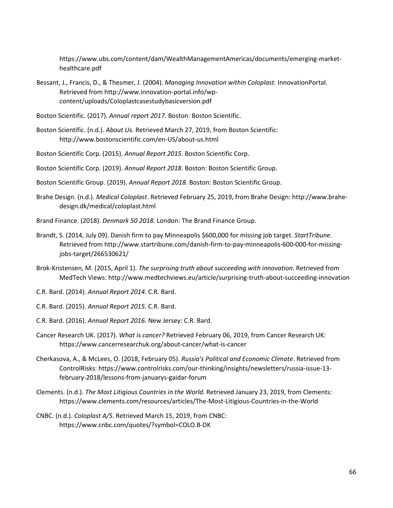https://www.ubs.com/content/dam/WealthManagementAmericas/documents/emerging-markethealthcare.pdf

- Bessant, J., Francis, D., & Thesmer, J. (2004). *Managing Innovation within Coloplast.* InnovationPortal. Retrieved from http://www.innovation-portal.info/wpcontent/uploads/Coloplastcasestudybasicversion.pdf
- Boston Scientific. (2017). *Annual report 2017.* Boston: Boston Scientific.
- Boston Scientific. (n.d.). *About Us*. Retrieved March 27, 2019, from Boston Scientific: http://www.bostonscientific.com/en-US/about-us.html
- Boston Scientific Corp. (2015). *Annual Report 2015.* Boston Scientific Corp.

Boston Scientific Corp. (2019). *Annual Report 2018.* Boston: Boston Scientific Group.

Boston Scientific Group. (2019). *Annual Report 2018.* Boston: Boston Scientific Group.

- Brahe Design. (n.d.). *Medical Coloplast*. Retrieved February 25, 2019, from Brahe Design: http://www.brahedesign.dk/medical/coloplast.html
- Brand Finance. (2018). *Denmark 50 2018.* London: The Brand Finance Group.
- Brandt, S. (2014, July 09). Danish firm to pay Minneapolis \$600,000 for missing job target. *StartTribune*. Retrieved from http://www.startribune.com/danish-firm-to-pay-minneapolis-600-000-for-missingjobs-target/266530621/
- Brok-Kristensen, M. (2015, April 1). *The surprising truth about succeeding with innovation*. Retrieved from MedTech Views: http://www.medtechviews.eu/article/surprising-truth-about-succeeding-innovation
- C.R. Bard. (2014). *Annual Report 2014.* C.R. Bard.
- C.R. Bard. (2015). *Annual Report 2015.* C.R. Bard.
- C.R. Bard. (2016). *Annual Report 2016.* New Jersey: C.R. Bard.
- Cancer Research UK. (2017). *What is cancer?* Retrieved February 06, 2019, from Cancer Research UK: https://www.cancerresearchuk.org/about-cancer/what-is-cancer
- Cherkasova, A., & McLees, O. (2018, February 05). *Russia's Political and Economic Climate*. Retrieved from ControlRisks: https://www.controlrisks.com/our-thinking/insights/newsletters/russia-issue-13 february-2018/lessons-from-januarys-gaidar-forum
- Clements. (n.d.). *The Most Litigious Countries in the World*. Retrieved January 23, 2019, from Clements: https://www.clements.com/resources/articles/The-Most-Litigious-Countries-in-the-World
- CNBC. (n.d.). *Coloplast A/S*. Retrieved March 15, 2019, from CNBC: https://www.cnbc.com/quotes/?symbol=COLO.B-DK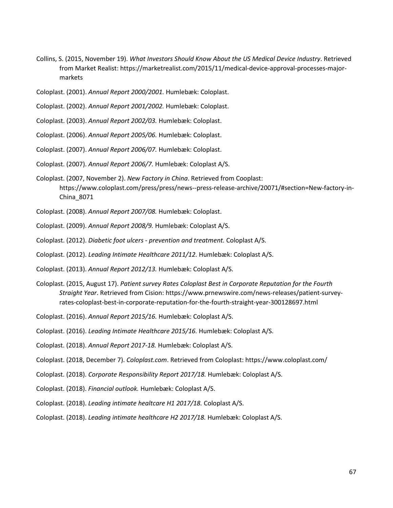- Collins, S. (2015, November 19). *What Investors Should Know About the US Medical Device Industry*. Retrieved from Market Realist: https://marketrealist.com/2015/11/medical-device-approval-processes-majormarkets
- Coloplast. (2001). *Annual Report 2000/2001.* Humlebæk: Coloplast.
- Coloplast. (2002). *Annual Report 2001/2002.* Humlebæk: Coloplast.
- Coloplast. (2003). *Annual Report 2002/03.* Humlebæk: Coloplast.
- Coloplast. (2006). *Annual Report 2005/06.* Humlebæk: Coloplast.
- Coloplast. (2007). *Annual Report 2006/07.* Humlebæk: Coloplast.
- Coloplast. (2007). *Annual Report 2006/7.* Humlebæk: Coloplast A/S.
- Coloplast. (2007, November 2). *New Factory in China*. Retrieved from Cooplast: https://www.coloplast.com/press/press/news--press-release-archive/20071/#section=New-factory-in-China\_8071
- Coloplast. (2008). *Annual Report 2007/08.* Humlebæk: Coloplast.
- Coloplast. (2009). *Annual Report 2008/9.* Humlebæk: Coloplast A/S.
- Coloplast. (2012). *Diabetic foot ulcers - prevention and treatment.* Coloplast A/S.
- Coloplast. (2012). *Leading Intimate Healthcare 2011/12.* Humlebæk: Coloplast A/S.
- Coloplast. (2013). *Annual Report 2012/13.* Humlebæk: Coloplast A/S.
- Coloplast. (2015, August 17). *Patient survey Rates Coloplast Best in Corporate Reputation for the Fourth Straight Year*. Retrieved from Cision: https://www.prnewswire.com/news-releases/patient-surveyrates-coloplast-best-in-corporate-reputation-for-the-fourth-straight-year-300128697.html
- Coloplast. (2016). *Annual Report 2015/16.* Humlebæk: Coloplast A/S.
- Coloplast. (2016). *Leading Intimate Healthcare 2015/16.* Humlebæk: Coloplast A/S.
- Coloplast. (2018). *Annual Report 2017-18.* Humlebæk: Coloplast A/S.
- Coloplast. (2018, December 7). *Coloplast.com*. Retrieved from Coloplast: https://www.coloplast.com/
- Coloplast. (2018). *Corporate Responsibility Report 2017/18.* Humlebæk: Coloplast A/S.
- Coloplast. (2018). *Financial outlook.* Humlebæk: Coloplast A/S.
- Coloplast. (2018). *Leading intimate healtcare H1 2017/18.* Coloplast A/S.
- Coloplast. (2018). *Leading intimate healthcare H2 2017/18.* Humlebæk: Coloplast A/S.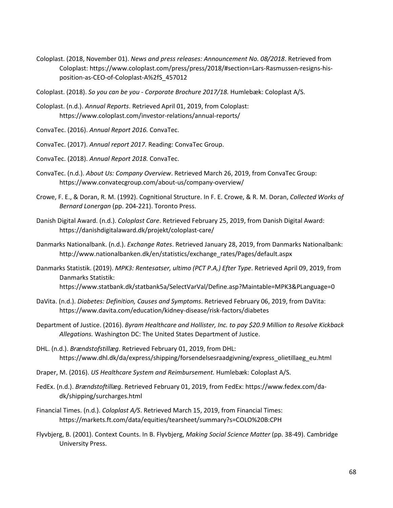- Coloplast. (2018, November 01). *News and press releases: Announcement No. 08/2018*. Retrieved from Coloplast: https://www.coloplast.com/press/press/2018/#section=Lars-Rasmussen-resigns-hisposition-as-CEO-of-Coloplast-A%2fS\_457012
- Coloplast. (2018). *So you can be you - Corporate Brochure 2017/18.* Humlebæk: Coloplast A/S.
- Coloplast. (n.d.). *Annual Reports*. Retrieved April 01, 2019, from Coloplast: https://www.coloplast.com/investor-relations/annual-reports/
- ConvaTec. (2016). *Annual Report 2016.* ConvaTec.
- ConvaTec. (2017). *Annual report 2017.* Reading: ConvaTec Group.
- ConvaTec. (2018). *Annual Report 2018.* ConvaTec.
- ConvaTec. (n.d.). *About Us: Company Overview*. Retrieved March 26, 2019, from ConvaTec Group: https://www.convatecgroup.com/about-us/company-overview/
- Crowe, F. E., & Doran, R. M. (1992). Cognitional Structure. In F. E. Crowe, & R. M. Doran, *Collected Works of Bernard Lonergan* (pp. 204-221). Toronto Press.
- Danish Digital Award. (n.d.). *Coloplast Care*. Retrieved February 25, 2019, from Danish Digital Award: https://danishdigitalaward.dk/projekt/coloplast-care/
- Danmarks Nationalbank. (n.d.). *Exchange Rates*. Retrieved January 28, 2019, from Danmarks Nationalbank: http://www.nationalbanken.dk/en/statistics/exchange\_rates/Pages/default.aspx
- Danmarks Statistik. (2019). *MPK3: Rentesatser, ultimo (PCT P.A,) Efter Type*. Retrieved April 09, 2019, from Danmarks Statistik: https://www.statbank.dk/statbank5a/SelectVarVal/Define.asp?Maintable=MPK3&PLanguage=0
- DaVita. (n.d.). *Diabetes: Definition, Causes and Symptoms*. Retrieved February 06, 2019, from DaVita: https://www.davita.com/education/kidney-disease/risk-factors/diabetes
- Department of Justice. (2016). *Byram Healthcare and Hollister, Inc. to pay \$20.9 Million to Resolve Kickback Allegations.* Washington DC: The United States Department of Justice.
- DHL. (n.d.). *Brændstofstillæg*. Retrieved February 01, 2019, from DHL: https://www.dhl.dk/da/express/shipping/forsendelsesraadgivning/express\_olietillaeg\_eu.html
- Draper, M. (2016). *US Healthcare System and Reimbursement.* Humlebæk: Coloplast A/S.
- FedEx. (n.d.). *Brændstoftillæg*. Retrieved February 01, 2019, from FedEx: https://www.fedex.com/dadk/shipping/surcharges.html
- Financial Times. (n.d.). *Coloplast A/S*. Retrieved March 15, 2019, from Financial Times: https://markets.ft.com/data/equities/tearsheet/summary?s=COLO%20B:CPH
- Flyvbjerg, B. (2001). Context Counts. In B. Flyvbjerg, *Making Social Science Matter* (pp. 38-49). Cambridge University Press.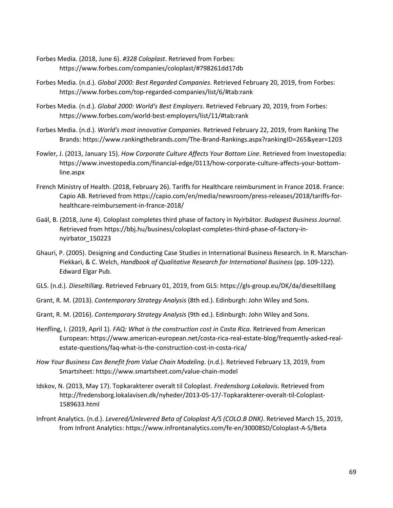- Forbes Media. (2018, June 6). *#328 Coloplast*. Retrieved from Forbes: https://www.forbes.com/companies/coloplast/#798261dd17db
- Forbes Media. (n.d.). *Global 2000: Best Regarded Companies*. Retrieved February 20, 2019, from Forbes: https://www.forbes.com/top-regarded-companies/list/6/#tab:rank
- Forbes Media. (n.d.). *Global 2000: World's Best Employers*. Retrieved February 20, 2019, from Forbes: https://www.forbes.com/world-best-employers/list/11/#tab:rank
- Forbes Media. (n.d.). *World's most innovative Companies*. Retrieved February 22, 2019, from Ranking The Brands: https://www.rankingthebrands.com/The-Brand-Rankings.aspx?rankingID=265&year=1203
- Fowler, J. (2013, January 15). *How Corporate Culture Affects Your Bottom Line*. Retrieved from Investopedia: https://www.investopedia.com/financial-edge/0113/how-corporate-culture-affects-your-bottomline.aspx
- French Ministry of Health. (2018, February 26). Tariffs for Healthcare reimbursment in France 2018. France: Capio AB. Retrieved from https://capio.com/en/media/newsroom/press-releases/2018/tariffs-forhealthcare-reimbursement-in-france-2018/
- Gaál, B. (2018, June 4). Coloplast completes third phase of factory in Nyírbátor. *Budapest Business Journal*. Retrieved from https://bbj.hu/business/coloplast-completes-third-phase-of-factory-innyirbator\_150223
- Ghauri, P. (2005). Designing and Conducting Case Studies in International Business Research. In R. Marschan-Piekkari, & C. Welch, *Handbook of Qualitative Research for International Business* (pp. 109-122). Edward Elgar Pub.
- GLS. (n.d.). *Dieseltillæg*. Retrieved February 01, 2019, from GLS: https://gls-group.eu/DK/da/dieseltillaeg
- Grant, R. M. (2013). *Contemporary Strategy Analysis* (8th ed.). Edinburgh: John Wiley and Sons.
- Grant, R. M. (2016). *Contemporary Strategy Analysis* (9th ed.). Edinburgh: John Wiley and Sons.
- Henfling, I. (2019, April 1). *FAQ: What is the construction cost in Costa Rica*. Retrieved from American European: https://www.american-european.net/costa-rica-real-estate-blog/frequently-asked-realestate-questions/faq-what-is-the-construction-cost-in-costa-rica/
- *How Your Business Can Benefit from Value Chain Modeling*. (n.d.). Retrieved February 13, 2019, from Smartsheet: https://www.smartsheet.com/value-chain-model
- Idskov, N. (2013, May 17). Topkarakterer overalt til Coloplast. *Fredensborg Lokalavis*. Retrieved from http://fredensborg.lokalavisen.dk/nyheder/2013-05-17/-Topkarakterer-overalt-til-Coloplast-1589633.html
- Infront Analytics. (n.d.). *Levered/Unlevered Beta of Coloplast A/S (COLO.B DNK)*. Retrieved March 15, 2019, from Infront Analytics: https://www.infrontanalytics.com/fe-en/30008SD/Coloplast-A-S/Beta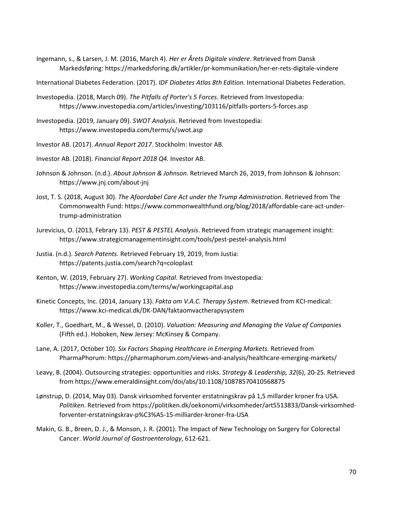Ingemann, s., & Larsen, J. M. (2016, March 4). *Her er Årets Digitale vindere*. Retrieved from Dansk Markedsføring: https://markedsforing.dk/artikler/pr-kommunikation/her-er-rets-digitale-vindere

International Diabetes Federation. (2017). *IDF Diabetes Atlas 8th Edition.* International Diabetes Federation.

- Investopedia. (2018, March 09). *The Pitfalls of Porter's 5 Forces*. Retrieved from Investopedia: https://www.investopedia.com/articles/investing/103116/pitfalls-porters-5-forces.asp
- Investopedia. (2019, January 09). *SWOT Analysis*. Retrieved from Investopedia: https://www.investopedia.com/terms/s/swot.asp
- Investor AB. (2017). *Annual Report 2017.* Stockholm: Investor AB.
- Investor AB. (2018). *Financial Report 2018 Q4.* Investor AB.
- Johnson & Johnson. (n.d.). *About Johnson & Johnson*. Retrieved March 26, 2019, from Johnson & Johnson: https://www.jnj.com/about-jnj
- Jost, T. S. (2018, August 30). *The Afoordabel Care Act under the Trump Administration*. Retrieved from The Commonwealth Fund: https://www.commonwealthfund.org/blog/2018/affordable-care-act-undertrump-administration
- Jurevicius, O. (2013, Febrary 13). *PEST & PESTEL Analysis*. Retrieved from strategic management insight: https://www.strategicmanagementinsight.com/tools/pest-pestel-analysis.html
- Justia. (n.d.). *Search Patents*. Retrieved February 19, 2019, from Justia: https://patents.justia.com/search?q=coloplast
- Kenton, W. (2019, February 27). *Working Capital*. Retrieved from Investopedia: https://www.investopedia.com/terms/w/workingcapital.asp
- Kinetic Concepts, Inc. (2014, January 13). *Fakta om V.A.C. Therapy System*. Retrieved from KCI-medical: https://www.kci-medical.dk/DK-DAN/faktaomvactherapysystem
- Koller, T., Goedhart, M., & Wessel, D. (2010). *Valuation: Measuring and Managing the Value of Companies* (Fifth ed.). Hoboken, New Jersey: McKinsey & Company.
- Lane, A. (2017, October 10). *Six Factors Shaping Healthcare in Emerging Markets*. Retrieved from PharmaPhorum: https://pharmaphorum.com/views-and-analysis/healthcare-emerging-markets/
- Leavy, B. (2004). Outsourcing strategies: opportunities and risks. *Strategy & Leadership, 32*(6), 20-25. Retrieved from https://www.emeraldinsight.com/doi/abs/10.1108/10878570410568875
- Lønstrup, D. (2014, May 03). Dansk virksomhed forventer erstatningskrav på 1,5 millarder kroner fra USA. *Politiken*. Retrieved from https://politiken.dk/oekonomi/virksomheder/art5513833/Dansk-virksomhedforventer-erstatningskrav-p%C3%A5-15-milliarder-kroner-fra-USA
- Makin, G. B., Breen, D. J., & Monson, J. R. (2001). The Impact of New Technology on Surgery for Colorectal Cancer. *World Journal of Gastroenterology*, 612-621.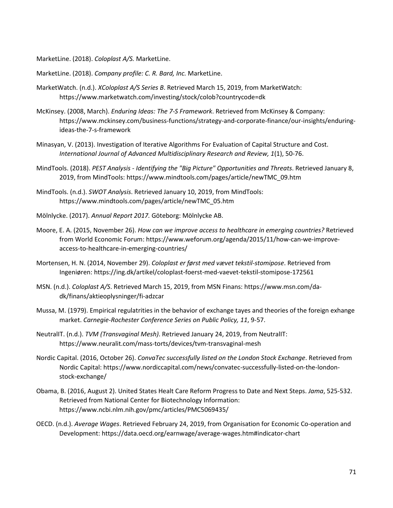MarketLine. (2018). *Coloplast A/S.* MarketLine.

- MarketLine. (2018). *Company profile: C. R. Bard, Inc.* MarketLine.
- MarketWatch. (n.d.). *XColoplast A/S Series B*. Retrieved March 15, 2019, from MarketWatch: https://www.marketwatch.com/investing/stock/colob?countrycode=dk
- McKinsey. (2008, March). *Enduring Ideas: The 7-S Framework*. Retrieved from McKinsey & Company: https://www.mckinsey.com/business-functions/strategy-and-corporate-finance/our-insights/enduringideas-the-7-s-framework
- Minasyan, V. (2013). Investigation of Iterative Algorithms For Evaluation of Capital Structure and Cost. *International Journal of Advanced Multidisciplinary Research and Review, 1*(1), 50-76.
- MindTools. (2018). *PEST Analysis - Identifying the "Big Picture" Opportunities and Threats*. Retrieved January 8, 2019, from MindTools: https://www.mindtools.com/pages/article/newTMC\_09.htm
- MindTools. (n.d.). *SWOT Analysis*. Retrieved January 10, 2019, from MindTools: https://www.mindtools.com/pages/article/newTMC\_05.htm
- Mölnlycke. (2017). *Annual Report 2017.* Göteborg: Mölnlycke AB.
- Moore, E. A. (2015, November 26). *How can we improve access to healthcare in emerging countries?* Retrieved from World Economic Forum: https://www.weforum.org/agenda/2015/11/how-can-we-improveaccess-to-healthcare-in-emerging-countries/
- Mortensen, H. N. (2014, November 29). *Coloplast er først med vævet tekstil-stomipose*. Retrieved from Ingeniøren: https://ing.dk/artikel/coloplast-foerst-med-vaevet-tekstil-stomipose-172561
- MSN. (n.d.). *Coloplast A/S*. Retrieved March 15, 2019, from MSN Finans: https://www.msn.com/dadk/finans/aktieoplysninger/fi-adzcar
- Mussa, M. (1979). Empirical regulatrities in the behavior of exchange tayes and theories of the foreign exhange market. *Carnegie-Rochester Conference Series on Public Policy, 11*, 9-57.
- NeutralIT. (n.d.). *TVM (Transvaginal Mesh)*. Retrieved January 24, 2019, from NeutralIT: https://www.neuralit.com/mass-torts/devices/tvm-transvaginal-mesh
- Nordic Capital. (2016, October 26). *ConvaTec successfully listed on the London Stock Exchange*. Retrieved from Nordic Capital: https://www.nordiccapital.com/news/convatec-successfully-listed-on-the-londonstock-exchange/
- Obama, B. (2016, August 2). United States Healt Care Reform Progress to Date and Next Steps. *Jama*, 525-532. Retrieved from National Center for Biotechnology Information: https://www.ncbi.nlm.nih.gov/pmc/articles/PMC5069435/
- OECD. (n.d.). *Average Wages*. Retrieved February 24, 2019, from Organisation for Economic Co-operation and Development: https://data.oecd.org/earnwage/average-wages.htm#indicator-chart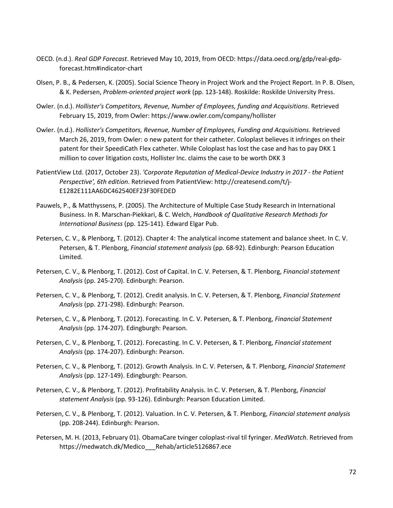- OECD. (n.d.). *Real GDP Forecast*. Retrieved May 10, 2019, from OECD: https://data.oecd.org/gdp/real-gdpforecast.htm#indicator-chart
- Olsen, P. B., & Pedersen, K. (2005). Social Science Theory in Project Work and the Project Report. In P. B. Olsen, & K. Pedersen, *Problem-oriented project work* (pp. 123-148). Roskilde: Roskilde University Press.
- Owler. (n.d.). *Hollister's Competitors, Revenue, Number of Employees, funding and Acquisitions*. Retrieved February 15, 2019, from Owler: https://www.owler.com/company/hollister
- Owler. (n.d.). *Hollister's Competitors, Revenue, Number of Employees, Funding and Acquisitions*. Retrieved March 26, 2019, from Owler: o new patent for their catheter. Coloplast believes it infringes on their patent for their SpeediCath Flex catheter. While Coloplast has lost the case and has to pay DKK 1 million to cover litigation costs, Hollister Inc. claims the case to be worth DKK 3
- PatientView Ltd. (2017, October 23). *'Corporate Reputation of Medical-Device Industry in 2017 - the Patient Perspective', 6th edition*. Retrieved from PatientView: http://createsend.com/t/j-E1282E111AA6DC462540EF23F30FEDED
- Pauwels, P., & Matthyssens, P. (2005). The Architecture of Multiple Case Study Research in International Business. In R. Marschan-Piekkari, & C. Welch, *Handbook of Qualitative Research Methods for International Business* (pp. 125-141). Edward Elgar Pub.
- Petersen, C. V., & Plenborg, T. (2012). Chapter 4: The analytical income statement and balance sheet. In C. V. Petersen, & T. Plenborg, *Financial statement analysis* (pp. 68-92). Edinburgh: Pearson Education Limited.
- Petersen, C. V., & Plenborg, T. (2012). Cost of Capital. In C. V. Petersen, & T. Plenborg, *Financial statement Analysis* (pp. 245-270). Edinburgh: Pearson.
- Petersen, C. V., & Plenborg, T. (2012). Credit analysis. In C. V. Petersen, & T. Plenborg, *Financial Statement Analysis* (pp. 271-298). Edinburgh: Pearson.
- Petersen, C. V., & Plenborg, T. (2012). Forecasting. In C. V. Petersen, & T. Plenborg, *Financial Statement Analysis* (pp. 174-207). Edingburgh: Pearson.
- Petersen, C. V., & Plenborg, T. (2012). Forecasting. In C. V. Petersen, & T. Plenborg, *Financial statement Analysis* (pp. 174-207). Edinburgh: Pearson.
- Petersen, C. V., & Plenborg, T. (2012). Growth Analysis. In C. V. Petersen, & T. Plenborg, *Financial Statement Analysis* (pp. 127-149). Edingburgh: Pearson.
- Petersen, C. V., & Plenborg, T. (2012). Profitability Analysis. In C. V. Petersen, & T. Plenborg, *Financial statement Analysis* (pp. 93-126). Edinburgh: Pearson Education Limited.
- Petersen, C. V., & Plenborg, T. (2012). Valuation. In C. V. Petersen, & T. Plenborg, *Financial statement analysis* (pp. 208-244). Edinburgh: Pearson.
- Petersen, M. H. (2013, February 01). ObamaCare tvinger coloplast-rival til fyringer. *MedWatch*. Retrieved from https://medwatch.dk/Medico\_\_\_Rehab/article5126867.ece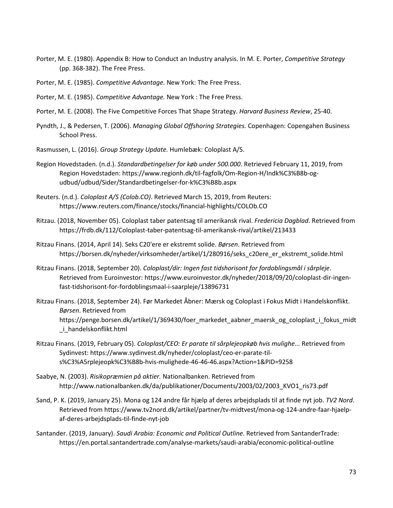- Porter, M. E. (1980). Appendix B: How to Conduct an Industry analysis. In M. E. Porter, *Competitive Strategy* (pp. 368-382). The Free Press.
- Porter, M. E. (1985). *Competitive Advantage.* New York: The Free Press.
- Porter, M. E. (1985). *Competitive Advantage.* New York : The Free Press.
- Porter, M. E. (2008). The Five Competitive Forces That Shape Strategy. *Harvard Business Review*, 25-40.
- Pyndth, J., & Pedersen, T. (2006). *Managing Global Offshoring Strategies.* Copenhagen: Copengahen Business School Press.
- Rasmussen, L. (2016). *Group Strategy Update.* Humlebæk: Coloplast A/S.
- Region Hovedstaden. (n.d.). *Standardbetingelser for køb under 500.000*. Retrieved February 11, 2019, from Region Hovedstaden: https://www.regionh.dk/til-fagfolk/Om-Region-H/Indk%C3%B8b-ogudbud/udbud/Sider/Standardbetingelser-for-k%C3%B8b.aspx
- Reuters. (n.d.). *Coloplast A/S (Colob.CO)*. Retrieved March 15, 2019, from Reuters: https://www.reuters.com/finance/stocks/financial-highlights/COLOb.CO
- Ritzau. (2018, November 05). Coloplast taber patentsag til amerikansk rival. *Fredericia Dagblad*. Retrieved from https://frdb.dk/112/Coloplast-taber-patentsag-til-amerikansk-rival/artikel/213433
- Ritzau Finans. (2014, April 14). Seks C20'ere er ekstremt solide. *Børsen*. Retrieved from https://borsen.dk/nyheder/virksomheder/artikel/1/280916/seks\_c20ere\_er\_ekstremt\_solide.html
- Ritzau Finans. (2018, September 20). *Coloplast/dir: Ingen fast tidshorisont for fordoblingsmål i sårpleje*. Retrieved from Euroinvestor: https://www.euroinvestor.dk/nyheder/2018/09/20/coloplast-dir-ingenfast-tidshorisont-for-fordoblingsmaal-i-saarpleje/13896731
- Ritzau Finans. (2018, September 24). Før Markedet Åbner: Mærsk og Coloplast i Fokus Midt i Handelskonflikt. *Børsen*. Retrieved from https://penge.borsen.dk/artikel/1/369430/foer\_markedet\_aabner\_maersk\_og\_coloplast\_i\_fokus\_midt \_i\_handelskonflikt.html
- Ritzau Finans. (2019, February 05). *Coloplast/CEO: Er parate til sårplejeopkøb hvis mulighe...* Retrieved from Sydinvest: https://www.sydinvest.dk/nyheder/coloplast/ceo-er-parate-tils%C3%A5rplejeopk%C3%B8b-hvis-mulighede-46-46-46.aspx?Action=1&PID=9258
- Saabye, N. (2003). *Risikopræmien på aktier.* Nationalbanken. Retrieved from http://www.nationalbanken.dk/da/publikationer/Documents/2003/02/2003\_KVO1\_ris73.pdf
- Sand, P. K. (2019, January 25). Mona og 124 andre får hjælp af deres arbejdsplads til at finde nyt job. *TV2 Nord*. Retrieved from https://www.tv2nord.dk/artikel/partner/tv-midtvest/mona-og-124-andre-faar-hjaelpaf-deres-arbejdsplads-til-finde-nyt-job
- Santander. (2019, January). *Saudi Arabia: Economic and Political Outline*. Retrieved from SantanderTrade: https://en.portal.santandertrade.com/analyse-markets/saudi-arabia/economic-political-outline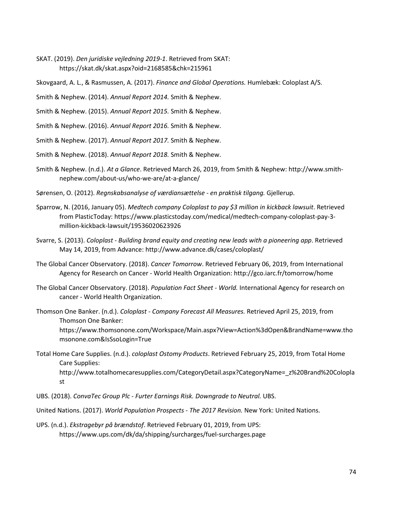- SKAT. (2019). *Den juridiske vejledning 2019-1*. Retrieved from SKAT: https://skat.dk/skat.aspx?oid=2168585&chk=215961
- Skovgaard, A. L., & Rasmussen, A. (2017). *Finance and Global Operations.* Humlebæk: Coloplast A/S.
- Smith & Nephew. (2014). *Annual Report 2014.* Smith & Nephew.
- Smith & Nephew. (2015). *Annual Report 2015.* Smith & Nephew.
- Smith & Nephew. (2016). *Annual Report 2016.* Smith & Nephew.
- Smith & Nephew. (2017). *Annual Report 2017.* Smith & Nephew.
- Smith & Nephew. (2018). *Annual Report 2018.* Smith & Nephew.
- Smith & Nephew. (n.d.). *At a Glance*. Retrieved March 26, 2019, from Smith & Nephew: http://www.smithnephew.com/about-us/who-we-are/at-a-glance/
- Sørensen, O. (2012). *Regnskabsanalyse of værdiansættelse - en praktisk tilgang.* Gjellerup.
- Sparrow, N. (2016, January 05). *Medtech company Coloplast to pay \$3 million in kickback lawsuit*. Retrieved from PlasticToday: https://www.plasticstoday.com/medical/medtech-company-coloplast-pay-3 million-kickback-lawsuit/19536020623926
- Svarre, S. (2013). *Coloplast - Building brand equity and creating new leads with a pioneering app*. Retrieved May 14, 2019, from Advance: http://www.advance.dk/cases/coloplast/
- The Global Cancer Observatory. (2018). *Cancer Tomorrow*. Retrieved February 06, 2019, from International Agency for Research on Cancer - World Health Organization: http://gco.iarc.fr/tomorrow/home
- The Global Cancer Observatory. (2018). *Population Fact Sheet - World.* International Agency for research on cancer - World Health Organization.
- Thomson One Banker. (n.d.). *Coloplast - Company Forecast All Measures.* Retrieved April 25, 2019, from Thomson One Banker: https://www.thomsonone.com/Workspace/Main.aspx?View=Action%3dOpen&BrandName=www.tho msonone.com&IsSsoLogin=True
- Total Home Care Supplies. (n.d.). *coloplast Ostomy Products*. Retrieved February 25, 2019, from Total Home Care Supplies: http://www.totalhomecaresupplies.com/CategoryDetail.aspx?CategoryName=\_z%20Brand%20Colopla st
- UBS. (2018). *ConvaTec Group Plc - Furter Earnings Risk. Downgrade to Neutral.* UBS.
- United Nations. (2017). *World Population Prospects - The 2017 Revision.* New York: United Nations.
- UPS. (n.d.). *Ekstragebyr på brændstof*. Retrieved February 01, 2019, from UPS: https://www.ups.com/dk/da/shipping/surcharges/fuel-surcharges.page